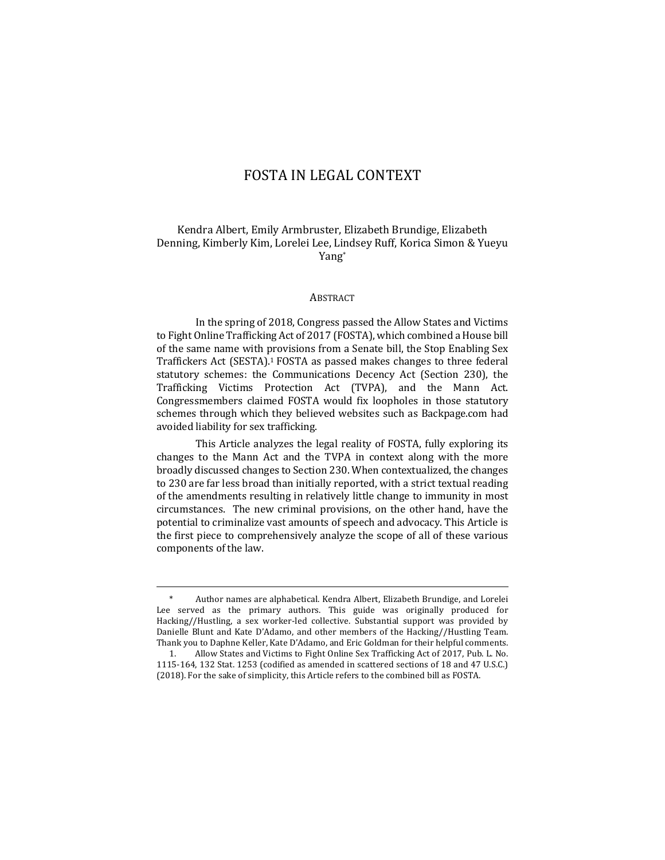# FOSTA IN LEGAL CONTEXT

# Kendra Albert, Emily Armbruster, Elizabeth Brundige, Elizabeth Denning, Kimberly Kim, Lorelei Lee, Lindsey Ruff, Korica Simon & Yueyu Yang\*

#### ABSTRACT

In the spring of 2018, Congress passed the Allow States and Victims to Fight Online Trafficking Act of 2017 (FOSTA), which combined a House bill of the same name with provisions from a Senate bill, the Stop Enabling Sex Traffickers Act (SESTA).<sup>1</sup> FOSTA as passed makes changes to three federal statutory schemes: the Communications Decency Act (Section 230), the Trafficking Victims Protection Act (TVPA), and the Mann Act. Congressmembers claimed FOSTA would fix loopholes in those statutory schemes through which they believed websites such as Backpage.com had avoided liability for sex trafficking.

This Article analyzes the legal reality of FOSTA, fully exploring its changes to the Mann Act and the TVPA in context along with the more broadly discussed changes to Section 230. When contextualized, the changes to 230 are far less broad than initially reported, with a strict textual reading of the amendments resulting in relatively little change to immunity in most circumstances. The new criminal provisions, on the other hand, have the potential to criminalize vast amounts of speech and advocacy. This Article is the first piece to comprehensively analyze the scope of all of these various components of the law.

Author names are alphabetical. Kendra Albert, Elizabeth Brundige, and Lorelei Lee served as the primary authors. This guide was originally produced for Hacking//Hustling, a sex worker-led collective. Substantial support was provided by Danielle Blunt and Kate D'Adamo, and other members of the Hacking//Hustling Team. Thank you to Daphne Keller, Kate D'Adamo, and Eric Goldman for their helpful comments.

<sup>1.</sup> Allow States and Victims to Fight Online Sex Trafficking Act of 2017, Pub. L. No. 1115-164, 132 Stat. 1253 (codified as amended in scattered sections of 18 and 47 U.S.C.) (2018). For the sake of simplicity, this Article refers to the combined bill as FOSTA.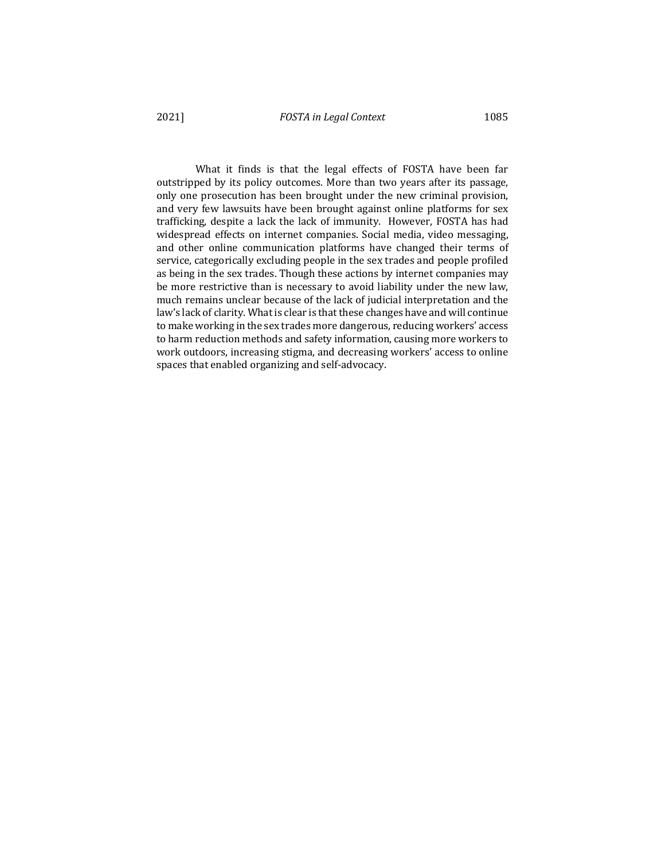What it finds is that the legal effects of FOSTA have been far outstripped by its policy outcomes. More than two years after its passage, only one prosecution has been brought under the new criminal provision, and very few lawsuits have been brought against online platforms for sex trafficking, despite a lack the lack of immunity. However, FOSTA has had widespread effects on internet companies. Social media, video messaging, and other online communication platforms have changed their terms of service, categorically excluding people in the sex trades and people profiled as being in the sex trades. Though these actions by internet companies may be more restrictive than is necessary to avoid liability under the new law, much remains unclear because of the lack of judicial interpretation and the law's lack of clarity. What is clear is that these changes have and will continue to make working in the sex trades more dangerous, reducing workers' access to harm reduction methods and safety information, causing more workers to work outdoors, increasing stigma, and decreasing workers' access to online spaces that enabled organizing and self-advocacy.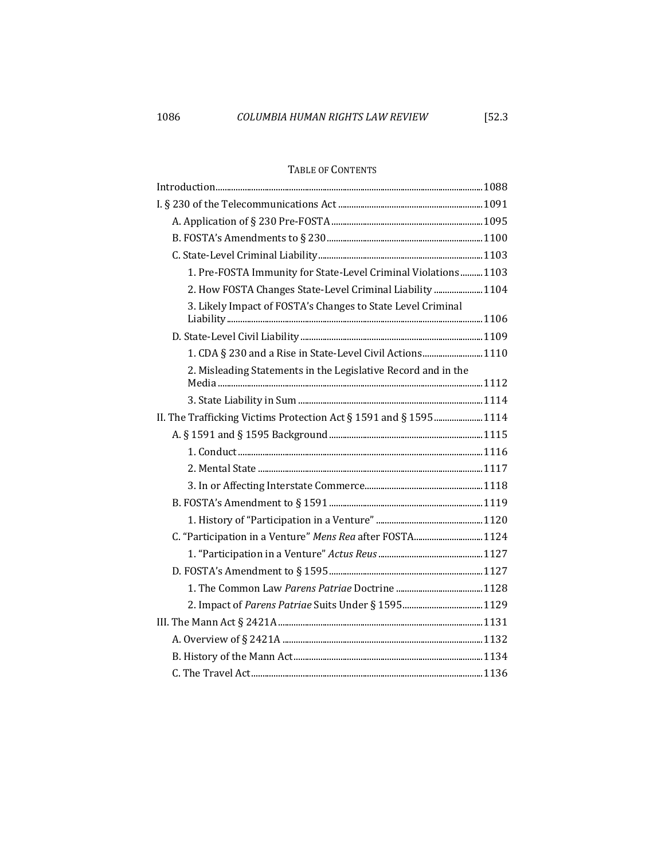# TABLE OF CONTENTS

| 1. Pre-FOSTA Immunity for State-Level Criminal Violations 1103    |  |
|-------------------------------------------------------------------|--|
| 2. How FOSTA Changes State-Level Criminal Liability  1104         |  |
| 3. Likely Impact of FOSTA's Changes to State Level Criminal       |  |
|                                                                   |  |
| 1. CDA § 230 and a Rise in State-Level Civil Actions1110          |  |
| 2. Misleading Statements in the Legislative Record and in the     |  |
|                                                                   |  |
|                                                                   |  |
| II. The Trafficking Victims Protection Act § 1591 and § 1595 1114 |  |
|                                                                   |  |
|                                                                   |  |
|                                                                   |  |
|                                                                   |  |
|                                                                   |  |
|                                                                   |  |
| C. "Participation in a Venture" Mens Rea after FOSTA 1124         |  |
|                                                                   |  |
|                                                                   |  |
|                                                                   |  |
|                                                                   |  |
|                                                                   |  |
|                                                                   |  |
|                                                                   |  |
|                                                                   |  |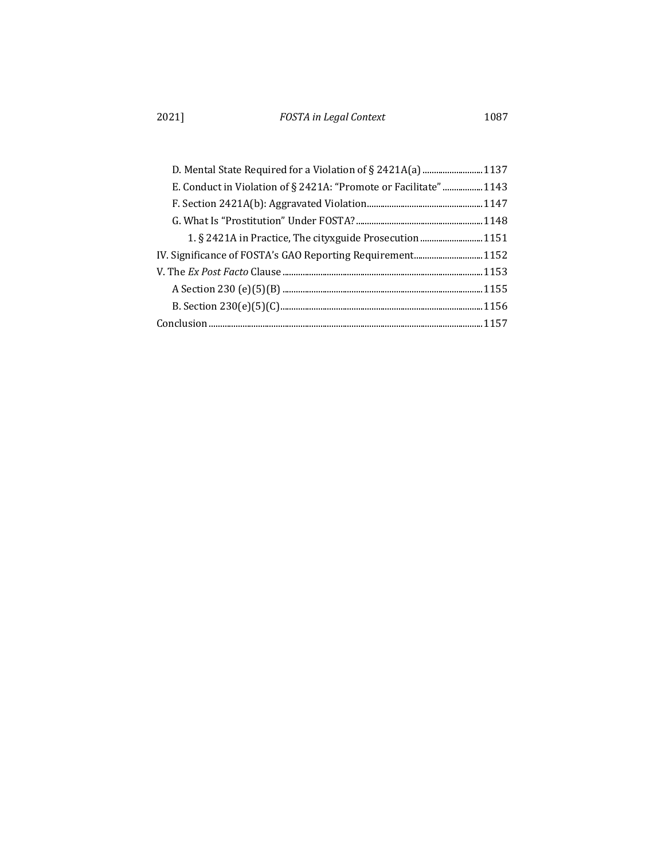| D. Mental State Required for a Violation of § 2421A(a)  1137     |  |
|------------------------------------------------------------------|--|
| E. Conduct in Violation of § 2421A: "Promote or Facilitate" 1143 |  |
|                                                                  |  |
|                                                                  |  |
| 1. § 2421A in Practice, The cityxguide Prosecution  1151         |  |
|                                                                  |  |
|                                                                  |  |
|                                                                  |  |
|                                                                  |  |
|                                                                  |  |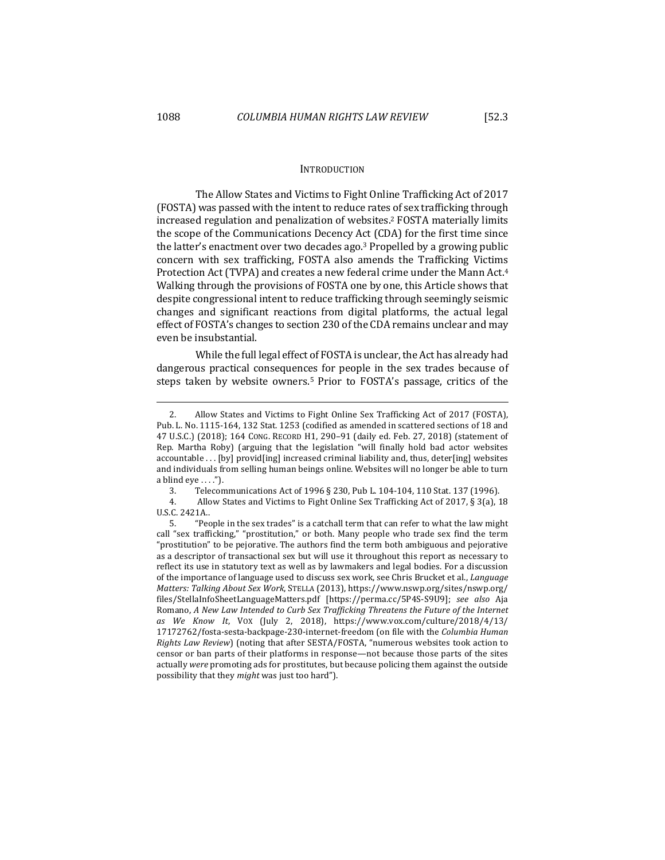### INTRODUCTION

The Allow States and Victims to Fight Online Trafficking Act of 2017 (FOSTA) was passed with the intent to reduce rates of sex trafficking through increased regulation and penalization of websites.<sup>2</sup> FOSTA materially limits the scope of the Communications Decency Act (CDA) for the first time since the latter's enactment over two decades ago.<sup>3</sup> Propelled by a growing public concern with sex trafficking, FOSTA also amends the Trafficking Victims Protection Act (TVPA) and creates a new federal crime under the Mann Act.<sup>4</sup> Walking through the provisions of FOSTA one by one, this Article shows that despite congressional intent to reduce trafficking through seemingly seismic changes and significant reactions from digital platforms, the actual legal effect of FOSTA's changes to section 230 of the CDA remains unclear and may even be insubstantial.

While the full legal effect of FOSTA is unclear, the Act has already had dangerous practical consequences for people in the sex trades because of steps taken by website owners.<sup>5</sup> Prior to FOSTA's passage, critics of the

3. Telecommunications Act of 1996 § 230, Pub L. 104-104, 110 Stat. 137 (1996).

4. Allow States and Victims to Fight Online Sex Trafficking Act of 2017, § 3(a), 18 U.S.C. 2421A..

<sup>2.</sup> Allow States and Victims to Fight Online Sex Trafficking Act of 2017 (FOSTA), Pub. L. No. 1115-164, 132 Stat. 1253 (codified as amended in scattered sections of 18 and 47 U.S.C.) (2018); 164 CONG. RECORD H1, 290-91 (daily ed. Feb. 27, 2018) (statement of Rep. Martha Roby) (arguing that the legislation "will finally hold bad actor websites accountable  $\ldots$  [by] provid[ing] increased criminal liability and, thus, deter[ing] websites and individuals from selling human beings online. Websites will no longer be able to turn a blind  $eye \ldots$ .").

<sup>5. &</sup>quot;People in the sex trades" is a catchall term that can refer to what the law might call "sex trafficking," "prostitution," or both. Many people who trade sex find the term "prostitution" to be pejorative. The authors find the term both ambiguous and pejorative as a descriptor of transactional sex but will use it throughout this report as necessary to reflect its use in statutory text as well as by lawmakers and legal bodies. For a discussion of the importance of language used to discuss sex work, see Chris Brucket et al., *Language Matters: Talking About Sex Work*, STELLA (2013), https://www.nswp.org/sites/nswp.org/ files/StellaInfoSheetLanguageMatters.pdf [https://perma.cc/5P4S-S9U9]; *see also*  Aja Romano, A New Law Intended to Curb Sex Trafficking Threatens the Future of the Internet *as We Know It*, VOX (July 2, 2018), https://www.vox.com/culture/2018/4/13/ 17172762/fosta-sesta-backpage-230-internet-freedom (on file with the *Columbia Human Rights Law Review*) (noting that after SESTA/FOSTA, "numerous websites took action to censor or ban parts of their platforms in response—not because those parts of the sites actually were promoting ads for prostitutes, but because policing them against the outside possibility that they *might* was just too hard").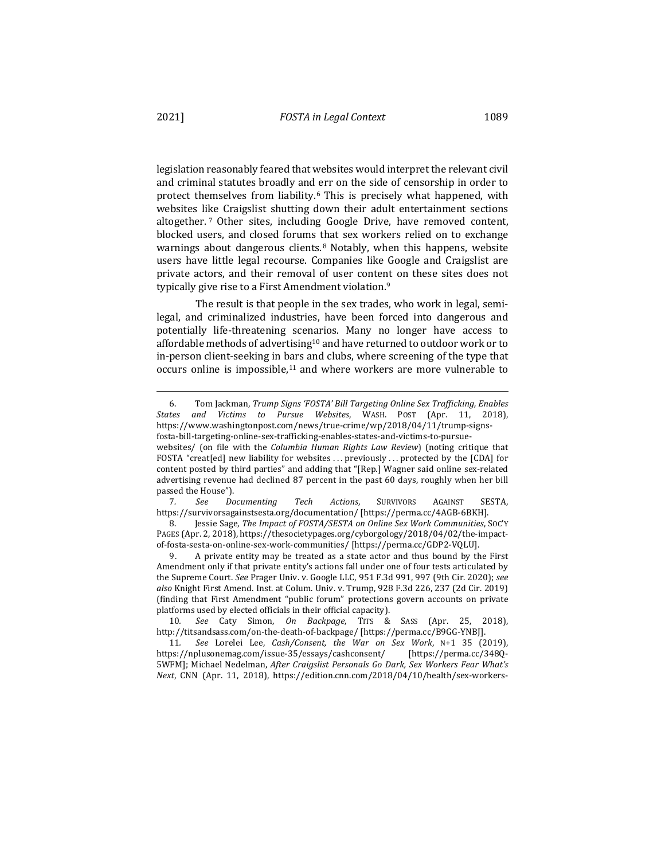legislation reasonably feared that websites would interpret the relevant civil and criminal statutes broadly and err on the side of censorship in order to protect themselves from liability.<sup>6</sup> This is precisely what happened, with websites like Craigslist shutting down their adult entertainment sections altogether.<sup>7</sup> Other sites, including Google Drive, have removed content, blocked users, and closed forums that sex workers relied on to exchange warnings about dangerous clients.<sup>8</sup> Notably, when this happens, website users have little legal recourse. Companies like Google and Craigslist are private actors, and their removal of user content on these sites does not typically give rise to a First Amendment violation.<sup>9</sup>

The result is that people in the sex trades, who work in legal, semilegal, and criminalized industries, have been forced into dangerous and potentially life-threatening scenarios. Many no longer have access to affordable methods of advertising<sup>10</sup> and have returned to outdoor work or to in-person client-seeking in bars and clubs, where screening of the type that occurs online is impossible, $11$  and where workers are more vulnerable to

7*. See Documenting Tech Actions*, SURVIVORS AGAINST SESTA, https://survivorsagainstsesta.org/documentation/ [https://perma.cc/4AGB-6BKH].

8. Jessie Sage, *The Impact of FOSTA/SESTA on Online Sex Work Communities*, Soc'y PAGES (Apr. 2, 2018), https://thesocietypages.org/cyborgology/2018/04/02/the-impactof-fosta-sesta-on-online-sex-work-communities/ [https://perma.cc/GDP2-VQLU].

9. A private entity may be treated as a state actor and thus bound by the First Amendment only if that private entity's actions fall under one of four tests articulated by the Supreme Court. See Prager Univ. v. Google LLC, 951 F.3d 991, 997 (9th Cir. 2020); see also Knight First Amend. Inst. at Colum. Univ. v. Trump, 928 F.3d 226, 237 (2d Cir. 2019) (finding that First Amendment "public forum" protections govern accounts on private platforms used by elected officials in their official capacity).

10*. See*  Caty Simon, *On Backpage*, TITS & SASS (Apr. 25, 2018), http://titsandsass.com/on-the-death-of-backpage/ [https://perma.cc/B9GG-YNBJ].

11*. See*  Lorelei Lee, *Cash/Consent, the War on Sex Work*, N+1 35 (2019), https://nplusonemag.com/issue-35/essays/cashconsent/ [https://perma.cc/348Q-5WFM]; Michael Nedelman, *After Craigslist Personals Go Dark, Sex Workers Fear What's Next*, CNN (Apr. 11, 2018), https://edition.cnn.com/2018/04/10/health/sex-workers-

<sup>6.</sup> Tom Jackman, *Trump Signs 'FOSTA' Bill Targeting Online Sex Trafficking, Enables States and Victims to Pursue Websites*, WASH. POST (Apr. 11, 2018), https://www.washingtonpost.com/news/true-crime/wp/2018/04/11/trump-signsfosta-bill-targeting-online-sex-trafficking-enables-states-and-victims-to-pursue-

websites/ (on file with the *Columbia Human Rights Law Review*) (noting critique that FOSTA "creat[ed] new liability for websites ... previously ... protected by the [CDA] for content posted by third parties" and adding that "[Rep.] Wagner said online sex-related advertising revenue had declined 87 percent in the past 60 days, roughly when her bill passed the House").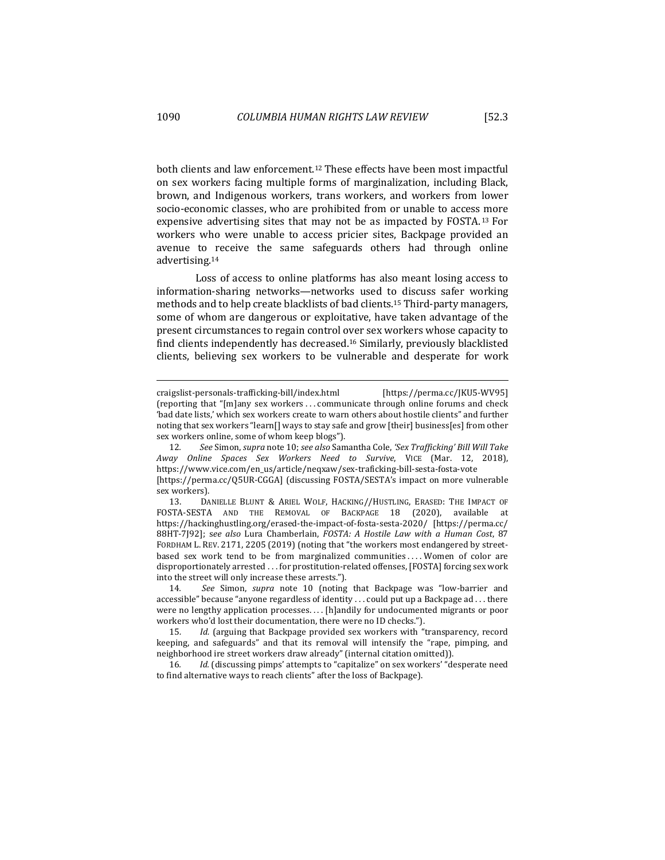both clients and law enforcement.<sup>12</sup> These effects have been most impactful on sex workers facing multiple forms of marginalization, including Black, brown, and Indigenous workers, trans workers, and workers from lower socio-economic classes, who are prohibited from or unable to access more expensive advertising sites that may not be as impacted by FOSTA.<sup>13</sup> For workers who were unable to access pricier sites, Backpage provided an avenue to receive the same safeguards others had through online advertising.14

Loss of access to online platforms has also meant losing access to information-sharing networks—networks used to discuss safer working methods and to help create blacklists of bad clients.<sup>15</sup> Third-party managers, some of whom are dangerous or exploitative, have taken advantage of the present circumstances to regain control over sex workers whose capacity to find clients independently has decreased.<sup>16</sup> Similarly, previously blacklisted clients, believing sex workers to be vulnerable and desperate for work

craigslist-personals-trafficking-bill/index.html [https://perma.cc/JKU5-WV95] (reporting that "[m]any sex workers ... communicate through online forums and check 'bad date lists,' which sex workers create to warn others about hostile clients" and further noting that sex workers "learn[] ways to stay safe and grow [their] business[es] from other sex workers online, some of whom keep blogs").

<sup>12.</sup> See Simon, *supra* note 10; *see also* Samantha Cole, 'Sex Trafficking' Bill Will Take *Away Online Spaces Sex Workers Need to Survive*, VICE (Mar. 12, 2018), https://www.vice.com/en\_us/article/neqxaw/sex-traficking-bill-sesta-fosta-vote [https://perma.cc/Q5UR-CGGA] (discussing FOSTA/SESTA's impact on more vulnerable

sex workers).

<sup>13.</sup> DANIELLE BLUNT & ARIEL WOLF, HACKING//HUSTLING, ERASED: THE IMPACT OF FOSTA-SESTA AND THE REMOVAL OF BACKPAGE 18 (2020), available at https://hackinghustling.org/erased-the-impact-of-fosta-sesta-2020/ [https://perma.cc/ 88HT-7J92]; see also Lura Chamberlain, *FOSTA: A Hostile Law with a Human Cost*, 87 FORDHAM L. REV. 2171, 2205 (2019) (noting that "the workers most endangered by streetbased sex work tend to be from marginalized communities .... Women of color are disproportionately arrested . . . for prostitution-related offenses, [FOSTA] forcing sex work into the street will only increase these arrests.").

<sup>14</sup>*. See*  Simon, *supra*  note 10 (noting that Backpage was "low-barrier and accessible" because "anyone regardless of identity  $\dots$  could put up a Backpage ad  $\dots$  there were no lengthy application processes.... [h]andily for undocumented migrants or poor workers who'd lost their documentation, there were no ID checks.").

<sup>15.</sup> *Id.* (arguing that Backpage provided sex workers with "transparency, record keeping, and safeguards" and that its removal will intensify the "rape, pimping, and neighborhood ire street workers draw already" (internal citation omitted)).

<sup>16.</sup> *Id.* (discussing pimps' attempts to "capitalize" on sex workers' "desperate need to find alternative ways to reach clients" after the loss of Backpage).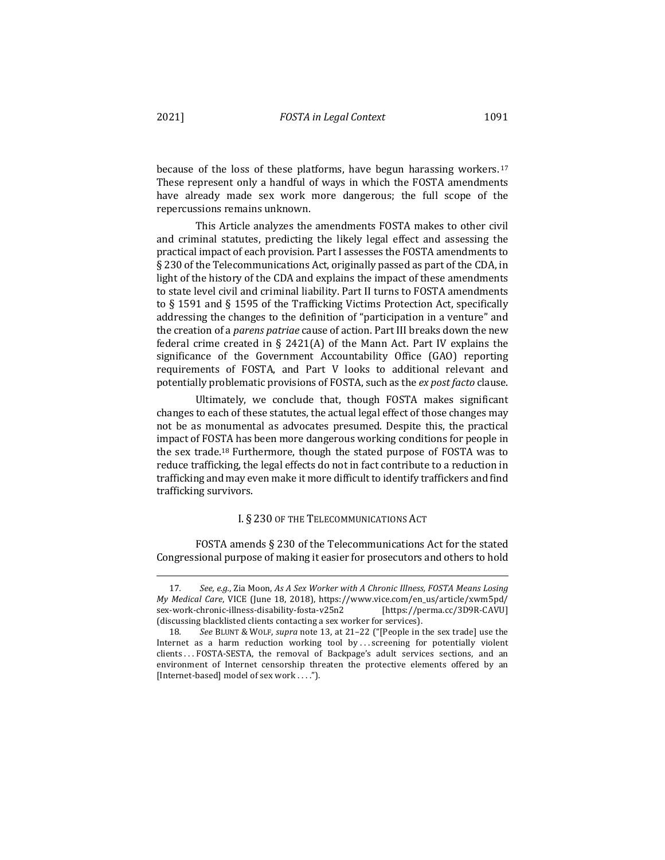because of the loss of these platforms, have begun harassing workers.  $17$ These represent only a handful of ways in which the FOSTA amendments have already made sex work more dangerous; the full scope of the repercussions remains unknown.

This Article analyzes the amendments FOSTA makes to other civil and criminal statutes, predicting the likely legal effect and assessing the practical impact of each provision. Part I assesses the FOSTA amendments to  $\S$  230 of the Telecommunications Act, originally passed as part of the CDA, in light of the history of the CDA and explains the impact of these amendments to state level civil and criminal liability. Part II turns to FOSTA amendments to § 1591 and § 1595 of the Trafficking Victims Protection Act, specifically addressing the changes to the definition of "participation in a venture" and the creation of a *parens patriae* cause of action. Part III breaks down the new federal crime created in § 2421(A) of the Mann Act. Part IV explains the significance of the Government Accountability Office (GAO) reporting requirements of FOSTA, and Part V looks to additional relevant and potentially problematic provisions of FOSTA, such as the ex post facto clause.

Ultimately, we conclude that, though FOSTA makes significant changes to each of these statutes, the actual legal effect of those changes may not be as monumental as advocates presumed. Despite this, the practical impact of FOSTA has been more dangerous working conditions for people in the sex trade.<sup>18</sup> Furthermore, though the stated purpose of FOSTA was to reduce trafficking, the legal effects do not in fact contribute to a reduction in trafficking and may even make it more difficult to identify traffickers and find trafficking survivors.

# I. § 230 OF THE TELECOMMUNICATIONS ACT

FOSTA amends  $\S$  230 of the Telecommunications Act for the stated Congressional purpose of making it easier for prosecutors and others to hold

<sup>17.</sup> See, e.g., Zia Moon, As A Sex Worker with A Chronic Illness, FOSTA Means Losing *My Medical Care*, VICE (June 18, 2018), https://www.vice.com/en\_us/article/xwm5pd/ sex-work-chronic-illness-disability-fosta-v25n2 [https://perma.cc/3D9R-CAVU] (discussing blacklisted clients contacting a sex worker for services).

<sup>18.</sup> See BLUNT & WOLF, *supra* note 13, at 21-22 ("[People in the sex trade] use the Internet as a harm reduction working tool by ... screening for potentially violent clients . . . FOSTA-SESTA, the removal of Backpage's adult services sections, and an environment of Internet censorship threaten the protective elements offered by an [Internet-based] model of sex work . . . .").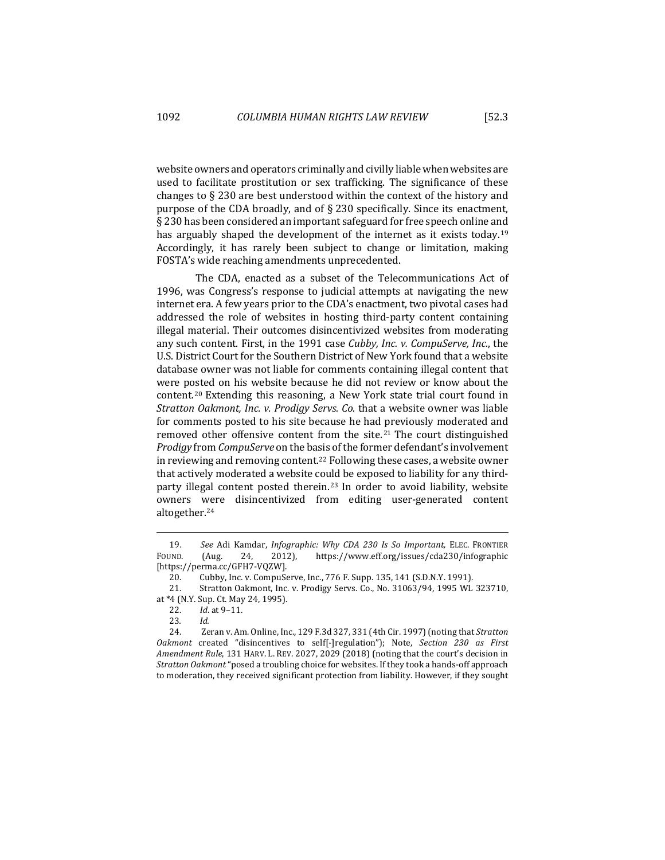website owners and operators criminally and civilly liable when websites are used to facilitate prostitution or sex trafficking. The significance of these changes to  $\S$  230 are best understood within the context of the history and purpose of the CDA broadly, and of  $\S 230$  specifically. Since its enactment, § 230 has been considered an important safeguard for free speech online and has arguably shaped the development of the internet as it exists today.<sup>19</sup> Accordingly, it has rarely been subject to change or limitation, making FOSTA's wide reaching amendments unprecedented.

The CDA, enacted as a subset of the Telecommunications Act of 1996, was Congress's response to judicial attempts at navigating the new internet era. A few years prior to the CDA's enactment, two pivotal cases had addressed the role of websites in hosting third-party content containing illegal material. Their outcomes disincentivized websites from moderating any such content. First, in the 1991 case *Cubby, Inc. v. CompuServe, Inc.*, the U.S. District Court for the Southern District of New York found that a website database owner was not liable for comments containing illegal content that were posted on his website because he did not review or know about the content.<sup>20</sup> Extending this reasoning, a New York state trial court found in *Stratton Oakmont, Inc. v. Prodigy Servs. Co.* that a website owner was liable for comments posted to his site because he had previously moderated and removed other offensive content from the site.<sup>21</sup> The court distinguished *Prodigy* from *CompuServe* on the basis of the former defendant's involvement in reviewing and removing content.<sup>22</sup> Following these cases, a website owner that actively moderated a website could be exposed to liability for any thirdparty illegal content posted therein.<sup>23</sup> In order to avoid liability, website owners were disincentivized from editing user-generated content altogether.24

<sup>19.</sup> See Adi Kamdar, *Infographic: Why CDA 230 Is So Important*, ELEC. FRONTIER FOUND. (Aug. 24, 2012), https://www.eff.org/issues/cda230/infographic [https://perma.cc/GFH7-VQZW].

<sup>20.</sup> Cubby, Inc. v. CompuServe, Inc., 776 F. Supp. 135, 141 (S.D.N.Y. 1991).

<sup>21.</sup> Stratton Oakmont, Inc. v. Prodigy Servs. Co., No. 31063/94, 1995 WL 323710, at \*4 (N.Y. Sup. Ct. May 24, 1995).

<sup>22.</sup> *Id.* at 9-11.

<sup>23</sup>*. Id.*

<sup>24.</sup> *Zeran v. Am. Online, Inc., 129 F.3d 327, 331 (4th Cir. 1997)* (noting that *Stratton Oakmont* created "disincentives to self[-]regulation"); Note, Section 230 as First *Amendment Rule*, 131 HARV. L. REV. 2027, 2029 (2018) (noting that the court's decision in *Stratton Oakmont* "posed a troubling choice for websites. If they took a hands-off approach to moderation, they received significant protection from liability. However, if they sought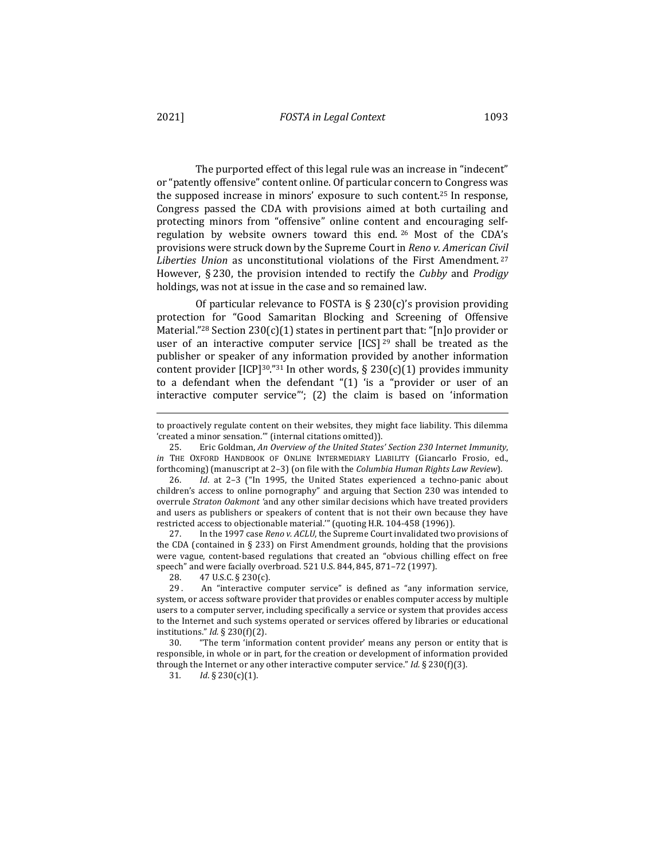The purported effect of this legal rule was an increase in "indecent" or "patently offensive" content online. Of particular concern to Congress was the supposed increase in minors' exposure to such content.<sup>25</sup> In response, Congress passed the CDA with provisions aimed at both curtailing and protecting minors from "offensive" online content and encouraging selfregulation by website owners toward this end.  $26$  Most of the CDA's provisions were struck down by the Supreme Court in *Reno v. American Civil* Liberties Union as unconstitutional violations of the First Amendment.<sup>27</sup> However, § 230, the provision intended to rectify the *Cubby* and *Prodigy* holdings, was not at issue in the case and so remained law.

Of particular relevance to FOSTA is  $\S$  230(c)'s provision providing protection for "Good Samaritan Blocking and Screening of Offensive Material."<sup>28</sup> Section  $230(c)(1)$  states in pertinent part that: "[n]o provider or user of an interactive computer service  $[ICS]$  29 shall be treated as the publisher or speaker of any information provided by another information content provider  $[ICP]^{30}$ ."<sup>31</sup> In other words, § 230(c)(1) provides immunity to a defendant when the defendant " $(1)$  'is a "provider or user of an interactive computer service";  $(2)$  the claim is based on 'information

27. In the 1997 case *Reno v. ACLU*, the Supreme Court invalidated two provisions of the CDA (contained in § 233) on First Amendment grounds, holding that the provisions were vague, content-based regulations that created an "obvious chilling effect on free speech" and were facially overbroad. 521 U.S. 844, 845, 871-72 (1997).

28. 47 U.S.C. § 230(c).

29. An "interactive computer service" is defined as "any information service, system, or access software provider that provides or enables computer access by multiple users to a computer server, including specifically a service or system that provides access to the Internet and such systems operated or services offered by libraries or educational institutions." *Id.* § 230(f)(2).

30. "The term 'information content provider' means any person or entity that is responsible, in whole or in part, for the creation or development of information provided through the Internet or any other interactive computer service."  $Id. \S$  230(f)(3).

31*. Id*. § 230(c)(1).

to proactively regulate content on their websites, they might face liability. This dilemma 'created a minor sensation."" (internal citations omitted)).

<sup>25.</sup> Eric Goldman, An Overview of the United States' Section 230 Internet Immunity, *in* THE OXFORD HANDBOOK OF ONLINE INTERMEDIARY LIABILITY (Giancarlo Frosio, ed., forthcoming) (manuscript at 2–3) (on file with the *Columbia Human Rights Law Review*).

<sup>26.</sup> *Id.* at 2-3 ("In 1995, the United States experienced a techno-panic about children's access to online pornography" and arguing that Section 230 was intended to overrule *Straton Oakmont* 'and any other similar decisions which have treated providers and users as publishers or speakers of content that is not their own because they have restricted access to objectionable material."" (quoting H.R. 104-458 (1996)).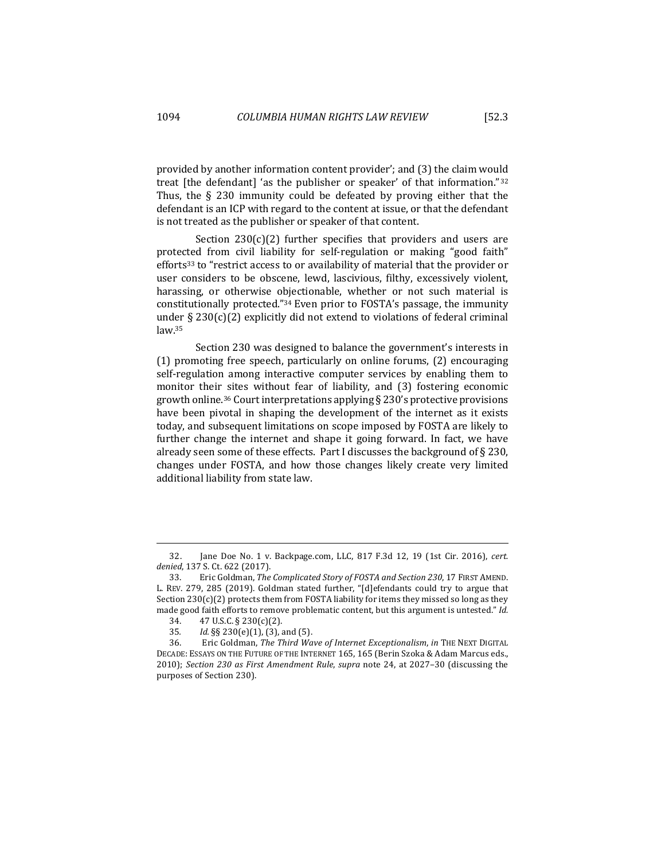provided by another information content provider'; and (3) the claim would treat  $[the$  defendant $]$  'as the publisher or speaker' of that information."<sup>32</sup> Thus, the  $\S$  230 immunity could be defeated by proving either that the defendant is an ICP with regard to the content at issue, or that the defendant is not treated as the publisher or speaker of that content.

Section  $230(c)(2)$  further specifies that providers and users are protected from civil liability for self-regulation or making "good faith" efforts<sup>33</sup> to "restrict access to or availability of material that the provider or user considers to be obscene, lewd, lascivious, filthy, excessively violent, harassing, or otherwise objectionable, whether or not such material is constitutionally protected."34 Even prior to FOSTA's passage, the immunity under  $\S 230(c)(2)$  explicitly did not extend to violations of federal criminal law.35

Section 230 was designed to balance the government's interests in  $(1)$  promoting free speech, particularly on online forums,  $(2)$  encouraging self-regulation among interactive computer services by enabling them to monitor their sites without fear of liability, and (3) fostering economic growth online.<sup>36</sup> Court interpretations applying  $\S$  230's protective provisions have been pivotal in shaping the development of the internet as it exists today, and subsequent limitations on scope imposed by FOSTA are likely to further change the internet and shape it going forward. In fact, we have already seen some of these effects. Part I discusses the background of  $\S 230$ , changes under FOSTA, and how those changes likely create very limited additional liability from state law.

<sup>32.</sup> Jane Doe No. 1 v. Backpage.com, LLC, 817 F.3d 12, 19 (1st Cir. 2016), cert. *denied*, 137 S. Ct. 622 (2017).

<sup>33.</sup> Eric Goldman, *The Complicated Story of FOSTA and Section 230*, 17 FIRST AMEND. L. REV. 279, 285 (2019). Goldman stated further, "[d]efendants could try to argue that Section  $230(c)(2)$  protects them from FOSTA liability for items they missed so long as they made good faith efforts to remove problematic content, but this argument is untested." Id.

<sup>34.</sup>  $47 \text{ U.S.C.} \S 230(c)(2)$ .

<sup>35.</sup> *Id.* §§ 230(e)(1), (3), and (5).

<sup>36.</sup> Eric Goldman, *The Third Wave of Internet Exceptionalism*, *in* THE NEXT DIGITAL DECADE: ESSAYS ON THE FUTURE OF THE INTERNET 165, 165 (Berin Szoka & Adam Marcus eds., 2010); *Section 230 as First Amendment Rule, supra* note 24, at 2027-30 (discussing the purposes of Section 230).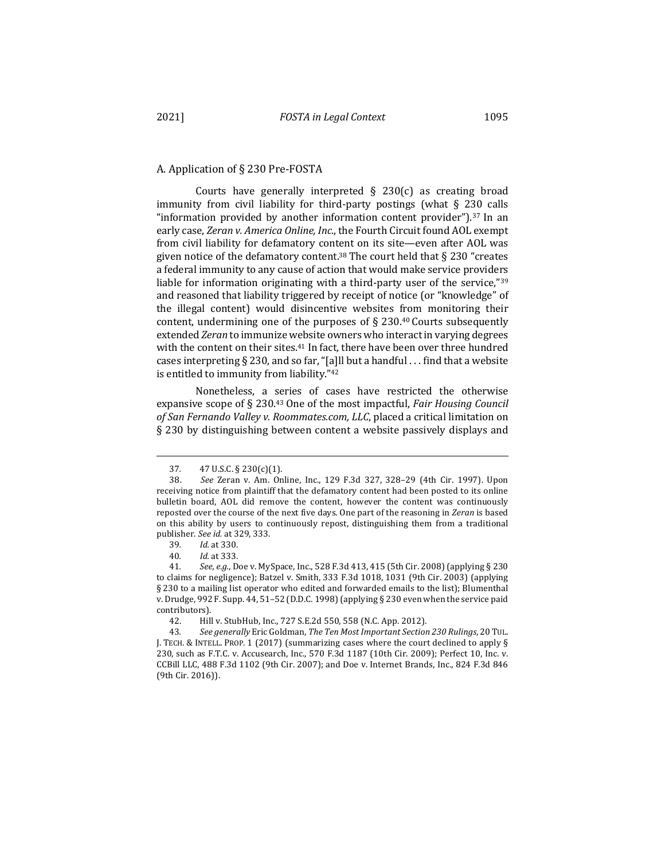# A. Application of § 230 Pre-FOSTA

Courts have generally interpreted  $\S$  230(c) as creating broad immunity from civil liability for third-party postings (what  $\S$  230 calls "information provided by another information content provider").<sup>37</sup> In an early case, *Zeran v. America Online, Inc.*, the Fourth Circuit found AOL exempt from civil liability for defamatory content on its site—even after AOL was given notice of the defamatory content.<sup>38</sup> The court held that  $\S$  230 "creates a federal immunity to any cause of action that would make service providers liable for information originating with a third-party user of the service," $39$ and reasoned that liability triggered by receipt of notice (or "knowledge" of the illegal content) would disincentive websites from monitoring their content, undermining one of the purposes of  $\S$  230.<sup>40</sup> Courts subsequently extended *Zeran* to immunize website owners who interact in varying degrees with the content on their sites. $41$  In fact, there have been over three hundred cases interpreting § 230, and so far, "[a]ll but a handful . . . find that a website is entitled to immunity from liability."<sup>42</sup>

Nonetheless, a series of cases have restricted the otherwise expansive scope of  $\S$  230.<sup>43</sup> One of the most impactful, *Fair Housing Council* of San Fernando Valley v. Roommates.com, LLC, placed a critical limitation on § 230 by distinguishing between content a website passively displays and

<sup>37</sup>*.*  47 U.S.C. § 230(c)(1).

<sup>38</sup>*. See*  Zeran v. Am. Online, Inc., 129 F.3d 327, 328–29 (4th Cir. 1997). Upon receiving notice from plaintiff that the defamatory content had been posted to its online bulletin board, AOL did remove the content, however the content was continuously reposted over the course of the next five days. One part of the reasoning in *Zeran* is based on this ability by users to continuously repost, distinguishing them from a traditional publisher. *See id.* at 329, 333.

<sup>39</sup>*. Id.* at 330.

<sup>40</sup>*. Id.* at 333.

<sup>41.</sup> See, e.g., Doe v. MySpace, Inc., 528 F.3d 413, 415 (5th Cir. 2008) (applying § 230 to claims for negligence); Batzel v. Smith, 333 F.3d 1018, 1031 (9th Cir. 2003) (applying § 230 to a mailing list operator who edited and forwarded emails to the list); Blumenthal v. Drudge, 992 F. Supp. 44, 51-52 (D.D.C. 1998) (applying § 230 even when the service paid contributors).

<sup>42.</sup> Hill v. StubHub, Inc., 727 S.E.2d 550, 558 (N.C. App. 2012).

<sup>43.</sup> See generally Eric Goldman, *The Ten Most Important Section 230 Rulings*, 20 TUL. J. TECH. & INTELL. PROP. 1 (2017) (summarizing cases where the court declined to apply  $\S$ 230, such as F.T.C. v. Accusearch, Inc., 570 F.3d 1187 (10th Cir. 2009); Perfect 10, Inc. v. CCBill LLC, 488 F.3d 1102 (9th Cir. 2007); and Doe v. Internet Brands, Inc., 824 F.3d 846 (9th Cir. 2016)).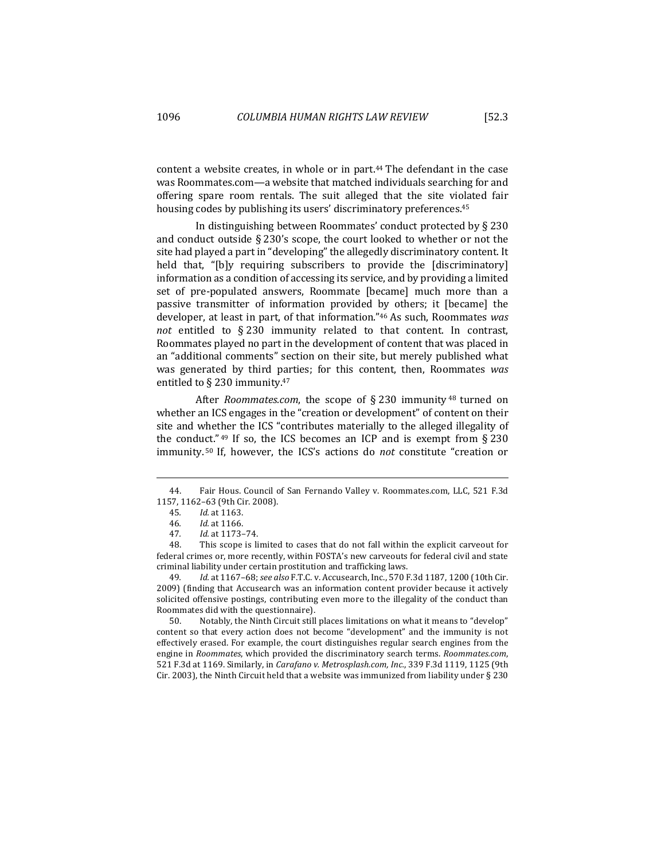content a website creates, in whole or in part. $44$  The defendant in the case was Roommates.com—a website that matched individuals searching for and offering spare room rentals. The suit alleged that the site violated fair housing codes by publishing its users' discriminatory preferences.<sup>45</sup>

In distinguishing between Roommates' conduct protected by  $\S 230$ and conduct outside  $\S 230$ 's scope, the court looked to whether or not the site had played a part in "developing" the allegedly discriminatory content. It held that, "[b]y requiring subscribers to provide the [discriminatory] information as a condition of accessing its service, and by providing a limited set of pre-populated answers, Roommate [became] much more than a passive transmitter of information provided by others; it [became] the developer, at least in part, of that information."<sup>46</sup> As such, Roommates was *not* entitled to § 230 immunity related to that content. In contrast, Roommates played no part in the development of content that was placed in an "additional comments" section on their site, but merely published what was generated by third parties; for this content, then, Roommates was entitled to  $\S$  230 immunity.<sup>47</sup>

After *Roommates.com*, the scope of § 230 immunity <sup>48</sup> turned on whether an ICS engages in the "creation or development" of content on their site and whether the ICS "contributes materially to the alleged illegality of the conduct." <sup>49</sup> If so, the ICS becomes an ICP and is exempt from § 230 immunity.<sup>50</sup> If, however, the ICS's actions do *not* constitute "creation or

50. Notably, the Ninth Circuit still places limitations on what it means to "develop" content so that every action does not become "development" and the immunity is not effectively erased. For example, the court distinguishes regular search engines from the engine in *Roommates*, which provided the discriminatory search terms. *Roommates.com*, 521 F.3d at 1169. Similarly, in *Carafano v. Metrosplash.com, Inc.*, 339 F.3d 1119, 1125 (9th Cir. 2003), the Ninth Circuit held that a website was immunized from liability under  $\S 230$ 

<sup>44.</sup> Fair Hous. Council of San Fernando Valley v. Roommates.com, LLC, 521 F.3d 1157, 1162-63 (9th Cir. 2008).

<sup>45</sup>*. Id.* at 1163.

<sup>46</sup>*. Id.* at 1166.

<sup>47</sup>*. Id.* at 1173–74.

<sup>48.</sup> This scope is limited to cases that do not fall within the explicit carveout for federal crimes or, more recently, within FOSTA's new carveouts for federal civil and state criminal liability under certain prostitution and trafficking laws.

<sup>49</sup>*. Id.* at 1167–68; *see also* F.T.C. v. Accusearch, Inc., 570 F.3d 1187, 1200 (10th Cir. 2009) (finding that Accusearch was an information content provider because it actively solicited offensive postings, contributing even more to the illegality of the conduct than Roommates did with the questionnaire).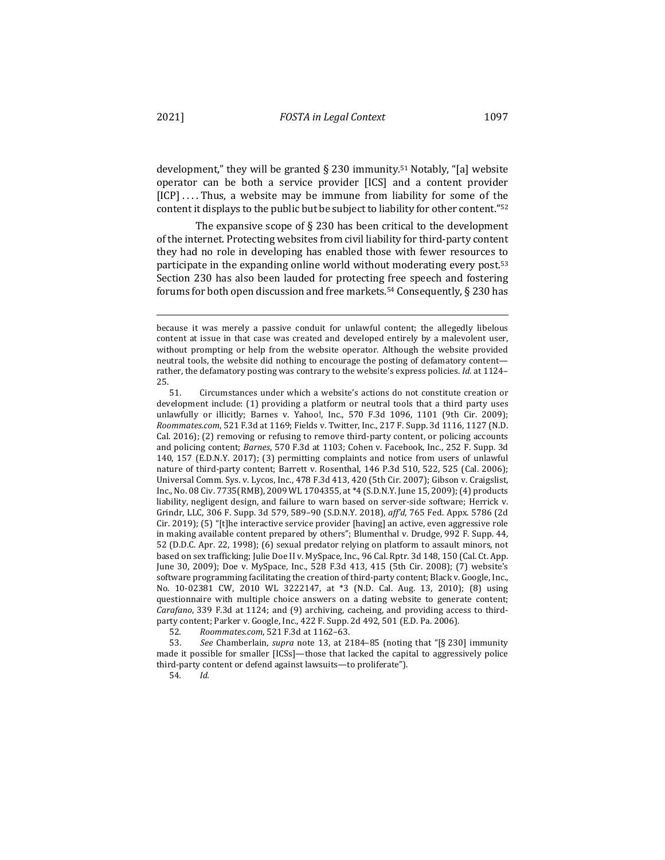development," they will be granted  $\S$  230 immunity.<sup>51</sup> Notably, "[a] website operator can be both a service provider [ICS] and a content provider  $[ICP] \ldots$ . Thus, a website may be immune from liability for some of the content it displays to the public but be subject to liability for other content."<sup>52</sup>

The expansive scope of  $\S$  230 has been critical to the development of the internet. Protecting websites from civil liability for third-party content they had no role in developing has enabled those with fewer resources to participate in the expanding online world without moderating every post.<sup>53</sup> Section 230 has also been lauded for protecting free speech and fostering forums for both open discussion and free markets.<sup>54</sup> Consequently,  $\S$  230 has

52*. Roommates.com*, 521 F.3d at 1162–63.

53. See Chamberlain, *supra* note 13, at 2184–85 (noting that "[§ 230] immunity made it possible for smaller  $[ICSs]$ —those that lacked the capital to aggressively police third-party content or defend against lawsuits—to proliferate").

54*. Id.*

because it was merely a passive conduit for unlawful content; the allegedly libelous content at issue in that case was created and developed entirely by a malevolent user, without prompting or help from the website operator. Although the website provided neutral tools, the website did nothing to encourage the posting of defamatory content rather, the defamatory posting was contrary to the website's express policies. *Id.* at 1124–  $25.$  51.

Circumstances under which a website's actions do not constitute creation or development include:  $(1)$  providing a platform or neutral tools that a third party uses unlawfully or illicitly; Barnes v. Yahoo!, Inc., 570 F.3d 1096, 1101 (9th Cir. 2009); *Roommates.com*, 521 F.3d at 1169; Fields v. Twitter, Inc., 217 F. Supp. 3d 1116, 1127 (N.D. Cal. 2016); (2) removing or refusing to remove third-party content, or policing accounts and policing content; *Barnes*, 570 F.3d at 1103; Cohen v. Facebook, Inc., 252 F. Supp. 3d 140, 157 (E.D.N.Y. 2017); (3) permitting complaints and notice from users of unlawful nature of third-party content; Barrett v. Rosenthal, 146 P.3d 510, 522, 525 (Cal. 2006); Universal Comm. Sys. v. Lycos, Inc., 478 F.3d 413, 420 (5th Cir. 2007); Gibson v. Craigslist, Inc., No. 08 Civ. 7735(RMB), 2009 WL 1704355, at \*4 (S.D.N.Y. June 15, 2009); (4) products liability, negligent design, and failure to warn based on server-side software; Herrick v. Grindr, LLC, 306 F. Supp. 3d 579, 589-90 (S.D.N.Y. 2018), aff'd, 765 Fed. Appx. 5786 (2d Cir. 2019);  $(5)$  "[t]he interactive service provider [having] an active, even aggressive role in making available content prepared by others"; Blumenthal v. Drudge, 992 F. Supp. 44, 52 (D.D.C. Apr. 22, 1998); (6) sexual predator relying on platform to assault minors, not based on sex trafficking; Julie Doe II v. MySpace, Inc., 96 Cal. Rptr. 3d 148, 150 (Cal. Ct. App. June 30, 2009); Doe v. MySpace, Inc., 528 F.3d 413, 415 (5th Cir. 2008); (7) website's software programming facilitating the creation of third-party content; Black v. Google, Inc., No. 10-02381 CW, 2010 WL 3222147, at \*3 (N.D. Cal. Aug. 13, 2010); (8) using questionnaire with multiple choice answers on a dating website to generate content; *Carafano*, 339 F.3d at 1124; and (9) archiving, cacheing, and providing access to thirdparty content; Parker v. Google, Inc., 422 F. Supp. 2d 492, 501 (E.D. Pa. 2006).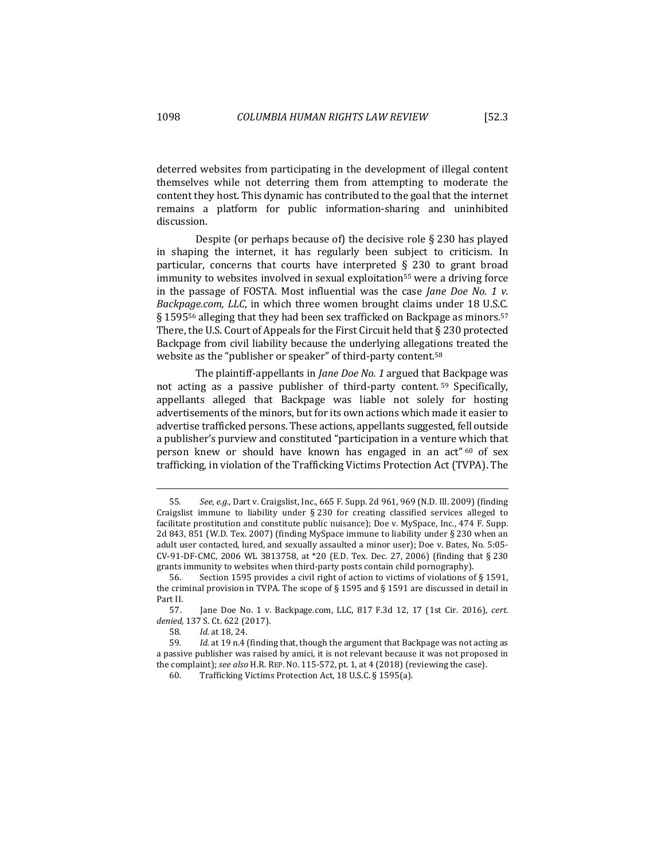deterred websites from participating in the development of illegal content themselves while not deterring them from attempting to moderate the content they host. This dynamic has contributed to the goal that the internet remains a platform for public information-sharing and uninhibited discussion.

Despite (or perhaps because of) the decisive role  $\S$  230 has played in shaping the internet, it has regularly been subject to criticism. In particular, concerns that courts have interpreted  $\S$  230 to grant broad immunity to websites involved in sexual exploitation<sup>55</sup> were a driving force in the passage of FOSTA. Most influential was the case *Jane Doe No.* 1  $\nu$ . *Backpage.com, LLC*, in which three women brought claims under 18 U.S.C. § 1595<sup>56</sup> alleging that they had been sex trafficked on Backpage as minors.<sup>57</sup> There, the U.S. Court of Appeals for the First Circuit held that  $\S$  230 protected Backpage from civil liability because the underlying allegations treated the website as the "publisher or speaker" of third-party content.<sup>58</sup>

The plaintiff-appellants in *Jane Doe No.* 1 argued that Backpage was not acting as a passive publisher of third-party content.  $59$  Specifically, appellants alleged that Backpage was liable not solely for hosting advertisements of the minors, but for its own actions which made it easier to advertise trafficked persons. These actions, appellants suggested, fell outside a publisher's purview and constituted "participation in a venture which that person knew or should have known has engaged in an act"  $60$  of sex trafficking, in violation of the Trafficking Victims Protection Act (TVPA). The

<sup>55.</sup> See, e.g., Dart v. Craigslist, Inc., 665 F. Supp. 2d 961, 969 (N.D. Ill. 2009) (finding Craigslist immune to liability under  $\S 230$  for creating classified services alleged to facilitate prostitution and constitute public nuisance); Doe v. MySpace, Inc., 474 F. Supp. 2d 843, 851 (W.D. Tex. 2007) (finding MySpace immune to liability under § 230 when an adult user contacted, lured, and sexually assaulted a minor user); Doe v. Bates, No. 5:05-CV-91-DF-CMC, 2006 WL 3813758, at  $*20$  (E.D. Tex. Dec. 27, 2006) (finding that § 230 grants immunity to websites when third-party posts contain child pornography).

<sup>56.</sup> Section 1595 provides a civil right of action to victims of violations of § 1591, the criminal provision in TVPA. The scope of  $\S$  1595 and  $\S$  1591 are discussed in detail in Part II.

<sup>57.</sup> Jane Doe No. 1 v. Backpage.com, LLC, 817 F.3d 12, 17 (1st Cir. 2016), cert. *denied*, 137 S. Ct. 622 (2017).

<sup>58</sup>*. Id.* at 18, 24.

<sup>59.</sup> *Id.* at 19 n.4 (finding that, though the argument that Backpage was not acting as a passive publisher was raised by amici, it is not relevant because it was not proposed in the complaint); *see also* H.R. REP. No. 115-572, pt. 1, at 4 (2018) (reviewing the case).

<sup>60.</sup> Trafficking Victims Protection Act, 18 U.S.C. § 1595(a).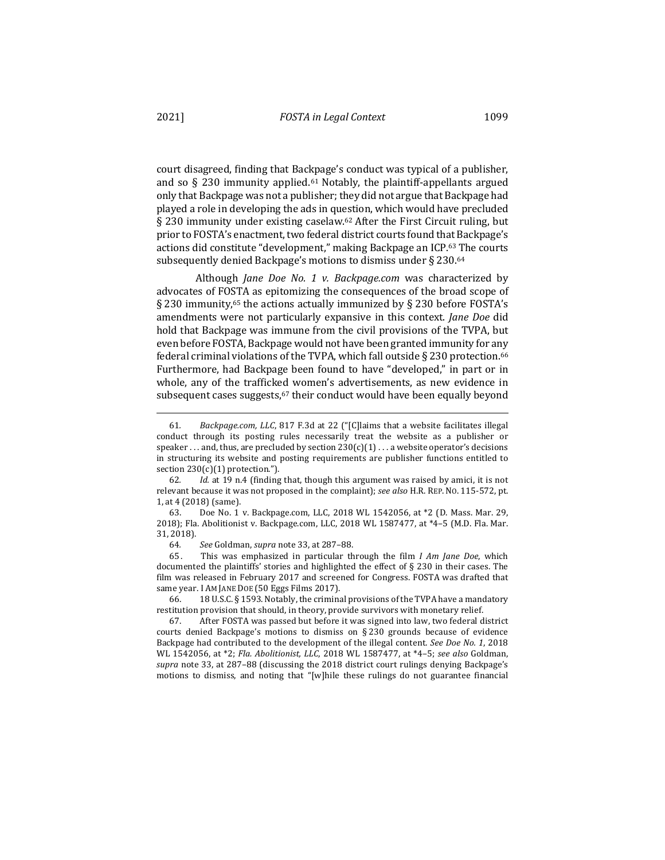court disagreed, finding that Backpage's conduct was typical of a publisher, and so  $\S$  230 immunity applied.<sup>61</sup> Notably, the plaintiff-appellants argued only that Backpage was not a publisher; they did not argue that Backpage had played a role in developing the ads in question, which would have precluded § 230 immunity under existing caselaw.<sup>62</sup> After the First Circuit ruling, but prior to FOSTA's enactment, two federal district courts found that Backpage's actions did constitute "development," making Backpage an ICP.63 The courts subsequently denied Backpage's motions to dismiss under § 230.64

Although *Jane Doe No. 1 v. Backpage.com* was characterized by advocates of FOSTA as epitomizing the consequences of the broad scope of § 230 immunity,<sup>65</sup> the actions actually immunized by § 230 before FOSTA's amendments were not particularly expansive in this context. *Jane Doe* did hold that Backpage was immune from the civil provisions of the TVPA, but even before FOSTA, Backpage would not have been granted immunity for any federal criminal violations of the TVPA, which fall outside  $\S$  230 protection.<sup>66</sup> Furthermore, had Backpage been found to have "developed," in part or in whole, any of the trafficked women's advertisements, as new evidence in subsequent cases suggests, $67$  their conduct would have been equally beyond

65. This was emphasized in particular through the film *I Am Jane Doe*, which documented the plaintiffs' stories and highlighted the effect of  $\S$  230 in their cases. The film was released in February 2017 and screened for Congress. FOSTA was drafted that same year. I AM JANE DOE (50 Eggs Films 2017).

66. 18 U.S.C. § 1593. Notably, the criminal provisions of the TVPA have a mandatory restitution provision that should, in theory, provide survivors with monetary relief.

67. After FOSTA was passed but before it was signed into law, two federal district courts denied Backpage's motions to dismiss on  $\S 230$  grounds because of evidence Backpage had contributed to the development of the illegal content. *See Doe No.* 1, 2018 WL 1542056, at  $*2$ ; *Fla. Abolitionist, LLC*, 2018 WL 1587477, at  $*4-5$ ; *see also* Goldman, supra note 33, at 287-88 (discussing the 2018 district court rulings denying Backpage's motions to dismiss, and noting that "[w]hile these rulings do not guarantee financial

<sup>61.</sup> *Backpage.com, LLC*, 817 F.3d at 22 ("[C]laims that a website facilitates illegal conduct through its posting rules necessarily treat the website as a publisher or speaker . . . and, thus, are precluded by section  $230(c)(1)$  . . . a website operator's decisions in structuring its website and posting requirements are publisher functions entitled to section  $230(c)(1)$  protection.").

<sup>62.</sup> *Id.* at 19 n.4 (finding that, though this argument was raised by amici, it is not relevant because it was not proposed in the complaint); see also H.R. REP. No. 115-572, pt. 1, at 4 (2018) (same).

<sup>63.</sup> Doe No. 1 v. Backpage.com, LLC, 2018 WL 1542056, at \*2 (D. Mass. Mar. 29, 2018); Fla. Abolitionist v. Backpage.com, LLC, 2018 WL 1587477, at  $*4-5$  (M.D. Fla. Mar. 31, 2018).

<sup>64</sup>*. See* Goldman, *supra* note 33, at 287–88.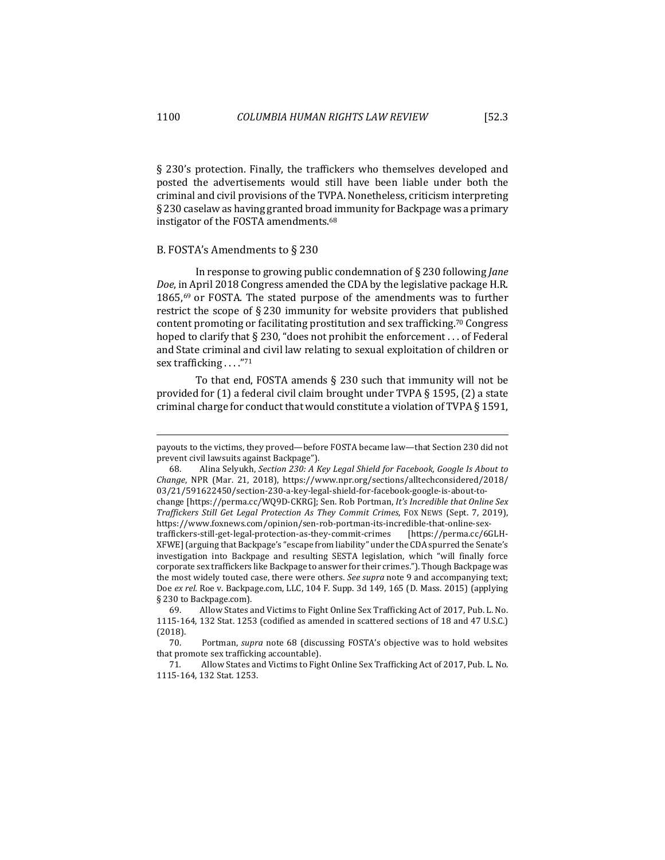§ 230's protection. Finally, the traffickers who themselves developed and posted the advertisements would still have been liable under both the criminal and civil provisions of the TVPA. Nonetheless, criticism interpreting  $\S 230$  caselaw as having granted broad immunity for Backpage was a primary instigator of the FOSTA amendments.<sup>68</sup>

### B. FOSTA's Amendments to  $\S$  230

In response to growing public condemnation of § 230 following *Jane Doe*, in April 2018 Congress amended the CDA by the legislative package H.R. 1865, $^{69}$  or FOSTA. The stated purpose of the amendments was to further restrict the scope of  $\S 230$  immunity for website providers that published content promoting or facilitating prostitution and sex trafficking.<sup>70</sup> Congress hoped to clarify that  $\S 230$ , "does not prohibit the enforcement ... of Federal and State criminal and civil law relating to sexual exploitation of children or sex trafficking . . . . "71

To that end, FOSTA amends  $\S$  230 such that immunity will not be provided for  $(1)$  a federal civil claim brought under TVPA § 1595,  $(2)$  a state criminal charge for conduct that would constitute a violation of TVPA  $\S$  1591,

payouts to the victims, they proved—before FOSTA became law—that Section 230 did not prevent civil lawsuits against Backpage").

<sup>68.</sup> Alina Selyukh, *Section 230: A Key Legal Shield for Facebook, Google Is About to Change*, NPR (Mar. 21, 2018), https://www.npr.org/sections/alltechconsidered/2018/ 03/21/591622450/section-230-a-key-legal-shield-for-facebook-google-is-about-to-

change [https://perma.cc/WQ9D-CKRG]; Sen. Rob Portman, It's Incredible that Online Sex *Traffickers Still Get Legal Protection As They Commit Crimes*, FOX NEWS (Sept. 7, 2019), https://www.foxnews.com/opinion/sen-rob-portman-its-incredible-that-online-sex-

traffickers-still-get-legal-protection-as-they-commit-crimes [https://perma.cc/6GLH-XFWE] (arguing that Backpage's "escape from liability" under the CDA spurred the Senate's investigation into Backpage and resulting SESTA legislation, which "will finally force corporate sex traffickers like Backpage to answer for their crimes."). Though Backpage was the most widely touted case, there were others. See supra note 9 and accompanying text; Doe ex rel. Roe v. Backpage.com, LLC, 104 F. Supp. 3d 149, 165 (D. Mass. 2015) (applying § 230 to Backpage.com).

<sup>69.</sup> Allow States and Victims to Fight Online Sex Trafficking Act of 2017, Pub. L. No. 1115-164, 132 Stat. 1253 (codified as amended in scattered sections of 18 and 47 U.S.C.) (2018).

<sup>70.</sup> Portman, *supra* note 68 (discussing FOSTA's objective was to hold websites that promote sex trafficking accountable).

<sup>71.</sup> Allow States and Victims to Fight Online Sex Trafficking Act of 2017, Pub. L. No. 1115-164, 132 Stat. 1253.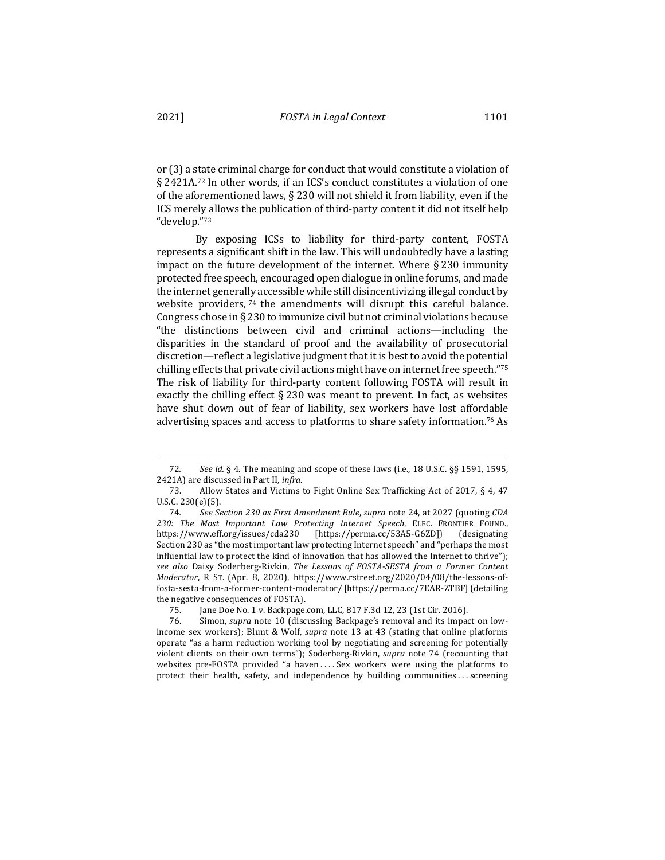or (3) a state criminal charge for conduct that would constitute a violation of § 2421A.<sup>72</sup> In other words, if an ICS's conduct constitutes a violation of one of the aforementioned laws,  $\S$  230 will not shield it from liability, even if the ICS merely allows the publication of third-party content it did not itself help "develop."73

By exposing ICSs to liability for third-party content, FOSTA represents a significant shift in the law. This will undoubtedly have a lasting impact on the future development of the internet. Where  $\S 230$  immunity protected free speech, encouraged open dialogue in online forums, and made the internet generally accessible while still disincentivizing illegal conduct by website providers,  $74$  the amendments will disrupt this careful balance. Congress chose in § 230 to immunize civil but not criminal violations because "the distinctions between civil and criminal actions—including the disparities in the standard of proof and the availability of prosecutorial discretion—reflect a legislative judgment that it is best to avoid the potential chilling effects that private civil actions might have on internet free speech."<sup>75</sup> The risk of liability for third-party content following FOSTA will result in exactly the chilling effect  $\S 230$  was meant to prevent. In fact, as websites have shut down out of fear of liability, sex workers have lost affordable advertising spaces and access to platforms to share safety information.<sup>76</sup> As

<sup>72.</sup> See id. § 4. The meaning and scope of these laws (i.e., 18 U.S.C. §§ 1591, 1595, 2421A) are discussed in Part II, *infra*.

<sup>73.</sup> Allow States and Victims to Fight Online Sex Trafficking Act of 2017, § 4, 47 U.S.C. 230(e)(5).

<sup>74.</sup> See Section 230 as First Amendment Rule, supra note 24, at 2027 (quoting CDA 230: The Most Important Law Protecting Internet Speech, ELEC. FRONTIER FOUND., https://www.eff.org/issues/cda230 [https://perma.cc/53A5-G6ZD]) (designating Section 230 as "the most important law protecting Internet speech" and "perhaps the most influential law to protect the kind of innovation that has allowed the Internet to thrive"); see also Daisy Soderberg-Rivkin, The Lessons of FOSTA-SESTA from a Former Content *Moderator*, R ST. (Apr. 8, 2020), https://www.rstreet.org/2020/04/08/the-lessons-offosta-sesta-from-a-former-content-moderator/ [https://perma.cc/7EAR-ZTBF] (detailing the negative consequences of FOSTA).

<sup>75.</sup> Jane Doe No. 1 v. Backpage.com, LLC, 817 F.3d 12, 23 (1st Cir. 2016).

<sup>76.</sup> Simon, *supra* note 10 (discussing Backpage's removal and its impact on lowincome sex workers); Blunt & Wolf, *supra* note 13 at 43 (stating that online platforms operate "as a harm reduction working tool by negotiating and screening for potentially violent clients on their own terms"); Soderberg-Rivkin, *supra* note 74 (recounting that websites pre-FOSTA provided "a haven .... Sex workers were using the platforms to protect their health, safety, and independence by building communities ... screening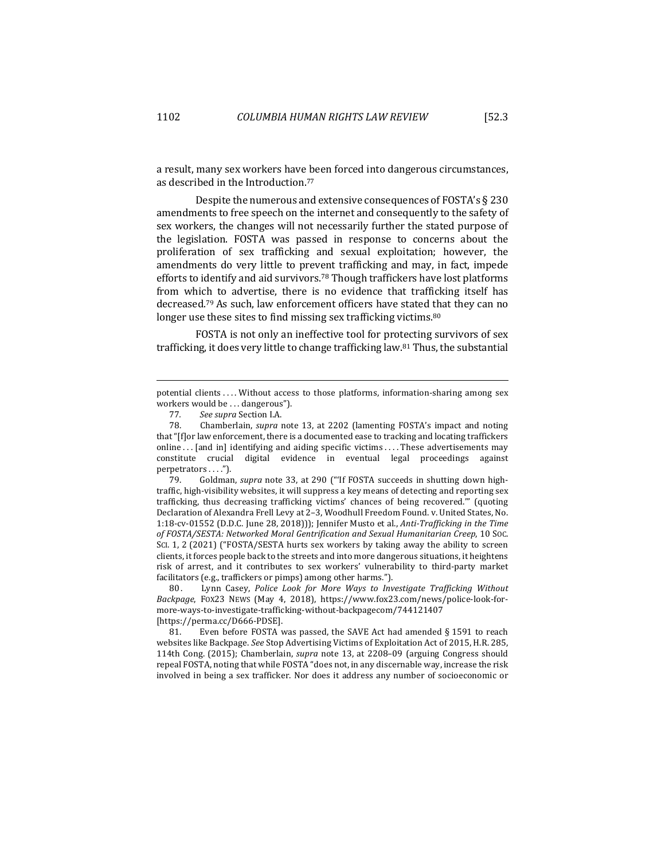a result, many sex workers have been forced into dangerous circumstances, as described in the Introduction.<sup>77</sup>

Despite the numerous and extensive consequences of FOSTA's  $\S$  230 amendments to free speech on the internet and consequently to the safety of sex workers, the changes will not necessarily further the stated purpose of the legislation. FOSTA was passed in response to concerns about the proliferation of sex trafficking and sexual exploitation; however, the amendments do very little to prevent trafficking and may, in fact, impede efforts to identify and aid survivors.<sup>78</sup> Though traffickers have lost platforms from which to advertise, there is no evidence that trafficking itself has decreased.<sup>79</sup> As such, law enforcement officers have stated that they can no longer use these sites to find missing sex trafficking victims. $80$ 

FOSTA is not only an ineffective tool for protecting survivors of sex trafficking, it does very little to change trafficking law.<sup>81</sup> Thus, the substantial

80. Lynn Casey, *Police Look for More Ways to Investigate Trafficking Without Backpage*, FOX23 NEWS (May 4, 2018), https://www.fox23.com/news/police-look-formore-ways-to-investigate-trafficking-without-backpagecom/744121407 [https://perma.cc/D666-PDSE].

81. Even before FOSTA was passed, the SAVE Act had amended § 1591 to reach websites like Backpage. See Stop Advertising Victims of Exploitation Act of 2015, H.R. 285, 114th Cong. (2015); Chamberlain, *supra* note 13, at 2208–09 (arguing Congress should repeal FOSTA, noting that while FOSTA "does not, in any discernable way, increase the risk involved in being a sex trafficker. Nor does it address any number of socioeconomic or

potential clients .... Without access to those platforms, information-sharing among sex workers would be . . . dangerous").

<sup>77.</sup> *See supra Section I.A.*<br>78. Chamberlain, *supra* 1

Chamberlain, *supra* note 13, at 2202 (lamenting FOSTA's impact and noting that "[f]or law enforcement, there is a documented ease to tracking and locating traffickers online  $\ldots$  [and in] identifying and aiding specific victims  $\ldots$ . These advertisements may constitute crucial digital evidence in eventual legal proceedings against perpetrators . . . .").

<sup>79.</sup> Goldman, *supra* note 33, at 290 ("'If FOSTA succeeds in shutting down hightraffic, high-visibility websites, it will suppress a key means of detecting and reporting sex trafficking, thus decreasing trafficking victims' chances of being recovered." (quoting Declaration of Alexandra Frell Levy at 2-3, Woodhull Freedom Found. v. United States, No. 1:18-cv-01552 (D.D.C. June 28, 2018))); Jennifer Musto et al., *Anti-Trafficking in the Time* of FOSTA/SESTA: Networked Moral Gentrification and Sexual Humanitarian Creep, 10 Soc. SCI. 1, 2 (2021) ("FOSTA/SESTA hurts sex workers by taking away the ability to screen clients, it forces people back to the streets and into more dangerous situations, it heightens risk of arrest, and it contributes to sex workers' vulnerability to third-party market facilitators (e.g., traffickers or pimps) among other harms.").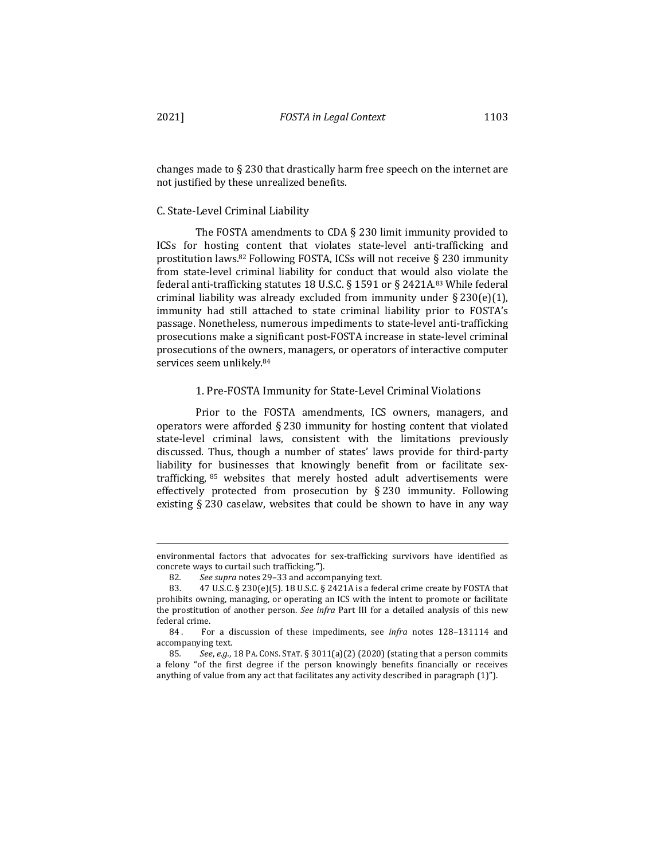changes made to  $\S 230$  that drastically harm free speech on the internet are not justified by these unrealized benefits.

#### C. State-Level Criminal Liability

The FOSTA amendments to CDA  $\S$  230 limit immunity provided to ICSs for hosting content that violates state-level anti-trafficking and prostitution laws.<sup>82</sup> Following FOSTA, ICSs will not receive  $\S$  230 immunity from state-level criminal liability for conduct that would also violate the federal anti-trafficking statutes 18 U.S.C. § 1591 or § 2421A.<sup>83</sup> While federal criminal liability was already excluded from immunity under  $\S 230(e)(1)$ , immunity had still attached to state criminal liability prior to FOSTA's passage. Nonetheless, numerous impediments to state-level anti-trafficking prosecutions make a significant post-FOSTA increase in state-level criminal prosecutions of the owners, managers, or operators of interactive computer services seem unlikely.<sup>84</sup>

### 1. Pre-FOSTA Immunity for State-Level Criminal Violations

Prior to the FOSTA amendments, ICS owners, managers, and operators were afforded  $\S 230$  immunity for hosting content that violated state-level criminal laws, consistent with the limitations previously discussed. Thus, though a number of states' laws provide for third-party liability for businesses that knowingly benefit from or facilitate sextrafficking,  $85$  websites that merely hosted adult advertisements were effectively protected from prosecution by  $\S$  230 immunity. Following existing  $\S 230$  caselaw, websites that could be shown to have in any way

environmental factors that advocates for sex-trafficking survivors have identified as concrete ways to curtail such trafficking.**"**).

<sup>82.</sup> See supra notes 29-33 and accompanying text.

<sup>83.</sup>  $\,$  47 U.S.C. § 230(e)(5). 18 U.S.C. § 2421A is a federal crime create by FOSTA that prohibits owning, managing, or operating an ICS with the intent to promote or facilitate the prostitution of another person. See infra Part III for a detailed analysis of this new federal crime.

<sup>84.</sup> For a discussion of these impediments, see *infra* notes 128-131114 and accompanying text.

<sup>85.</sup> *See, e.g.*, 18 PA. CONS. STAT. § 3011(a)(2) (2020) (stating that a person commits a felony "of the first degree if the person knowingly benefits financially or receives anything of value from any act that facilitates any activity described in paragraph  $(1)$ ").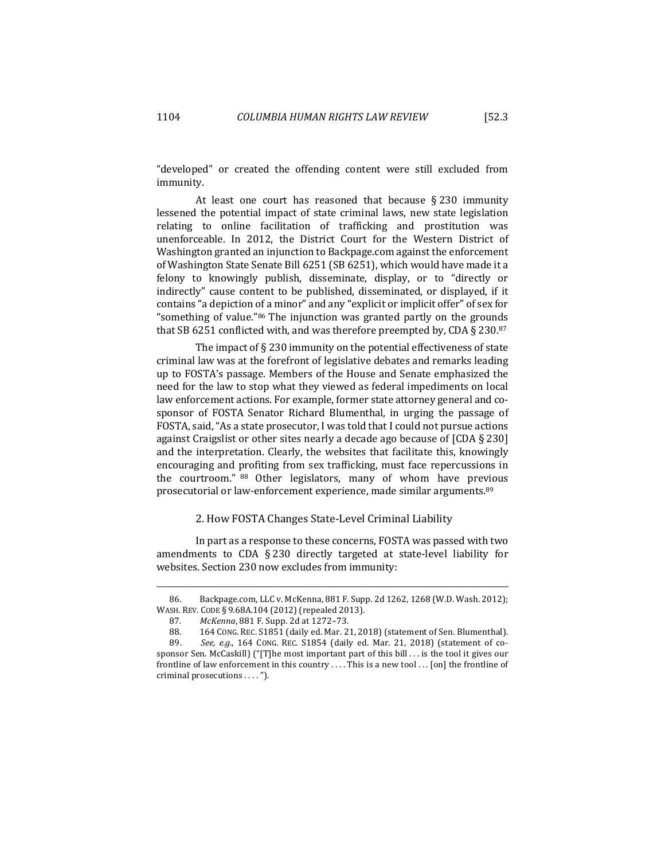"developed" or created the offending content were still excluded from immunity.

At least one court has reasoned that because  $\S 230$  immunity lessened the potential impact of state criminal laws, new state legislation relating to online facilitation of trafficking and prostitution was unenforceable. In 2012, the District Court for the Western District of Washington granted an injunction to Backpage.com against the enforcement of Washington State Senate Bill 6251 (SB 6251), which would have made it a felony to knowingly publish, disseminate, display, or to "directly or indirectly" cause content to be published, disseminated, or displayed, if it contains "a depiction of a minor" and any "explicit or implicit offer" of sex for "something of value."<sup>86</sup> The injunction was granted partly on the grounds that SB 6251 conflicted with, and was therefore preempted by, CDA § 230.87

The impact of  $\S$  230 immunity on the potential effectiveness of state criminal law was at the forefront of legislative debates and remarks leading up to FOSTA's passage. Members of the House and Senate emphasized the need for the law to stop what they viewed as federal impediments on local law enforcement actions. For example, former state attorney general and cosponsor of FOSTA Senator Richard Blumenthal, in urging the passage of FOSTA, said, "As a state prosecutor, I was told that I could not pursue actions against Craigslist or other sites nearly a decade ago because of  $[CDA \t{230}]$ and the interpretation. Clearly, the websites that facilitate this, knowingly encouraging and profiting from sex trafficking, must face repercussions in the courtroom." 88 Other legislators, many of whom have previous prosecutorial or law-enforcement experience, made similar arguments.<sup>89</sup>

# 2. How FOSTA Changes State-Level Criminal Liability

In part as a response to these concerns, FOSTA was passed with two amendments to CDA  $\S 230$  directly targeted at state-level liability for websites. Section 230 now excludes from immunity:

<sup>86.</sup> Backpage.com, LLC v. McKenna, 881 F. Supp. 2d 1262, 1268 (W.D. Wash. 2012); WASH. REV. CODE § 9.68A.104 (2012) (repealed 2013).

<sup>87</sup>*. McKenna*, 881 F. Supp. 2d at 1272–73.

<sup>88. 164</sup> CONG. REC. S1851 (daily ed. Mar. 21, 2018) (statement of Sen. Blumenthal).

<sup>89.</sup> See, e.g., 164 CONG. REC. S1854 (daily ed. Mar. 21, 2018) (statement of cosponsor Sen. McCaskill)  $("T]$ he most important part of this bill . . . is the tool it gives our frontline of law enforcement in this country .... This is a new tool ... [on] the frontline of criminal prosecutions . . . . ").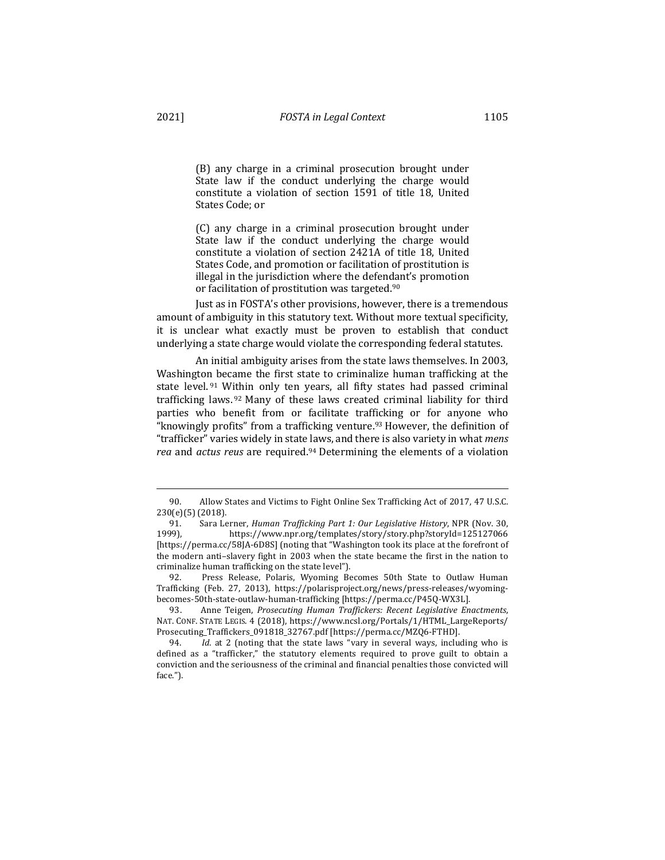(B) any charge in a criminal prosecution brought under State law if the conduct underlying the charge would constitute a violation of section 1591 of title 18, United States Code; or

(C) any charge in a criminal prosecution brought under State law if the conduct underlying the charge would constitute a violation of section 2421A of title 18, United States Code, and promotion or facilitation of prostitution is illegal in the jurisdiction where the defendant's promotion or facilitation of prostitution was targeted.<sup>90</sup>

Just as in FOSTA's other provisions, however, there is a tremendous amount of ambiguity in this statutory text. Without more textual specificity, it is unclear what exactly must be proven to establish that conduct underlying a state charge would violate the corresponding federal statutes.

An initial ambiguity arises from the state laws themselves. In 2003, Washington became the first state to criminalize human trafficking at the state level.  $91$  Within only ten years, all fifty states had passed criminal trafficking laws.  $92$  Many of these laws created criminal liability for third parties who benefit from or facilitate trafficking or for anyone who "knowingly profits" from a trafficking venture.<sup>93</sup> However, the definition of "trafficker" varies widely in state laws, and there is also variety in what *mens rea* and *actus reus* are required.<sup>94</sup> Determining the elements of a violation

<sup>90.</sup> Allow States and Victims to Fight Online Sex Trafficking Act of 2017, 47 U.S.C. 230(e)(5) (2018).

<sup>91.</sup> Sara Lerner, *Human Trafficking Part 1: Our Legislative History*, NPR (Nov. 30, 1999), https://www.npr.org/templates/story/story.php?storyId=125127066 [https://perma.cc/58JA-6D8S] (noting that "Washington took its place at the forefront of the modern anti-slavery fight in 2003 when the state became the first in the nation to criminalize human trafficking on the state level").

<sup>92.</sup> Press Release, Polaris, Wyoming Becomes 50th State to Outlaw Human Trafficking (Feb. 27, 2013), https://polarisproject.org/news/press-releases/wyomingbecomes-50th-state-outlaw-human-trafficking [https://perma.cc/P45Q-WX3L].

<sup>93.</sup> Anne Teigen, *Prosecuting Human Traffickers: Recent Legislative Enactments*, NAT. CONF. STATE LEGIS. 4 (2018), https://www.ncsl.org/Portals/1/HTML\_LargeReports/ Prosecuting\_Traffickers\_091818\_32767.pdf [https://perma.cc/MZQ6-FTHD].

<sup>94.</sup> *Id.* at 2 (noting that the state laws "vary in several ways, including who is defined as a "trafficker," the statutory elements required to prove guilt to obtain a conviction and the seriousness of the criminal and financial penalties those convicted will face.").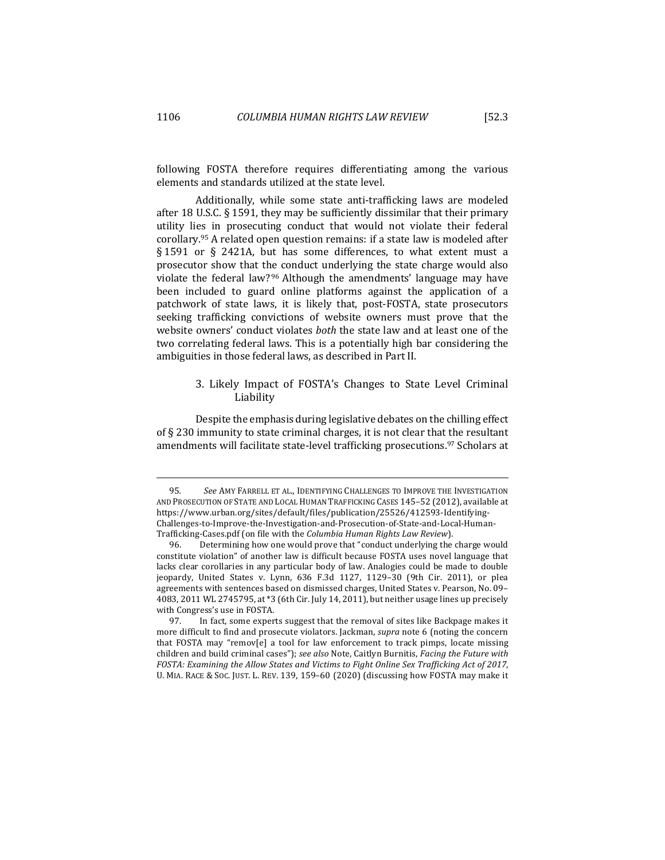following FOSTA therefore requires differentiating among the various elements and standards utilized at the state level.

Additionally, while some state anti-trafficking laws are modeled after 18 U.S.C.  $\S$  1591, they may be sufficiently dissimilar that their primary utility lies in prosecuting conduct that would not violate their federal corollary.<sup>95</sup> A related open question remains: if a state law is modeled after § 1591 or § 2421A, but has some differences, to what extent must a prosecutor show that the conduct underlying the state charge would also violate the federal law?<sup>96</sup> Although the amendments' language may have been included to guard online platforms against the application of a patchwork of state laws, it is likely that, post-FOSTA, state prosecutors seeking trafficking convictions of website owners must prove that the website owners' conduct violates *both* the state law and at least one of the two correlating federal laws. This is a potentially high bar considering the ambiguities in those federal laws, as described in Part II.

# 3. Likely Impact of FOSTA's Changes to State Level Criminal Liability

Despite the emphasis during legislative debates on the chilling effect of  $\S$  230 immunity to state criminal charges, it is not clear that the resultant amendments will facilitate state-level trafficking prosecutions.<sup>97</sup> Scholars at

<sup>95.</sup> See AMY FARRELL ET AL., IDENTIFYING CHALLENGES TO IMPROVE THE INVESTIGATION AND PROSECUTION OF STATE AND LOCAL HUMAN TRAFFICKING CASES 145-52 (2012), available at https://www.urban.org/sites/default/files/publication/25526/412593-Identifying-Challenges-to-Improve-the-Investigation-and-Prosecution-of-State-and-Local-Human-Trafficking-Cases.pdf (on file with the *Columbia Human Rights Law Review*).

<sup>96.</sup> Determining how one would prove that "conduct underlying the charge would constitute violation" of another law is difficult because FOSTA uses novel language that lacks clear corollaries in any particular body of law. Analogies could be made to double jeopardy, United States v. Lynn, 636 F.3d 1127, 1129-30 (9th Cir. 2011), or plea agreements with sentences based on dismissed charges, United States v. Pearson, No. 09-4083, 2011 WL 2745795, at  $*3$  (6th Cir. July 14, 2011), but neither usage lines up precisely with Congress's use in FOSTA.

<sup>97.</sup> In fact, some experts suggest that the removal of sites like Backpage makes it more difficult to find and prosecute violators. Jackman, *supra* note 6 (noting the concern that FOSTA may "remov[e] a tool for law enforcement to track pimps, locate missing children and build criminal cases"); see also Note, Caitlyn Burnitis, *Facing the Future with FOSTA: Examining the Allow States and Victims to Fight Online Sex Trafficking Act of 2017,* U. MIA. RACE & SOC. JUST. L. REV. 139, 159-60 (2020) (discussing how FOSTA may make it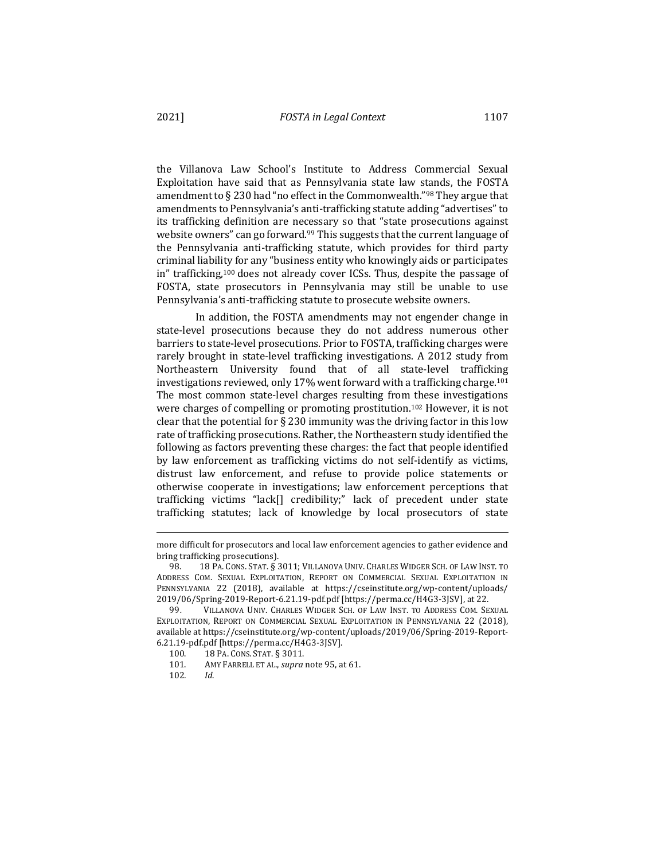the Villanova Law School's Institute to Address Commercial Sexual Exploitation have said that as Pennsylvania state law stands, the FOSTA amendment to  $\S$  230 had "no effect in the Commonwealth."<sup>98</sup> They argue that amendments to Pennsylvania's anti-trafficking statute adding "advertises" to its trafficking definition are necessary so that "state prosecutions against website owners" can go forward.<sup>99</sup> This suggests that the current language of the Pennsylvania anti-trafficking statute, which provides for third party criminal liability for any "business entity who knowingly aids or participates in" trafficking,<sup>100</sup> does not already cover ICSs. Thus, despite the passage of FOSTA, state prosecutors in Pennsylvania may still be unable to use Pennsylvania's anti-trafficking statute to prosecute website owners.

In addition, the FOSTA amendments may not engender change in state-level prosecutions because they do not address numerous other barriers to state-level prosecutions. Prior to FOSTA, trafficking charges were rarely brought in state-level trafficking investigations. A 2012 study from Northeastern University found that of all state-level trafficking investigations reviewed, only 17% went forward with a trafficking charge.<sup>101</sup> The most common state-level charges resulting from these investigations were charges of compelling or promoting prostitution.<sup>102</sup> However, it is not clear that the potential for  $\S$  230 immunity was the driving factor in this low rate of trafficking prosecutions. Rather, the Northeastern study identified the following as factors preventing these charges: the fact that people identified by law enforcement as trafficking victims do not self-identify as victims, distrust law enforcement, and refuse to provide police statements or otherwise cooperate in investigations; law enforcement perceptions that trafficking victims "lack[] credibility;" lack of precedent under state trafficking statutes; lack of knowledge by local prosecutors of state

more difficult for prosecutors and local law enforcement agencies to gather evidence and bring trafficking prosecutions).

<sup>98. 18</sup> PA. CONS. STAT. § 3011; VILLANOVA UNIV. CHARLES WIDGER SCH. OF LAW INST. TO ADDRESS COM. SEXUAL EXPLOITATION, REPORT ON COMMERCIAL SEXUAL EXPLOITATION IN PENNSYLVANIA 22 (2018), available at https://cseinstitute.org/wp-content/uploads/ 2019/06/Spring-2019-Report-6.21.19-pdf.pdf [https://perma.cc/H4G3-3JSV], at 22.

<sup>99.</sup> VILLANOVA UNIV. CHARLES WIDGER SCH. OF LAW INST. TO ADDRESS COM. SEXUAL EXPLOITATION, REPORT ON COMMERCIAL SEXUAL EXPLOITATION IN PENNSYLVANIA 22 (2018), available at https://cseinstitute.org/wp-content/uploads/2019/06/Spring-2019-Report-6.21.19-pdf.pdf [https://perma.cc/H4G3-3JSV].

<sup>100. 18</sup> PA. CONS. STAT. § 3011.

<sup>101.</sup> AMY FARRELL ET AL., *supra* note 95, at 61.

<sup>102</sup>*. Id*.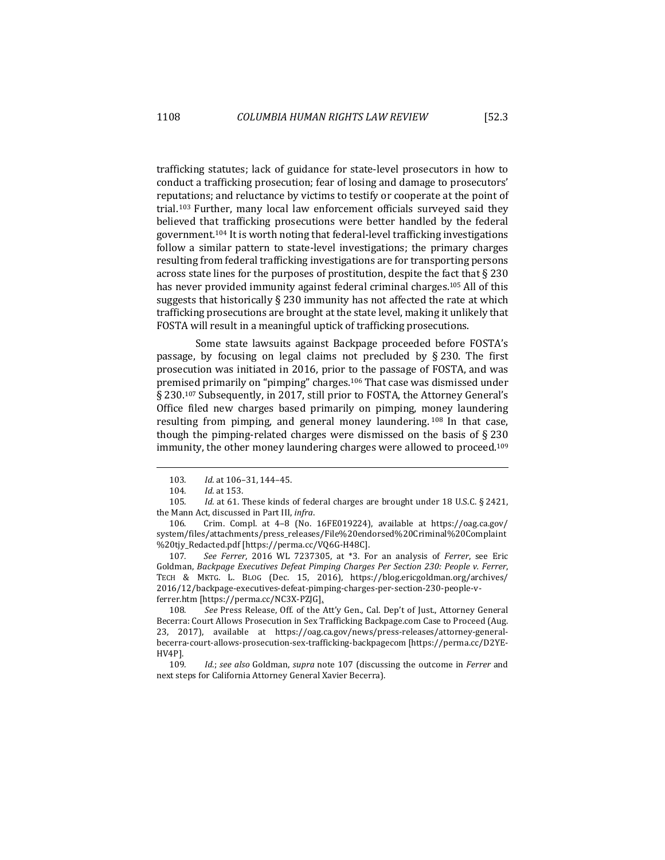trafficking statutes; lack of guidance for state-level prosecutors in how to conduct a trafficking prosecution; fear of losing and damage to prosecutors' reputations; and reluctance by victims to testify or cooperate at the point of trial.<sup>103</sup> Further, many local law enforcement officials surveyed said they believed that trafficking prosecutions were better handled by the federal government.<sup>104</sup> It is worth noting that federal-level trafficking investigations follow a similar pattern to state-level investigations; the primary charges resulting from federal trafficking investigations are for transporting persons across state lines for the purposes of prostitution, despite the fact that  $\S 230$ has never provided immunity against federal criminal charges.<sup>105</sup> All of this suggests that historically  $\S$  230 immunity has not affected the rate at which trafficking prosecutions are brought at the state level, making it unlikely that FOSTA will result in a meaningful uptick of trafficking prosecutions.

Some state lawsuits against Backpage proceeded before FOSTA's passage, by focusing on legal claims not precluded by  $\S 230$ . The first prosecution was initiated in 2016, prior to the passage of FOSTA, and was premised primarily on "pimping" charges.<sup>106</sup> That case was dismissed under  $\S 230$ .<sup>107</sup> Subsequently, in 2017, still prior to FOSTA, the Attorney General's Office filed new charges based primarily on pimping, money laundering resulting from pimping, and general money laundering.  $108$  In that case, though the pimping-related charges were dismissed on the basis of  $\S 230$ immunity, the other money laundering charges were allowed to proceed.<sup>109</sup>

107. See Ferrer, 2016 WL 7237305, at \*3. For an analysis of Ferrer, see Eric Goldman, *Backpage Executives Defeat Pimping Charges Per Section 230: People v. Ferrer*, TECH & MKTG. L. BLOG (Dec. 15, 2016), https://blog.ericgoldman.org/archives/ 2016/12/backpage-executives-defeat-pimping-charges-per-section-230-people-vferrer.htm [https://perma.cc/NC3X-PZJG].

108. See Press Release, Off. of the Att'y Gen., Cal. Dep't of Just., Attorney General Becerra: Court Allows Prosecution in Sex Trafficking Backpage.com Case to Proceed (Aug. 23, 2017), available at https://oag.ca.gov/news/press-releases/attorney-generalbecerra-court-allows-prosecution-sex-trafficking-backpagecom [https://perma.cc/D2YE-HV4P].

<sup>103.</sup> *Id.* at 106-31, 144-45.

<sup>104.</sup> *Id.* at 153.

<sup>105.</sup> *Id.* at 61. These kinds of federal charges are brought under 18 U.S.C. § 2421, the Mann Act, discussed in Part III, *infra*.

<sup>106.</sup> Crim. Compl. at 4–8 (No. 16FE019224), available at https://oag.ca.gov/ system/files/attachments/press\_releases/File%20endorsed%20Criminal%20Complaint %20tjy\_Redacted.pdf [https://perma.cc/VQ6G-H48C].

<sup>109.</sup> *Id.;* see also Goldman, *supra* note 107 (discussing the outcome in *Ferrer* and next steps for California Attorney General Xavier Becerra).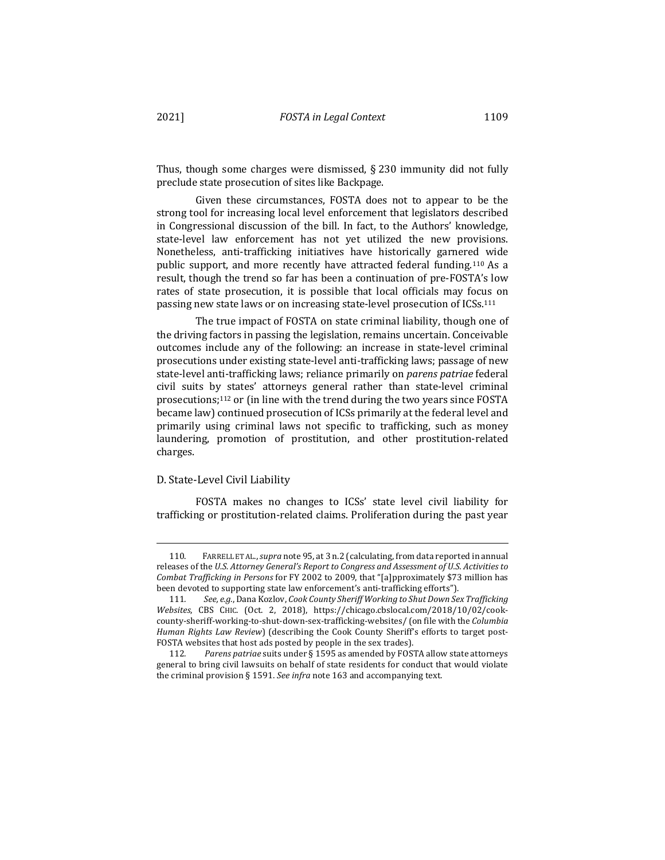Thus, though some charges were dismissed,  $\S 230$  immunity did not fully preclude state prosecution of sites like Backpage.

Given these circumstances, FOSTA does not to appear to be the strong tool for increasing local level enforcement that legislators described in Congressional discussion of the bill. In fact, to the Authors' knowledge, state-level law enforcement has not yet utilized the new provisions. Nonetheless, anti-trafficking initiatives have historically garnered wide public support, and more recently have attracted federal funding.<sup>110</sup> As a result, though the trend so far has been a continuation of pre-FOSTA's low rates of state prosecution, it is possible that local officials may focus on passing new state laws or on increasing state-level prosecution of ICSs.<sup>111</sup>

The true impact of FOSTA on state criminal liability, though one of the driving factors in passing the legislation, remains uncertain. Conceivable outcomes include any of the following: an increase in state-level criminal prosecutions under existing state-level anti-trafficking laws; passage of new state-level anti-trafficking laws; reliance primarily on *parens patriae* federal civil suits by states' attorneys general rather than state-level criminal prosecutions; $112$  or (in line with the trend during the two years since FOSTA became law) continued prosecution of ICSs primarily at the federal level and primarily using criminal laws not specific to trafficking, such as money laundering, promotion of prostitution, and other prostitution-related charges.

#### D. State-Level Civil Liability

FOSTA makes no changes to ICSs' state level civil liability for trafficking or prostitution-related claims. Proliferation during the past year

<sup>110.</sup> FARRELL ET AL., *supra* note 95, at 3 n.2 (calculating, from data reported in annual releases of the *U.S. Attorney General's Report to Congress and Assessment of U.S. Activities to Combat Trafficking in Persons* for FY 2002 to 2009, that "[a]pproximately \$73 million has been devoted to supporting state law enforcement's anti-trafficking efforts").

<sup>111.</sup> See, e.g., Dana Kozlov, *Cook County Sheriff Working to Shut Down Sex Trafficking Websites*, CBS CHIC. (Oct. 2, 2018), https://chicago.cbslocal.com/2018/10/02/cookcounty-sheriff-working-to-shut-down-sex-trafficking-websites/ (on file with the *Columbia* Human Rights Law Review) (describing the Cook County Sheriff's efforts to target post-FOSTA websites that host ads posted by people in the sex trades).

<sup>112.</sup> Parens patriae suits under § 1595 as amended by FOSTA allow state attorneys general to bring civil lawsuits on behalf of state residents for conduct that would violate the criminal provision § 1591. See infra note 163 and accompanying text.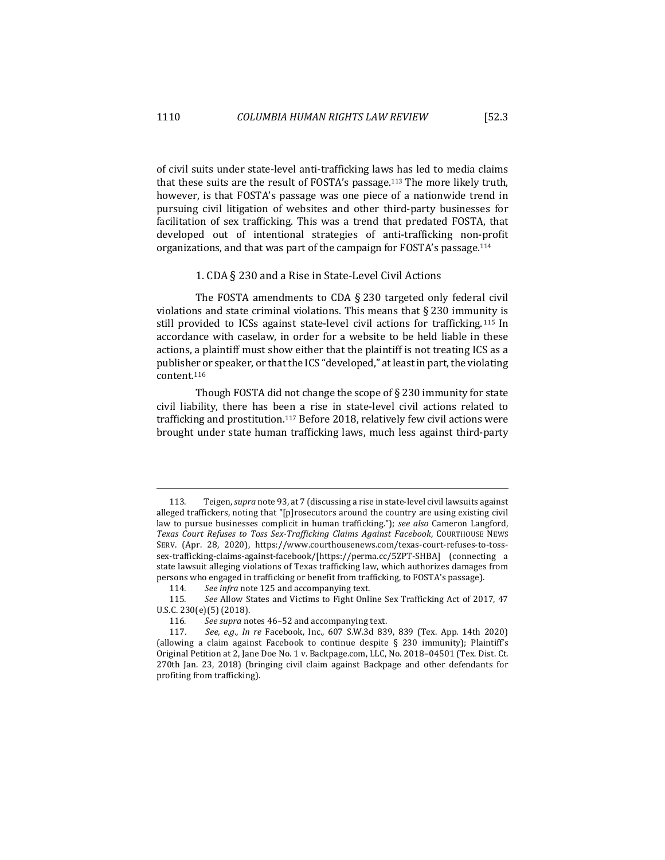of civil suits under state-level anti-trafficking laws has led to media claims that these suits are the result of FOSTA's passage.<sup>113</sup> The more likely truth, however, is that FOSTA's passage was one piece of a nationwide trend in pursuing civil litigation of websites and other third-party businesses for facilitation of sex trafficking. This was a trend that predated FOSTA, that developed out of intentional strategies of anti-trafficking non-profit organizations, and that was part of the campaign for FOSTA's passage.<sup>114</sup>

# 1. CDA § 230 and a Rise in State-Level Civil Actions

The FOSTA amendments to CDA  $\S$  230 targeted only federal civil violations and state criminal violations. This means that  $\S 230$  immunity is still provided to ICSs against state-level civil actions for trafficking.  $115$  In accordance with caselaw, in order for a website to be held liable in these actions, a plaintiff must show either that the plaintiff is not treating ICS as a publisher or speaker, or that the ICS "developed," at least in part, the violating content.116

Though FOSTA did not change the scope of  $\S$  230 immunity for state civil liability, there has been a rise in state-level civil actions related to trafficking and prostitution.<sup>117</sup> Before 2018, relatively few civil actions were brought under state human trafficking laws, much less against third-party

<sup>113.</sup> Teigen, *supra* note 93, at 7 (discussing a rise in state-level civil lawsuits against alleged traffickers, noting that "[p]rosecutors around the country are using existing civil law to pursue businesses complicit in human trafficking."); *see also* Cameron Langford, Texas Court Refuses to Toss Sex-Trafficking Claims Against Facebook, COURTHOUSE NEWS SERV. (Apr. 28, 2020), https://www.courthousenews.com/texas-court-refuses-to-tosssex-trafficking-claims-against-facebook/[https://perma.cc/5ZPT-SHBA] (connecting a state lawsuit alleging violations of Texas trafficking law, which authorizes damages from persons who engaged in trafficking or benefit from trafficking, to FOSTA's passage).

<sup>114.</sup> See infra note 125 and accompanying text.

<sup>115.</sup> See Allow States and Victims to Fight Online Sex Trafficking Act of 2017, 47 U.S.C. 230(e)(5) (2018).

<sup>116.</sup> See supra notes 46-52 and accompanying text.

<sup>117.</sup> See, e.g., *In re Facebook, Inc., 607 S.W.3d 839, 839* (Tex. App. 14th 2020) (allowing a claim against Facebook to continue despite  $\S$  230 immunity); Plaintiff's Original Petition at 2, Jane Doe No. 1 v. Backpage.com, LLC, No. 2018–04501 (Tex. Dist. Ct. 270th Jan. 23, 2018) (bringing civil claim against Backpage and other defendants for profiting from trafficking).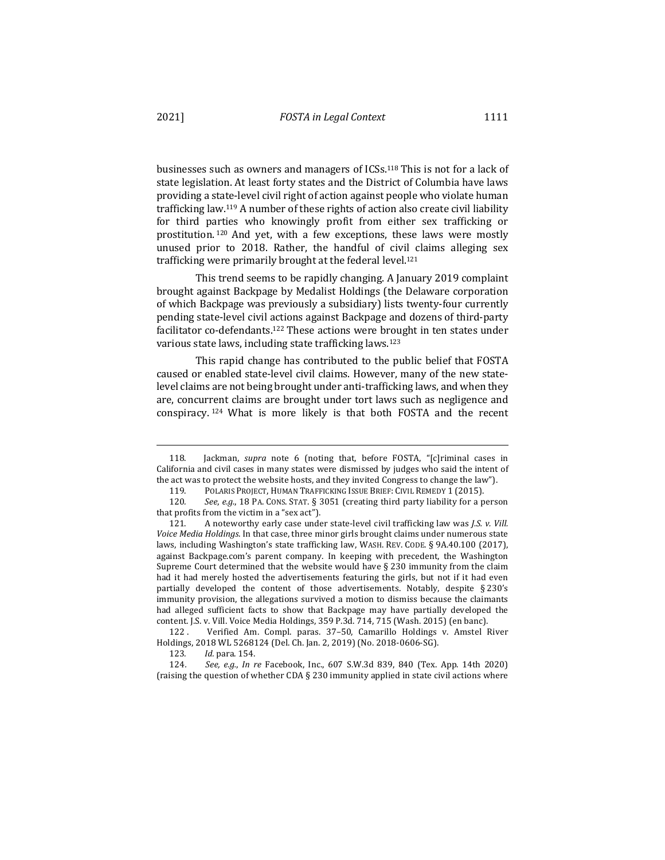businesses such as owners and managers of ICSs.<sup>118</sup> This is not for a lack of state legislation. At least forty states and the District of Columbia have laws providing a state-level civil right of action against people who violate human trafficking law.<sup>119</sup> A number of these rights of action also create civil liability for third parties who knowingly profit from either sex trafficking or prostitution. 120 And yet, with a few exceptions, these laws were mostly unused prior to 2018. Rather, the handful of civil claims alleging sex trafficking were primarily brought at the federal level.<sup>121</sup>

This trend seems to be rapidly changing. A January 2019 complaint brought against Backpage by Medalist Holdings (the Delaware corporation of which Backpage was previously a subsidiary) lists twenty-four currently pending state-level civil actions against Backpage and dozens of third-party facilitator co-defendants.<sup>122</sup> These actions were brought in ten states under various state laws, including state trafficking laws.<sup>123</sup>

This rapid change has contributed to the public belief that FOSTA caused or enabled state-level civil claims. However, many of the new statelevel claims are not being brought under anti-trafficking laws, and when they are, concurrent claims are brought under tort laws such as negligence and conspiracy.  $124$  What is more likely is that both FOSTA and the recent

<sup>118.</sup> Jackman, *supra* note 6 (noting that, before FOSTA, "[c]riminal cases in California and civil cases in many states were dismissed by judges who said the intent of the act was to protect the website hosts, and they invited Congress to change the law").

<sup>119.</sup> POLARIS PROJECT, HUMAN TRAFFICKING ISSUE BRIEF: CIVIL REMEDY 1 (2015).

<sup>120.</sup> See, e.g., 18 PA. CONS. STAT. § 3051 (creating third party liability for a person that profits from the victim in a "sex act").

<sup>121.</sup> A noteworthy early case under state-level civil trafficking law was *J.S. v. Vill.* Voice Media Holdings. In that case, three minor girls brought claims under numerous state laws, including Washington's state trafficking law, WASH. REV. CODE. § 9A.40.100 (2017), against Backpage.com's parent company. In keeping with precedent, the Washington Supreme Court determined that the website would have  $\S$  230 immunity from the claim had it had merely hosted the advertisements featuring the girls, but not if it had even partially developed the content of those advertisements. Notably, despite  $\S 230's$ immunity provision, the allegations survived a motion to dismiss because the claimants had alleged sufficient facts to show that Backpage may have partially developed the content. J.S. v. Vill. Voice Media Holdings, 359 P.3d. 714, 715 (Wash. 2015) (en banc).

<sup>122 .</sup> Verified Am. Compl. paras. 37-50, Camarillo Holdings v. Amstel River Holdings, 2018 WL 5268124 (Del. Ch. Jan. 2, 2019) (No. 2018-0606-SG).

<sup>123</sup>*. Id.* para. 154.

<sup>124.</sup> *See, e.g., In re* Facebook, Inc., 607 S.W.3d 839, 840 (Tex. App. 14th 2020) (raising the question of whether CDA  $\S$  230 immunity applied in state civil actions where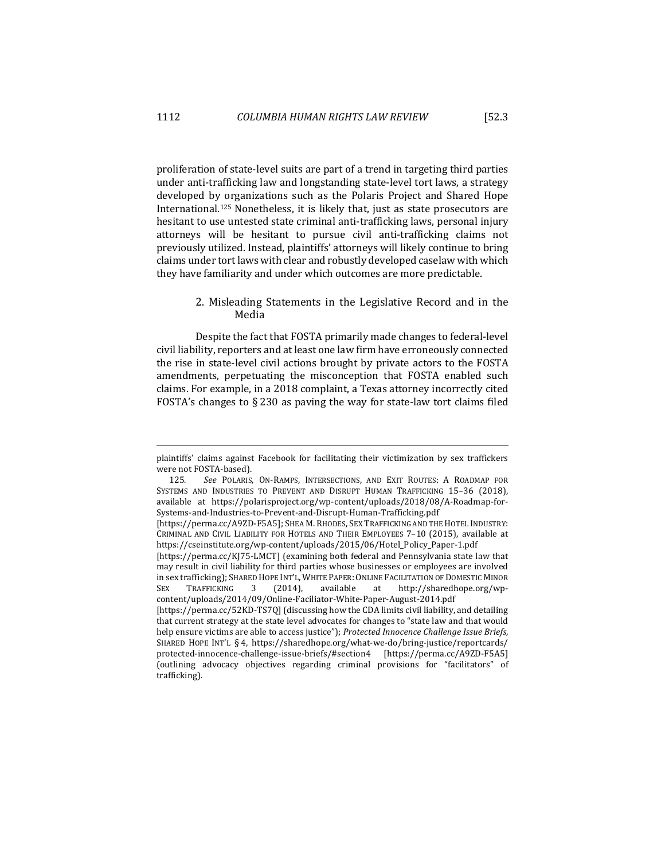proliferation of state-level suits are part of a trend in targeting third parties under anti-trafficking law and longstanding state-level tort laws, a strategy developed by organizations such as the Polaris Project and Shared Hope International.<sup>125</sup> Nonetheless, it is likely that, just as state prosecutors are hesitant to use untested state criminal anti-trafficking laws, personal injury attorneys will be hesitant to pursue civil anti-trafficking claims not previously utilized. Instead, plaintiffs' attorneys will likely continue to bring claims under tort laws with clear and robustly developed caselaw with which they have familiarity and under which outcomes are more predictable.

# 2. Misleading Statements in the Legislative Record and in the Media

Despite the fact that FOSTA primarily made changes to federal-level civil liability, reporters and at least one law firm have erroneously connected the rise in state-level civil actions brought by private actors to the FOSTA amendments, perpetuating the misconception that FOSTA enabled such claims. For example, in a 2018 complaint, a Texas attorney incorrectly cited FOSTA's changes to  $\S 230$  as paving the way for state-law tort claims filed

plaintiffs' claims against Facebook for facilitating their victimization by sex traffickers were not FOSTA-based).

<sup>125</sup>*. See* POLARIS, ON-RAMPS, INTERSECTIONS, AND EXIT ROUTES: A ROADMAP FOR SYSTEMS AND INDUSTRIES TO PREVENT AND DISRUPT HUMAN TRAFFICKING 15-36 (2018), available at https://polarisproject.org/wp-content/uploads/2018/08/A-Roadmap-for-Systems-and-Industries-to-Prevent-and-Disrupt-Human-Trafficking.pdf 

<sup>[</sup>https://perma.cc/A9ZD-F5A5]; SHEA M. RHODES, SEX TRAFFICKING AND THE HOTEL INDUSTRY: CRIMINAL AND CIVIL LIABILITY FOR HOTELS AND THEIR EMPLOYEES 7-10 (2015), available at https://cseinstitute.org/wp-content/uploads/2015/06/Hotel\_Policy\_Paper-1.pdf 

<sup>[</sup>https://perma.cc/KJ75-LMCT] (examining both federal and Pennsylvania state law that may result in civil liability for third parties whose businesses or employees are involved in sex trafficking); SHARED HOPE INT'L, WHITE PAPER: ONLINE FACILITATION OF DOMESTIC MINOR SEX TRAFFICKING 3 (2014), available at http://sharedhope.org/wpcontent/uploads/2014/09/Online-Faciliator-White-Paper-August-2014.pdf 

<sup>[</sup>https://perma.cc/52KD-TS7Q] (discussing how the CDA limits civil liability, and detailing that current strategy at the state level advocates for changes to "state law and that would help ensure victims are able to access justice"); Protected Innocence Challenge Issue Briefs, SHARED HOPE INT'L § 4, https://sharedhope.org/what-we-do/bring-justice/reportcards/ protected-innocence-challenge-issue-briefs/#section4 [https://perma.cc/A9ZD-F5A5] (outlining advocacy objectives regarding criminal provisions for "facilitators" of trafficking).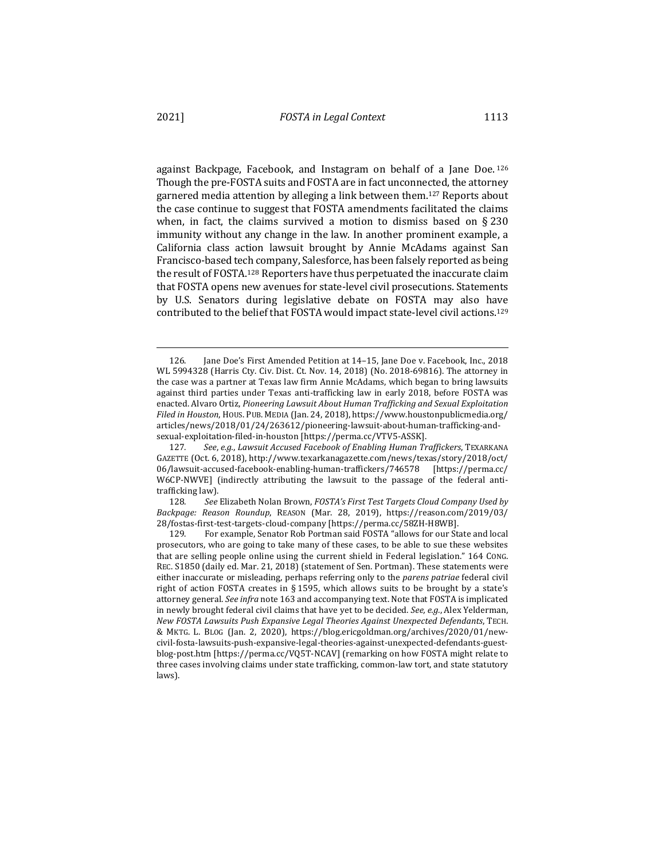against Backpage, Facebook, and Instagram on behalf of a Jane Doe.  $126$ Though the pre-FOSTA suits and FOSTA are in fact unconnected, the attorney garnered media attention by alleging a link between them.<sup>127</sup> Reports about the case continue to suggest that FOSTA amendments facilitated the claims when, in fact, the claims survived a motion to dismiss based on  $\S 230$ immunity without any change in the law. In another prominent example, a California class action lawsuit brought by Annie McAdams against San Francisco-based tech company, Salesforce, has been falsely reported as being the result of FOSTA.<sup>128</sup> Reporters have thus perpetuated the inaccurate claim

that FOSTA opens new avenues for state-level civil prosecutions. Statements by U.S. Senators during legislative debate on FOSTA may also have contributed to the belief that FOSTA would impact state-level civil actions.<sup>129</sup>

128. See Elizabeth Nolan Brown, *FOSTA's First Test Targets Cloud Company Used by Backpage: Reason Roundup*, REASON (Mar. 28, 2019), https://reason.com/2019/03/ 28/fostas-first-test-targets-cloud-company [https://perma.cc/58ZH-H8WB].

<sup>126.</sup> **Iane Doe's First Amended Petition at 14–15, Jane Doe v. Facebook, Inc., 2018** WL 5994328 (Harris Cty. Civ. Dist. Ct. Nov. 14, 2018) (No. 2018-69816). The attorney in the case was a partner at Texas law firm Annie McAdams, which began to bring lawsuits against third parties under Texas anti-trafficking law in early 2018, before FOSTA was enacted. Alvaro Ortiz, *Pioneering Lawsuit About Human Trafficking and Sexual Exploitation Filed in Houston*, HOUS. PUB. MEDIA (Jan. 24, 2018), https://www.houstonpublicmedia.org/ articles/news/2018/01/24/263612/pioneering-lawsuit-about-human-trafficking-andsexual-exploitation-filed-in-houston [https://perma.cc/VTV5-ASSK].

<sup>127</sup>*. See*, *e.g.*, *Lawsuit Accused Facebook of Enabling Human Traffickers*, TEXARKANA GAZETTE (Oct. 6, 2018), http://www.texarkanagazette.com/news/texas/story/2018/oct/ 06/lawsuit-accused-facebook-enabling-human-traffickers/746578 [https://perma.cc/ W6CP-NWVE] (indirectly attributing the lawsuit to the passage of the federal antitrafficking law).

<sup>129.</sup> For example, Senator Rob Portman said FOSTA "allows for our State and local prosecutors, who are going to take many of these cases, to be able to sue these websites that are selling people online using the current shield in Federal legislation." 164 CoNG. REC. S1850 (daily ed. Mar. 21, 2018) (statement of Sen. Portman). These statements were either inaccurate or misleading, perhaps referring only to the *parens patriae* federal civil right of action FOSTA creates in § 1595, which allows suits to be brought by a state's attorney general. See infra note 163 and accompanying text. Note that FOSTA is implicated in newly brought federal civil claims that have yet to be decided. *See, e.g.*, Alex Yelderman, *New FOSTA Lawsuits Push Expansive Legal Theories Against Unexpected Defendants*, TECH. & MKTG. L. BLOG (Jan. 2, 2020), https://blog.ericgoldman.org/archives/2020/01/newcivil-fosta-lawsuits-push-expansive-legal-theories-against-unexpected-defendants-guestblog-post.htm [https://perma.cc/V05T-NCAV] (remarking on how FOSTA might relate to three cases involving claims under state trafficking, common-law tort, and state statutory laws).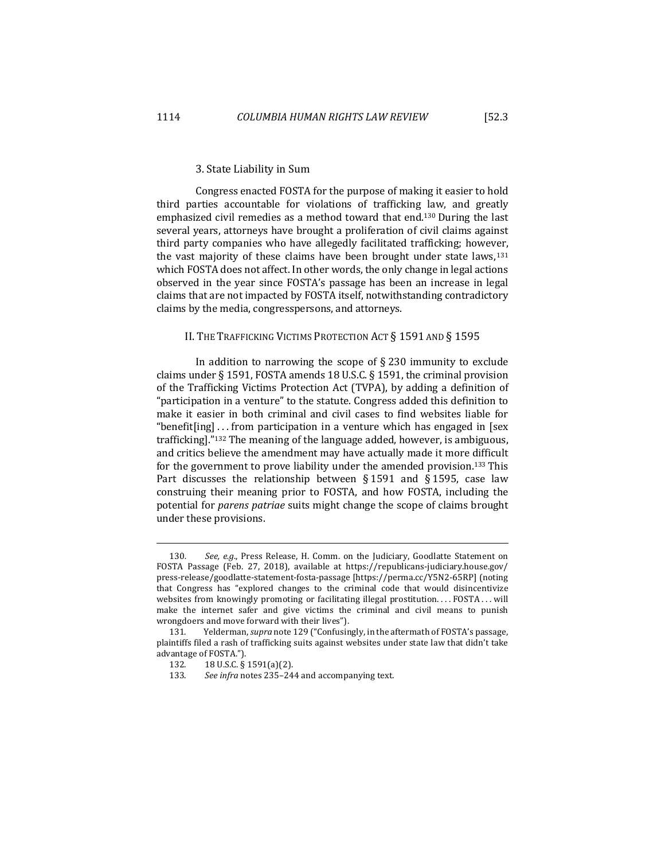#### 3. State Liability in Sum

Congress enacted FOSTA for the purpose of making it easier to hold third parties accountable for violations of trafficking law, and greatly emphasized civil remedies as a method toward that end.<sup>130</sup> During the last several years, attorneys have brought a proliferation of civil claims against third party companies who have allegedly facilitated trafficking; however, the vast majority of these claims have been brought under state laws, $131$ which FOSTA does not affect. In other words, the only change in legal actions observed in the year since FOSTA's passage has been an increase in legal claims that are not impacted by FOSTA itself, notwithstanding contradictory claims by the media, congresspersons, and attorneys.

# II. THE TRAFFICKING VICTIMS PROTECTION ACT § 1591 AND § 1595

In addition to narrowing the scope of  $\S 230$  immunity to exclude claims under § 1591, FOSTA amends 18 U.S.C. § 1591, the criminal provision of the Trafficking Victims Protection Act (TVPA), by adding a definition of "participation in a venture" to the statute. Congress added this definition to make it easier in both criminal and civil cases to find websites liable for "benefit[ing]  $\ldots$  from participation in a venture which has engaged in [sex trafficking]."132 The meaning of the language added, however, is ambiguous, and critics believe the amendment may have actually made it more difficult for the government to prove liability under the amended provision.<sup>133</sup> This Part discusses the relationship between  $\S 1591$  and  $\S 1595$ , case law construing their meaning prior to FOSTA, and how FOSTA, including the potential for *parens patriae* suits might change the scope of claims brought under these provisions.

<sup>130.</sup> See, e.g., Press Release, H. Comm. on the Judiciary, Goodlatte Statement on FOSTA Passage (Feb. 27, 2018), available at https://republicans-judiciary.house.gov/ press-release/goodlatte-statement-fosta-passage [https://perma.cc/Y5N2-65RP] (noting that Congress has "explored changes to the criminal code that would disincentivize websites from knowingly promoting or facilitating illegal prostitution. . . . FOSTA . . . will make the internet safer and give victims the criminal and civil means to punish wrongdoers and move forward with their lives").

<sup>131.</sup> Yelderman, *supra* note 129 ("Confusingly, in the aftermath of FOSTA's passage, plaintiffs filed a rash of trafficking suits against websites under state law that didn't take advantage of FOSTA.").

<sup>132. 18</sup> U.S.C. § 1591(a)(2).

<sup>133.</sup> See infra notes 235-244 and accompanying text.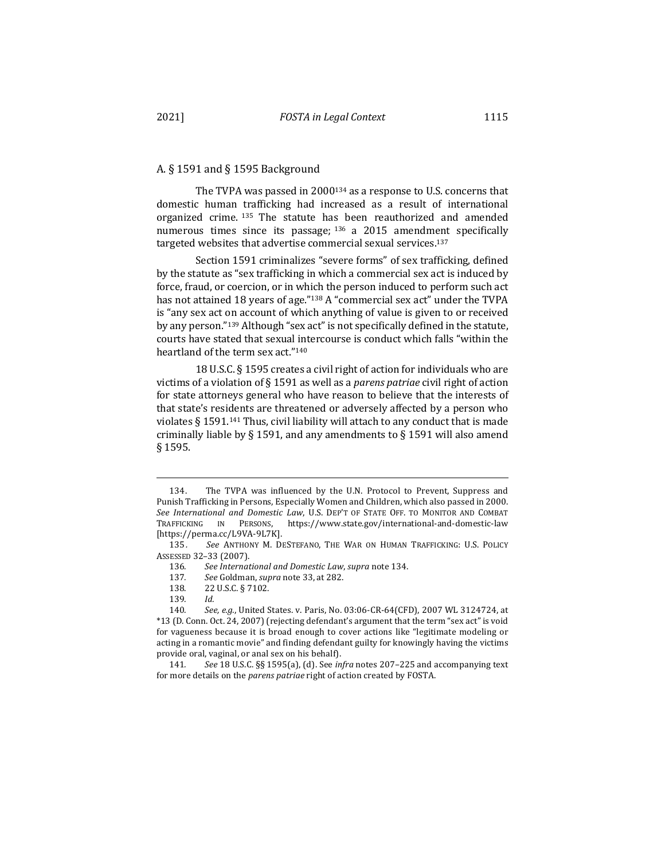# A. § 1591 and § 1595 Background

The TVPA was passed in 2000<sup>134</sup> as a response to U.S. concerns that domestic human trafficking had increased as a result of international organized crime.  $135$  The statute has been reauthorized and amended numerous times since its passage;  $136$  a 2015 amendment specifically targeted websites that advertise commercial sexual services.<sup>137</sup>

Section 1591 criminalizes "severe forms" of sex trafficking, defined by the statute as "sex trafficking in which a commercial sex act is induced by force, fraud, or coercion, or in which the person induced to perform such act has not attained 18 years of age."<sup>138</sup> A "commercial sex act" under the TVPA is "any sex act on account of which anything of value is given to or received by any person."<sup>139</sup> Although "sex act" is not specifically defined in the statute, courts have stated that sexual intercourse is conduct which falls "within the heartland of the term sex act."<sup>140</sup>

18 U.S.C. § 1595 creates a civil right of action for individuals who are victims of a violation of § 1591 as well as a *parens patriae* civil right of action for state attorneys general who have reason to believe that the interests of that state's residents are threatened or adversely affected by a person who violates  $\S 1591<sup>141</sup>$  Thus, civil liability will attach to any conduct that is made criminally liable by § 1591, and any amendments to § 1591 will also amend § 1595.

<sup>134.</sup> The TVPA was influenced by the U.N. Protocol to Prevent, Suppress and Punish Trafficking in Persons, Especially Women and Children, which also passed in 2000. See International and Domestic Law, U.S. DEP'T OF STATE OFF. TO MONITOR AND COMBAT TRAFFICKING IN PERSONS, https://www.state.gov/international-and-domestic-law [https://perma.cc/L9VA-9L7K].

<sup>135.</sup> See ANTHONY M. DESTEFANO, THE WAR ON HUMAN TRAFFICKING: U.S. POLICY ASSESSED 32–33 (2007).

<sup>136</sup>*. See International and Domestic Law*, *supra* note 134.

<sup>137.</sup> See Goldman, *supra* note 33, at 282.

<sup>138. 22</sup> U.S.C. § 7102.

<sup>139</sup>*. Id.*

<sup>140.</sup> See, e.g., United States. v. Paris, No. 03:06-CR-64(CFD), 2007 WL 3124724, at \*13 (D. Conn. Oct. 24, 2007) (rejecting defendant's argument that the term "sex act" is void for vagueness because it is broad enough to cover actions like "legitimate modeling or acting in a romantic movie" and finding defendant guilty for knowingly having the victims provide oral, vaginal, or anal sex on his behalf).

<sup>141.</sup> See 18 U.S.C. §§ 1595(a), (d). See *infra* notes 207-225 and accompanying text for more details on the *parens patriae* right of action created by FOSTA.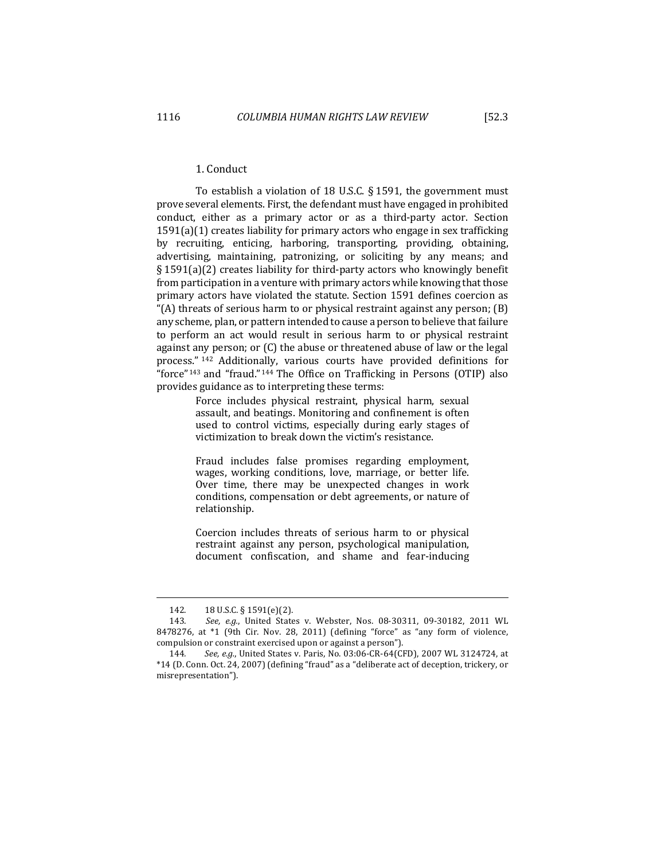# 1. Conduct

To establish a violation of 18 U.S.C.  $\S$  1591, the government must prove several elements. First, the defendant must have engaged in prohibited conduct, either as a primary actor or as a third-party actor. Section  $1591(a)(1)$  creates liability for primary actors who engage in sex trafficking by recruiting, enticing, harboring, transporting, providing, obtaining, advertising, maintaining, patronizing, or soliciting by any means; and  $\S 1591(a)(2)$  creates liability for third-party actors who knowingly benefit from participation in a venture with primary actors while knowing that those primary actors have violated the statute. Section 1591 defines coercion as "(A) threats of serious harm to or physical restraint against any person;  $(B)$ any scheme, plan, or pattern intended to cause a person to believe that failure to perform an act would result in serious harm to or physical restraint against any person; or  $(C)$  the abuse or threatened abuse of law or the legal process." <sup>142</sup> Additionally, various courts have provided definitions for "force"<sup>143</sup> and "fraud."<sup>144</sup> The Office on Trafficking in Persons  $(OTIP)$  also provides guidance as to interpreting these terms:

> Force includes physical restraint, physical harm, sexual assault, and beatings. Monitoring and confinement is often used to control victims, especially during early stages of victimization to break down the victim's resistance.

> Fraud includes false promises regarding employment, wages, working conditions, love, marriage, or better life. Over time, there may be unexpected changes in work conditions, compensation or debt agreements, or nature of relationship.

> Coercion includes threats of serious harm to or physical restraint against any person, psychological manipulation, document confiscation, and shame and fear-inducing

<sup>142. 18</sup> U.S.C. § 1591(e)(2).

<sup>143.</sup> *See, e.g.*, United States v. Webster, Nos. 08-30311, 09-30182, 2011 WL 8478276, at \*1 (9th Cir. Nov. 28, 2011) (defining "force" as "any form of violence, compulsion or constraint exercised upon or against a person").

<sup>144.</sup> See, e.g., United States v. Paris, No. 03:06-CR-64(CFD), 2007 WL 3124724, at \*14 (D. Conn. Oct. 24, 2007) (defining "fraud" as a "deliberate act of deception, trickery, or misrepresentation").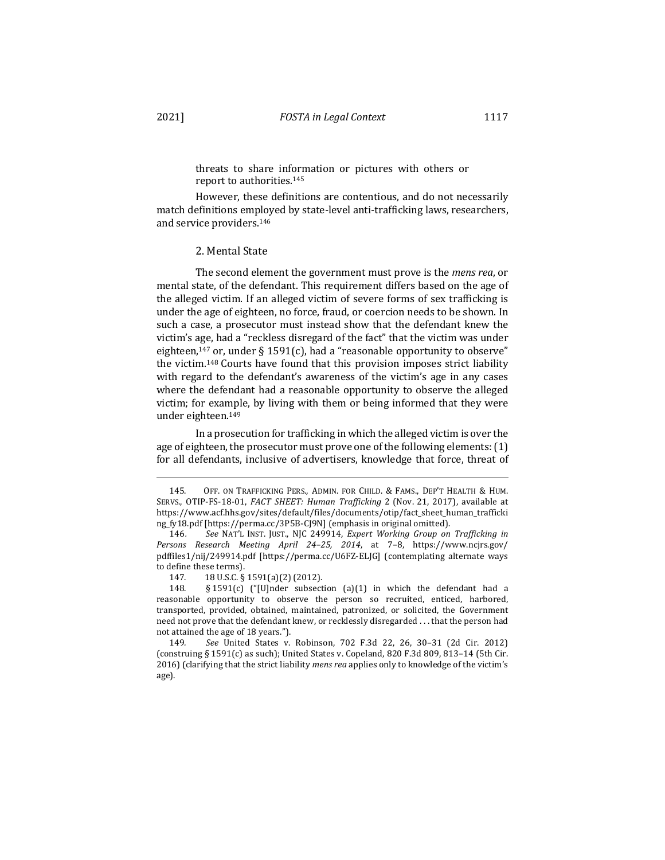threats to share information or pictures with others or report to authorities.<sup>145</sup>

However, these definitions are contentious, and do not necessarily match definitions employed by state-level anti-trafficking laws, researchers, and service providers.<sup>146</sup>

#### 2. Mental State

The second element the government must prove is the *mens rea*, or mental state, of the defendant. This requirement differs based on the age of the alleged victim. If an alleged victim of severe forms of sex trafficking is under the age of eighteen, no force, fraud, or coercion needs to be shown. In such a case, a prosecutor must instead show that the defendant knew the victim's age, had a "reckless disregard of the fact" that the victim was under eighteen,<sup>147</sup> or, under § 1591(c), had a "reasonable opportunity to observe" the victim.<sup>148</sup> Courts have found that this provision imposes strict liability with regard to the defendant's awareness of the victim's age in any cases where the defendant had a reasonable opportunity to observe the alleged victim; for example, by living with them or being informed that they were under eighteen.<sup>149</sup>

In a prosecution for trafficking in which the alleged victim is over the age of eighteen, the prosecutor must prove one of the following elements:  $(1)$ for all defendants, inclusive of advertisers, knowledge that force, threat of

<sup>145.</sup> OFF. ON TRAFFICKING PERS., ADMIN. FOR CHILD. & FAMS., DEP'T HEALTH & HUM. SERVS., OTIP-FS-18-01, *FACT SHEET: Human Trafficking* 2 (Nov. 21, 2017), available at https://www.acf.hhs.gov/sites/default/files/documents/otip/fact\_sheet\_human\_trafficki ng\_fy18.pdf [https://perma.cc/3P5B-CJ9N] (emphasis in original omitted).

<sup>146.</sup> See NAT'L INST. JUST., NJC 249914, *Expert Working Group on Trafficking in Persons Research Meeting April 24–25, 2014*, at 7–8, https://www.ncjrs.gov/ pdffiles1/nij/249914.pdf [https://perma.cc/U6FZ-ELJG] (contemplating alternate ways to define these terms).

<sup>147. 18</sup> U.S.C. § 1591(a)(2) (2012).

<sup>148.</sup>  $\S$  1591(c) ("[U]nder subsection (a)(1) in which the defendant had a reasonable opportunity to observe the person so recruited, enticed, harbored, transported, provided, obtained, maintained, patronized, or solicited, the Government need not prove that the defendant knew, or recklessly disregarded . . . that the person had not attained the age of 18 years.").

<sup>149</sup>*. See*  United States v. Robinson, 702 F.3d 22, 26, 30–31 (2d Cir. 2012) (construing  $\S 1591(c)$  as such); United States v. Copeland, 820 F.3d 809, 813-14 (5th Cir. 2016) (clarifying that the strict liability *mens rea* applies only to knowledge of the victim's age).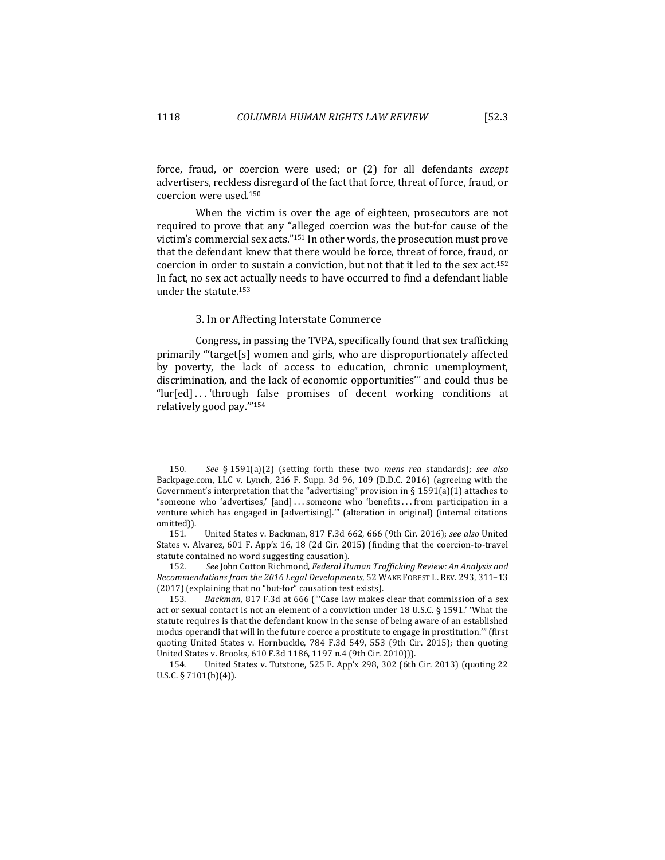force, fraud, or coercion were used; or (2) for all defendants *except* advertisers, reckless disregard of the fact that force, threat of force, fraud, or coercion were used.<sup>150</sup>

When the victim is over the age of eighteen, prosecutors are not required to prove that any "alleged coercion was the but-for cause of the victim's commercial sex acts."<sup>151</sup> In other words, the prosecution must prove that the defendant knew that there would be force, threat of force, fraud, or coercion in order to sustain a conviction, but not that it led to the sex  $act.^{152}$ In fact, no sex act actually needs to have occurred to find a defendant liable under the statute. $153$ 

#### 3. In or Affecting Interstate Commerce

Congress, in passing the TVPA, specifically found that sex trafficking primarily "target[s] women and girls, who are disproportionately affected by poverty, the lack of access to education, chronic unemployment, discrimination, and the lack of economic opportunities'" and could thus be "lur[ed]...'through false promises of decent working conditions at relatively good pay."154

<sup>150.</sup> See § 1591(a)(2) (setting forth these two *mens rea* standards); see also Backpage.com, LLC v. Lynch, 216 F. Supp. 3d 96, 109 (D.D.C. 2016) (agreeing with the Government's interpretation that the "advertising" provision in § 1591(a)(1) attaches to "someone who 'advertises,'  $[and] \ldots$  someone who 'benefits  $\ldots$  from participation in a venture which has engaged in [advertising]." (alteration in original) (internal citations omitted)).

<sup>151.</sup> United States v. Backman, 817 F.3d 662, 666 (9th Cir. 2016); see also United States v. Alvarez,  $601$  F. App'x 16, 18 (2d Cir. 2015) (finding that the coercion-to-travel statute contained no word suggesting causation).

<sup>152.</sup> See John Cotton Richmond, Federal Human Trafficking Review: An Analysis and *Recommendations from the 2016 Legal Developments*, 52 WAKE FOREST L. REV. 293, 311–13  $(2017)$  (explaining that no "but-for" causation test exists).

<sup>153.</sup> *Backman,* 817 F.3d at 666 ("'Case law makes clear that commission of a sex act or sexual contact is not an element of a conviction under 18 U.S.C. § 1591.' 'What the statute requires is that the defendant know in the sense of being aware of an established modus operandi that will in the future coerce a prostitute to engage in prostitution."" (first quoting United States v. Hornbuckle, 784 F.3d 549, 553 (9th Cir. 2015); then quoting United States v. Brooks, 610 F.3d 1186, 1197 n.4 (9th Cir. 2010))).

<sup>154.</sup> United States v. Tutstone, 525 F. App'x 298, 302 (6th Cir. 2013) (quoting 22 U.S.C. § 7101(b)(4)).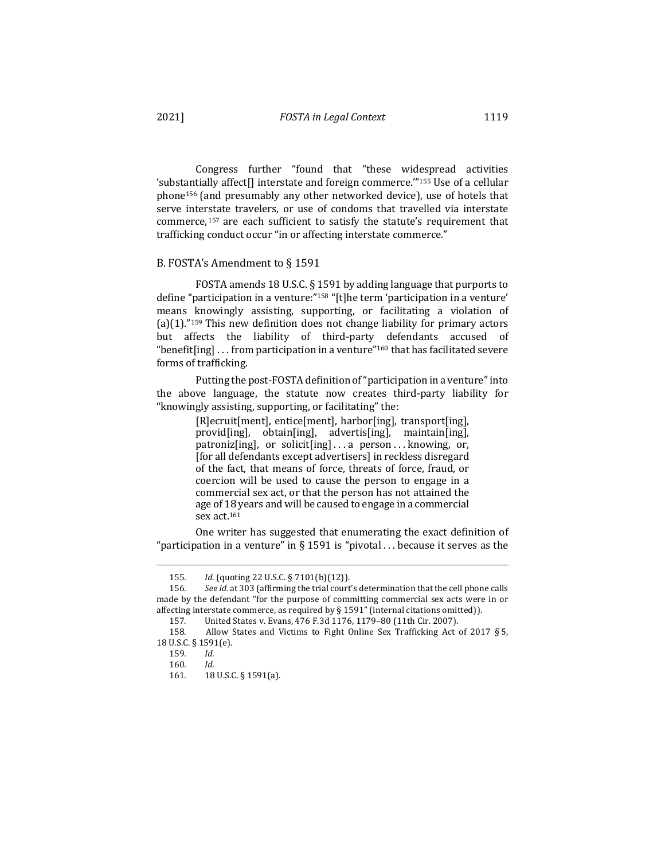Congress further "found that "these widespread activities 'substantially affect<sup>[]</sup> interstate and foreign commerce."<sup>155</sup> Use of a cellular phone<sup>156</sup> (and presumably any other networked device), use of hotels that serve interstate travelers, or use of condoms that travelled via interstate commerce,<sup>157</sup> are each sufficient to satisfy the statute's requirement that trafficking conduct occur "in or affecting interstate commerce."

### B. FOSTA's Amendment to § 1591

FOSTA amends 18 U.S.C.  $\S$  1591 by adding language that purports to define "participation in a venture:"<sup>158</sup> "[t]he term 'participation in a venture' means knowingly assisting, supporting, or facilitating a violation of  $(a)(1)$ ."<sup>159</sup> This new definition does not change liability for primary actors but affects the liability of third-party defendants accused of "benefit[ing]  $\ldots$  from participation in a venture"<sup>160</sup> that has facilitated severe forms of trafficking.

Putting the post-FOSTA definition of "participation in a venture" into the above language, the statute now creates third-party liability for "knowingly assisting, supporting, or facilitating" the:

> [R]ecruit[ment], entice[ment], harbor[ing], transport[ing], provid[ing], obtain[ing], advertis[ing], maintain[ing], patroniz[ing], or solicit[ing]...a person...knowing, or, [for all defendants except advertisers] in reckless disregard of the fact, that means of force, threats of force, fraud, or coercion will be used to cause the person to engage in a commercial sex act, or that the person has not attained the age of 18 years and will be caused to engage in a commercial sex act.<sup>161</sup>

One writer has suggested that enumerating the exact definition of "participation in a venture" in § 1591 is "pivotal ... because it serves as the

<sup>155</sup>*. Id.* (quoting 22 U.S.C. § 7101(b)(12)).

<sup>156.</sup> See id. at 303 (affirming the trial court's determination that the cell phone calls made by the defendant "for the purpose of committing commercial sex acts were in or affecting interstate commerce, as required by  $\S 1591''$  (internal citations omitted)).

<sup>157.</sup> United States v. Evans, 476 F.3d 1176, 1179-80 (11th Cir. 2007).

<sup>158.</sup> Allow States and Victims to Fight Online Sex Trafficking Act of 2017 § 5, 18 U.S.C. § 1591(e).

<sup>159</sup>*. Id.*

<sup>160</sup>*. Id.*

<sup>161.</sup> **18** U.S.C. § 1591(a).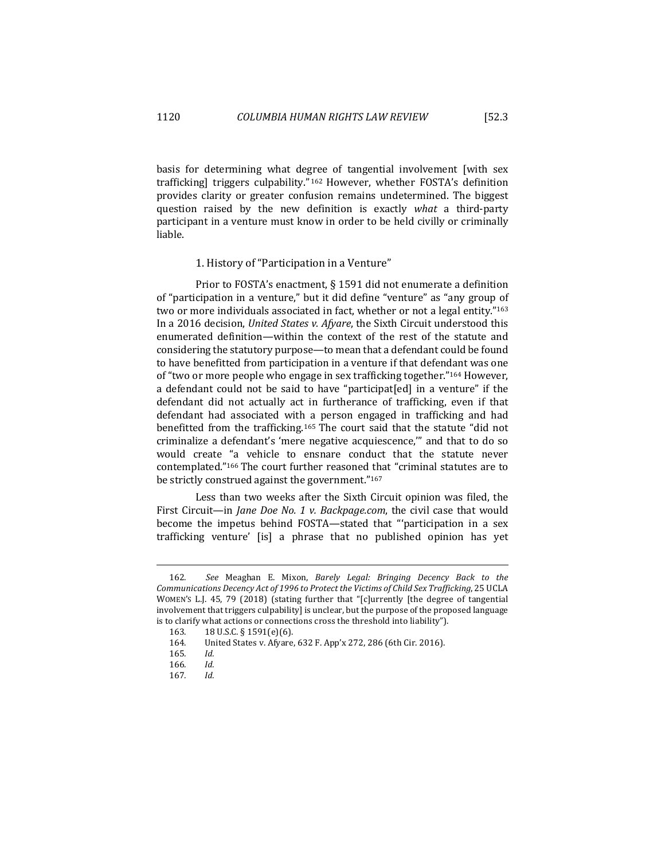basis for determining what degree of tangential involvement [with sex trafficking] triggers culpability."<sup>162</sup> However, whether FOSTA's definition provides clarity or greater confusion remains undetermined. The biggest question raised by the new definition is exactly what a third-party participant in a venture must know in order to be held civilly or criminally liable.

### 1. History of "Participation in a Venture"

Prior to FOSTA's enactment,  $\S$  1591 did not enumerate a definition of "participation in a venture," but it did define "venture" as "any group of two or more individuals associated in fact, whether or not a legal entity."<sup>163</sup> In a 2016 decision, *United States v. Afyare*, the Sixth Circuit understood this enumerated definition—within the context of the rest of the statute and considering the statutory purpose—to mean that a defendant could be found to have benefitted from participation in a venture if that defendant was one of "two or more people who engage in sex trafficking together."<sup>164</sup> However, a defendant could not be said to have "participat[ed] in a venture" if the defendant did not actually act in furtherance of trafficking, even if that defendant had associated with a person engaged in trafficking and had benefitted from the trafficking.<sup>165</sup> The court said that the statute "did not criminalize a defendant's 'mere negative acquiescence," and that to do so would create "a vehicle to ensnare conduct that the statute never contemplated."<sup>166</sup> The court further reasoned that "criminal statutes are to be strictly construed against the government." $167$ 

Less than two weeks after the Sixth Circuit opinion was filed, the First Circuit—in *Jane Doe No. 1 v. Backpage.com*, the civil case that would become the impetus behind FOSTA—stated that "'participation in a sex trafficking venture' [is] a phrase that no published opinion has yet

<sup>162.</sup> See Meaghan E. Mixon, Barely Legal: Bringing Decency Back to the Communications Decency Act of 1996 to Protect the Victims of Child Sex Trafficking, 25 UCLA WOMEN'S L.J. 45, 79 (2018) (stating further that "[c]urrently [the degree of tangential involvement that triggers culpability] is unclear, but the purpose of the proposed language is to clarify what actions or connections cross the threshold into liability").

<sup>163. 18</sup> U.S.C. § 1591(e)(6).

<sup>164.</sup> United States v. Afyare, 632 F. App'x 272, 286 (6th Cir. 2016).

<sup>165</sup>*. Id.*

<sup>166</sup>*. Id.*

<sup>167</sup>*. Id.*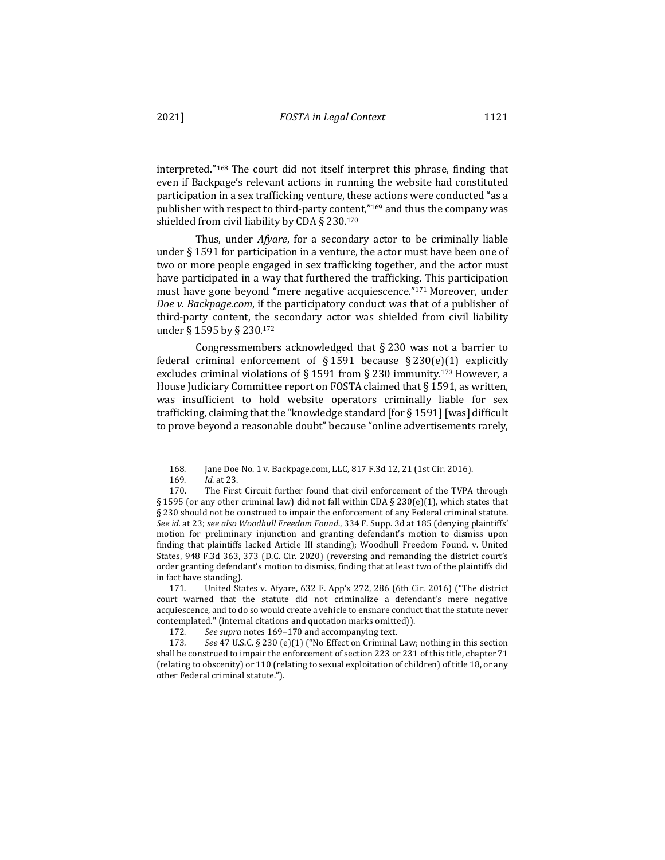interpreted."<sup>168</sup> The court did not itself interpret this phrase, finding that even if Backpage's relevant actions in running the website had constituted participation in a sex trafficking venture, these actions were conducted "as a publisher with respect to third-party content,"<sup>169</sup> and thus the company was shielded from civil liability by CDA § 230.170

Thus, under *Afyare*, for a secondary actor to be criminally liable under  $\S$  1591 for participation in a venture, the actor must have been one of two or more people engaged in sex trafficking together, and the actor must have participated in a way that furthered the trafficking. This participation must have gone beyond "mere negative acquiescence." $171$  Moreover, under *Doe* v. Backpage.com, if the participatory conduct was that of a publisher of third-party content, the secondary actor was shielded from civil liability under § 1595 by § 230.172

Congressmembers acknowledged that  $\S$  230 was not a barrier to federal criminal enforcement of  $\S 1591$  because  $\S 230(e)(1)$  explicitly excludes criminal violations of § 1591 from § 230 immunity.<sup>173</sup> However, a House Judiciary Committee report on FOSTA claimed that  $\S$  1591, as written, was insufficient to hold website operators criminally liable for sex trafficking, claiming that the "knowledge standard  $[$  for § 1591]  $[$  was $]$  difficult to prove beyond a reasonable doubt" because "online advertisements rarely,

<sup>168.</sup> Jane Doe No. 1 v. Backpage.com, LLC, 817 F.3d 12, 21 (1st Cir. 2016).

<sup>169</sup>*. Id.* at 23.

<sup>170.</sup> The First Circuit further found that civil enforcement of the TVPA through § 1595 (or any other criminal law) did not fall within CDA § 230(e)(1), which states that § 230 should not be construed to impair the enforcement of any Federal criminal statute. See id. at 23; see also Woodhull Freedom Found., 334 F. Supp. 3d at 185 (denying plaintiffs' motion for preliminary injunction and granting defendant's motion to dismiss upon finding that plaintiffs lacked Article III standing); Woodhull Freedom Found. v. United States, 948 F.3d 363, 373 (D.C. Cir. 2020) (reversing and remanding the district court's order granting defendant's motion to dismiss, finding that at least two of the plaintiffs did in fact have standing).

<sup>171.</sup> United States v. Afyare, 632 F. App'x 272, 286 (6th Cir. 2016) ("The district court warned that the statute did not criminalize a defendant's mere negative acquiescence, and to do so would create a vehicle to ensnare conduct that the statute never contemplated." (internal citations and quotation marks omitted)).

<sup>172.</sup> See supra notes 169-170 and accompanying text.

<sup>173.</sup> See 47 U.S.C. § 230 (e)(1) ("No Effect on Criminal Law; nothing in this section shall be construed to impair the enforcement of section 223 or 231 of this title, chapter 71 (relating to obscenity) or 110 (relating to sexual exploitation of children) of title 18, or any other Federal criminal statute.").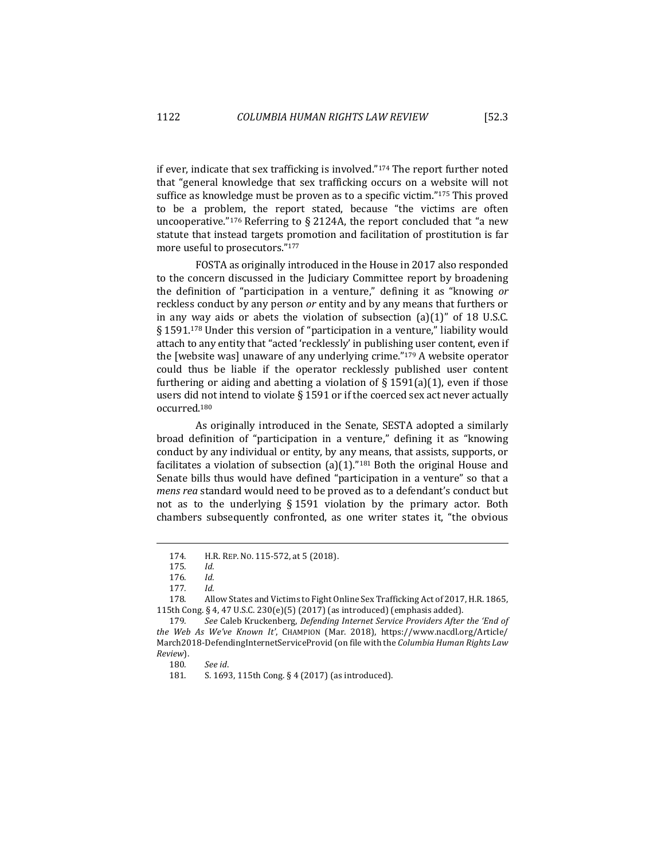if ever, indicate that sex trafficking is involved." $174$  The report further noted that "general knowledge that sex trafficking occurs on a website will not suffice as knowledge must be proven as to a specific victim." $175$  This proved to be a problem, the report stated, because "the victims are often uncooperative."<sup>176</sup> Referring to § 2124A, the report concluded that "a new statute that instead targets promotion and facilitation of prostitution is far more useful to prosecutors."177

FOSTA as originally introduced in the House in 2017 also responded to the concern discussed in the Judiciary Committee report by broadening the definition of "participation in a venture," defining it as "knowing or reckless conduct by any person or entity and by any means that furthers or in any way aids or abets the violation of subsection  $(a)(1)$ " of 18 U.S.C. § 1591.<sup>178</sup> Under this version of "participation in a venture," liability would attach to any entity that "acted 'recklessly' in publishing user content, even if the [website was] unaware of any underlying crime." $179$  A website operator could thus be liable if the operator recklessly published user content furthering or aiding and abetting a violation of  $\S 1591(a)(1)$ , even if those users did not intend to violate  $\S$  1591 or if the coerced sex act never actually occurred.180

As originally introduced in the Senate, SESTA adopted a similarly broad definition of "participation in a venture," defining it as "knowing conduct by any individual or entity, by any means, that assists, supports, or facilitates a violation of subsection  $(a)(1)$ ."<sup>181</sup> Both the original House and Senate bills thus would have defined "participation in a venture" so that a *mens rea* standard would need to be proved as to a defendant's conduct but not as to the underlying  $\S$  1591 violation by the primary actor. Both chambers subsequently confronted, as one writer states it, "the obvious

<sup>174.</sup> H.R. REP. No. 115-572, at 5 (2018).

<sup>175</sup>*. Id.*

<sup>176</sup>*. Id.*

<sup>177</sup>*. Id.*

<sup>178.</sup> Allow States and Victims to Fight Online Sex Trafficking Act of 2017, H.R. 1865, 115th Cong. § 4, 47 U.S.C. 230(e)(5) (2017) (as introduced) (emphasis added).

<sup>179.</sup> See Caleb Kruckenberg, *Defending Internet Service Providers After the 'End of the Web As We've Known It'*, CHAMPION (Mar. 2018), https://www.nacdl.org/Article/ March2018-DefendingInternetServiceProvid (on file with the *Columbia Human Rights Law Review*).

<sup>180</sup>*. See id*.

<sup>181.</sup> S. 1693, 115th Cong. § 4 (2017) (as introduced).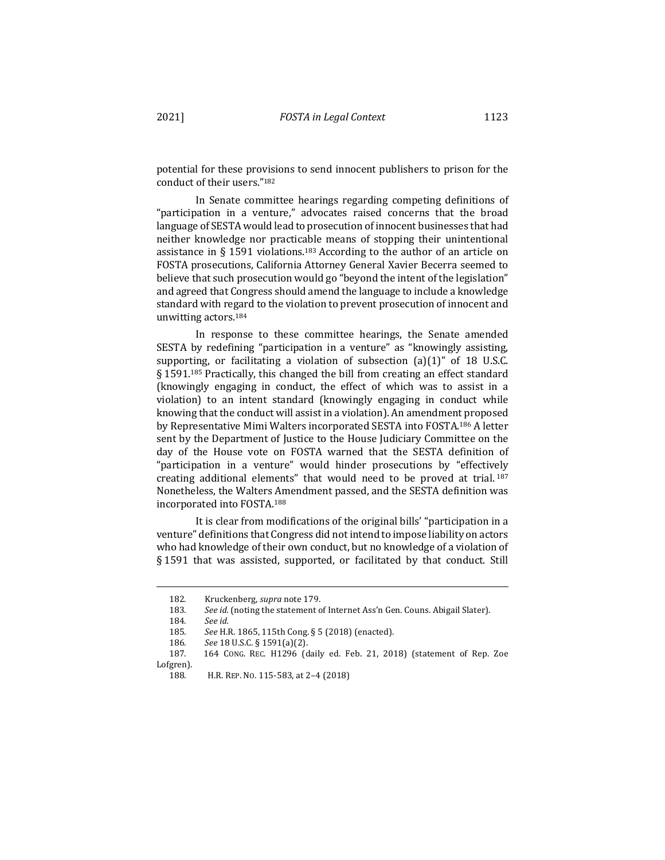potential for these provisions to send innocent publishers to prison for the conduct of their users."182

In Senate committee hearings regarding competing definitions of "participation in a venture," advocates raised concerns that the broad language of SESTA would lead to prosecution of innocent businesses that had neither knowledge nor practicable means of stopping their unintentional assistance in § 1591 violations.<sup>183</sup> According to the author of an article on FOSTA prosecutions, California Attorney General Xavier Becerra seemed to believe that such prosecution would go "beyond the intent of the legislation" and agreed that Congress should amend the language to include a knowledge standard with regard to the violation to prevent prosecution of innocent and unwitting actors.<sup>184</sup>

In response to these committee hearings, the Senate amended SESTA by redefining "participation in a venture" as "knowingly assisting, supporting, or facilitating a violation of subsection  $(a)(1)$ " of 18 U.S.C.  $\S$  1591.<sup>185</sup> Practically, this changed the bill from creating an effect standard (knowingly engaging in conduct, the effect of which was to assist in a violation) to an intent standard (knowingly engaging in conduct while knowing that the conduct will assist in a violation). An amendment proposed by Representative Mimi Walters incorporated SESTA into FOSTA.<sup>186</sup> A letter sent by the Department of Justice to the House Judiciary Committee on the day of the House vote on FOSTA warned that the SESTA definition of "participation in a venture" would hinder prosecutions by "effectively creating additional elements" that would need to be proved at trial.<sup>187</sup> Nonetheless, the Walters Amendment passed, and the SESTA definition was incorporated into FOSTA.<sup>188</sup>

It is clear from modifications of the original bills' "participation in a venture" definitions that Congress did not intend to impose liability on actors who had knowledge of their own conduct, but no knowledge of a violation of § 1591 that was assisted, supported, or facilitated by that conduct. Still

<sup>182.</sup> Kruckenberg, *supra* note 179.

<sup>183.</sup> See id. (noting the statement of Internet Ass'n Gen. Couns. Abigail Slater).

<sup>184</sup>*. See id.*

<sup>185.</sup> See H.R. 1865, 115th Cong. § 5 (2018) (enacted).

<sup>186</sup>*. See* 18 U.S.C. § 1591(a)(2).

<sup>187.</sup> 164 CONG. REC. H1296 (daily ed. Feb. 21, 2018) (statement of Rep. Zoe Lofgren).

<sup>188.</sup> H.R. REP. No. 115-583, at 2-4 (2018)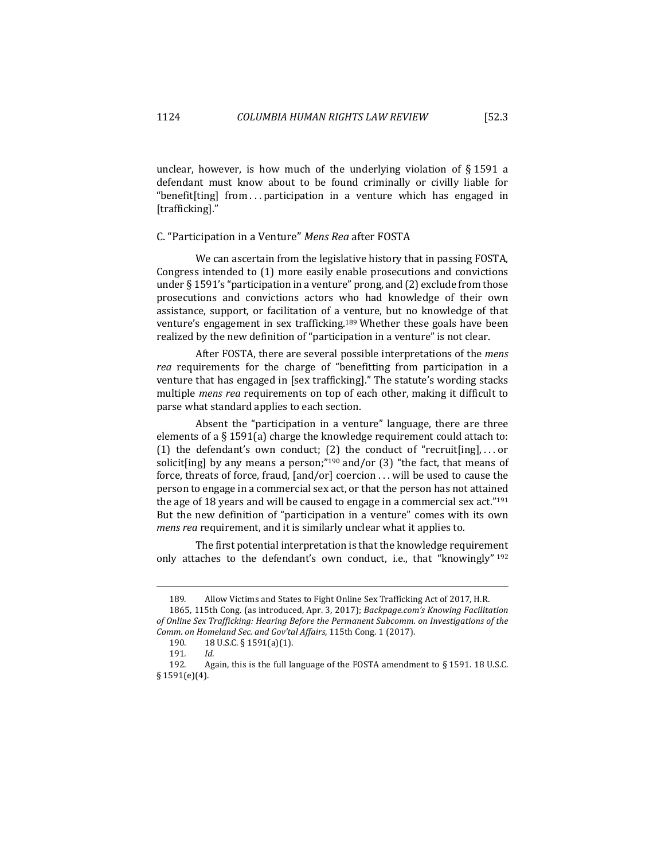unclear, however, is how much of the underlying violation of  $\S 1591$  a defendant must know about to be found criminally or civilly liable for "benefit [ting] from  $\ldots$  participation in a venture which has engaged in [trafficking]."

# C. "Participation in a Venture" Mens Rea after FOSTA

We can ascertain from the legislative history that in passing FOSTA, Congress intended to  $(1)$  more easily enable prosecutions and convictions under  $\S 1591$ 's "participation in a venture" prong, and  $(2)$  exclude from those prosecutions and convictions actors who had knowledge of their own assistance, support, or facilitation of a venture, but no knowledge of that venture's engagement in sex trafficking.<sup>189</sup> Whether these goals have been realized by the new definition of "participation in a venture" is not clear.

After FOSTA, there are several possible interpretations of the *mens rea* requirements for the charge of "benefitting from participation in a venture that has engaged in [sex trafficking]." The statute's wording stacks multiple *mens rea* requirements on top of each other, making it difficult to parse what standard applies to each section.

Absent the "participation in a venture" language, there are three elements of a  $\S 1591(a)$  charge the knowledge requirement could attach to: (1) the defendant's own conduct; (2) the conduct of "recruit[ing],...or solicit[ing] by any means a person;"<sup>190</sup> and/or (3) "the fact, that means of force, threats of force, fraud,  $\lceil \text{and/or} \rceil$  coercion . . . will be used to cause the person to engage in a commercial sex act, or that the person has not attained the age of 18 years and will be caused to engage in a commercial sex act."<sup>191</sup> But the new definition of "participation in a venture" comes with its own *mens rea* requirement, and it is similarly unclear what it applies to.

The first potential interpretation is that the knowledge requirement only attaches to the defendant's own conduct, i.e., that "knowingly"  $192$ 

<sup>189.</sup> Allow Victims and States to Fight Online Sex Trafficking Act of 2017, H.R.

<sup>1865, 115</sup>th Cong. (as introduced, Apr. 3, 2017); Backpage.com's Knowing Facilitation of Online Sex Trafficking: Hearing Before the Permanent Subcomm. on Investigations of the *Comm. on Homeland Sec. and Gov'tal Affairs*, 115th Cong. 1 (2017). 

<sup>190. 18</sup> U.S.C. § 1591(a)(1).

<sup>191</sup>*. Id.*

<sup>192.</sup> Again, this is the full language of the FOSTA amendment to  $\S$  1591. 18 U.S.C. § 1591(e)(4).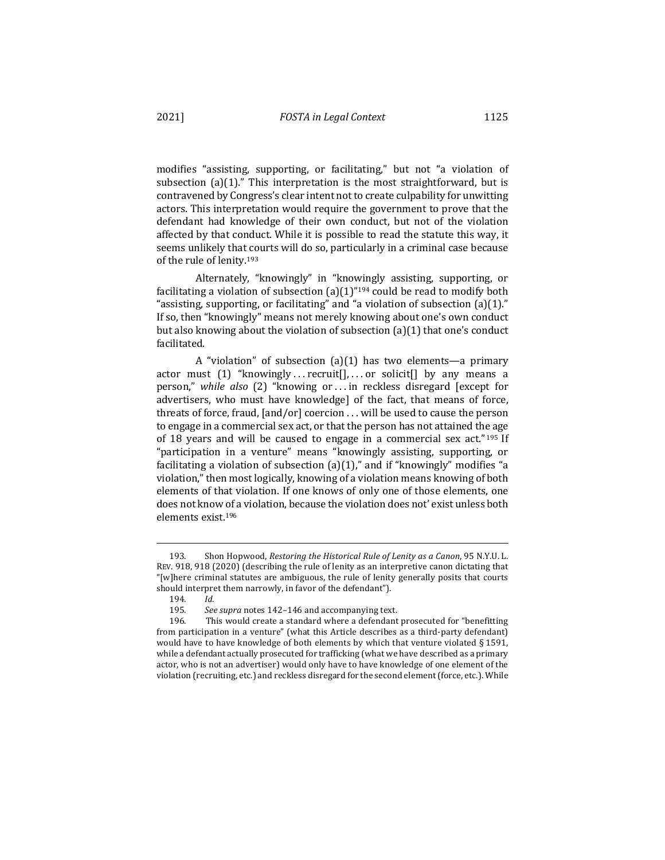modifies "assisting, supporting, or facilitating," but not "a violation of subsection  $(a)(1)$ ." This interpretation is the most straightforward, but is contravened by Congress's clear intent not to create culpability for unwitting actors. This interpretation would require the government to prove that the defendant had knowledge of their own conduct, but not of the violation affected by that conduct. While it is possible to read the statute this way, it seems unlikely that courts will do so, particularly in a criminal case because of the rule of lenity.<sup>193</sup>

Alternately, "knowingly" in "knowingly assisting, supporting, or facilitating a violation of subsection  $(a)(1)^{n_{194}}$  could be read to modify both "assisting, supporting, or facilitating" and "a violation of subsection  $(a)(1)$ ." If so, then "knowingly" means not merely knowing about one's own conduct but also knowing about the violation of subsection  $(a)(1)$  that one's conduct facilitated.

A "violation" of subsection  $(a)(1)$  has two elements—a primary actor must  $(1)$  "knowingly ... recruit [], ... or solicit [] by any means a person," *while also* (2) "knowing or ... in reckless disregard [except for advertisers, who must have knowledge] of the fact, that means of force, threats of force, fraud,  $[and/or]$  coercion  $\ldots$  will be used to cause the person to engage in a commercial sex act, or that the person has not attained the age of 18 years and will be caused to engage in a commercial sex act."<sup>195</sup> If "participation in a venture" means "knowingly assisting, supporting, or facilitating a violation of subsection  $(a)(1)$ ," and if "knowingly" modifies "a violation," then most logically, knowing of a violation means knowing of both elements of that violation. If one knows of only one of those elements, one does not know of a violation, because the violation does not' exist unless both elements exist.196

<sup>193.</sup> Shon Hopwood, *Restoring the Historical Rule of Lenity as a Canon*, 95 N.Y.U. L. REV. 918, 918 (2020) (describing the rule of lenity as an interpretive canon dictating that "[w]here criminal statutes are ambiguous, the rule of lenity generally posits that courts should interpret them narrowly, in favor of the defendant").

<sup>194</sup>*. Id*.

<sup>195.</sup> See supra notes 142–146 and accompanying text.<br>196. This would create a standard where a defendant

This would create a standard where a defendant prosecuted for "benefitting from participation in a venture" (what this Article describes as a third-party defendant) would have to have knowledge of both elements by which that venture violated  $§$  1591, while a defendant actually prosecuted for trafficking (what we have described as a primary actor, who is not an advertiser) would only have to have knowledge of one element of the violation (recruiting, etc.) and reckless disregard for the second element (force, etc.). While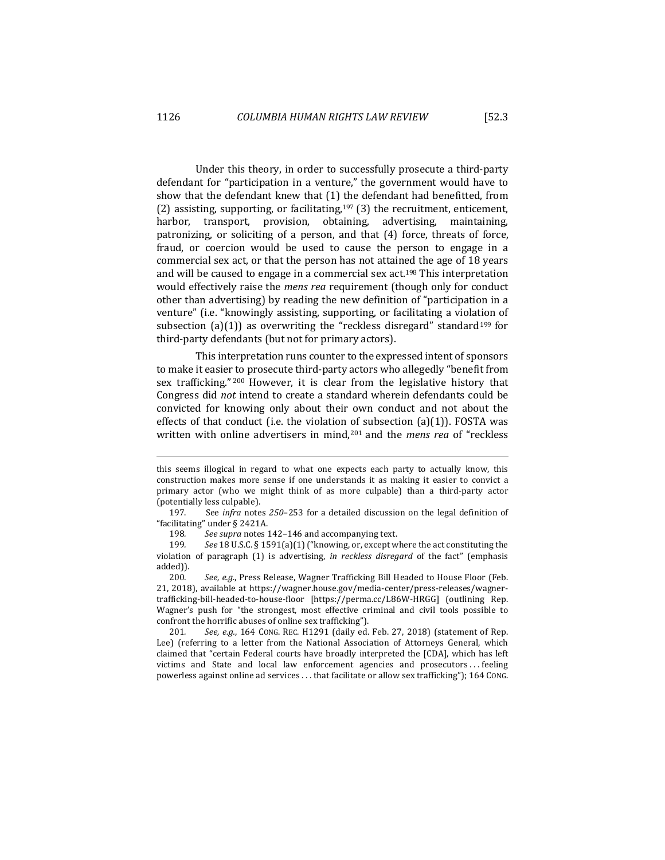Under this theory, in order to successfully prosecute a third-party defendant for "participation in a venture," the government would have to show that the defendant knew that  $(1)$  the defendant had benefitted, from (2) assisting, supporting, or facilitating,<sup>197</sup> (3) the recruitment, enticement, harbor, transport, provision, obtaining, advertising, maintaining. patronizing, or soliciting of a person, and that  $(4)$  force, threats of force, fraud, or coercion would be used to cause the person to engage in a commercial sex act, or that the person has not attained the age of 18 years and will be caused to engage in a commercial sex act.<sup>198</sup> This interpretation would effectively raise the *mens rea* requirement (though only for conduct other than advertising) by reading the new definition of "participation in a venture" (i.e. "knowingly assisting, supporting, or facilitating a violation of subsection  $(a)(1)$  as overwriting the "reckless disregard" standard<sup>199</sup> for third-party defendants (but not for primary actors).

This interpretation runs counter to the expressed intent of sponsors to make it easier to prosecute third-party actors who allegedly "benefit from sex trafficking." <sup>200</sup> However, it is clear from the legislative history that Congress did *not* intend to create a standard wherein defendants could be convicted for knowing only about their own conduct and not about the effects of that conduct (i.e. the violation of subsection  $(a)(1)$ ). FOSTA was written with online advertisers in mind,<sup>201</sup> and the *mens rea* of "reckless

this seems illogical in regard to what one expects each party to actually know, this construction makes more sense if one understands it as making it easier to convict a primary actor (who we might think of as more culpable) than a third-party actor (potentially less culpable).

<sup>197.</sup> See *infra* notes 250-253 for a detailed discussion on the legal definition of "facilitating" under § 2421A.

<sup>198.</sup> See supra notes 142-146 and accompanying text.

<sup>199.</sup> See 18 U.S.C. § 1591(a)(1) ("knowing, or, except where the act constituting the violation of paragraph (1) is advertising, *in reckless disregard* of the fact" (emphasis added)).

<sup>200.</sup> See, e.g., Press Release, Wagner Trafficking Bill Headed to House Floor (Feb. 21, 2018), available at https://wagner.house.gov/media-center/press-releases/wagnertrafficking-bill-headed-to-house-floor [https://perma.cc/L86W-HRGG] (outlining Rep. Wagner's push for "the strongest, most effective criminal and civil tools possible to confront the horrific abuses of online sex trafficking").

<sup>201.</sup> See, e.g., 164 CONG. REC. H1291 (daily ed. Feb. 27, 2018) (statement of Rep. Lee) (referring to a letter from the National Association of Attorneys General, which claimed that "certain Federal courts have broadly interpreted the [CDA], which has left victims and State and local law enforcement agencies and prosecutors . . . feeling powerless against online ad services . . . that facilitate or allow sex trafficking"); 164 CoNG.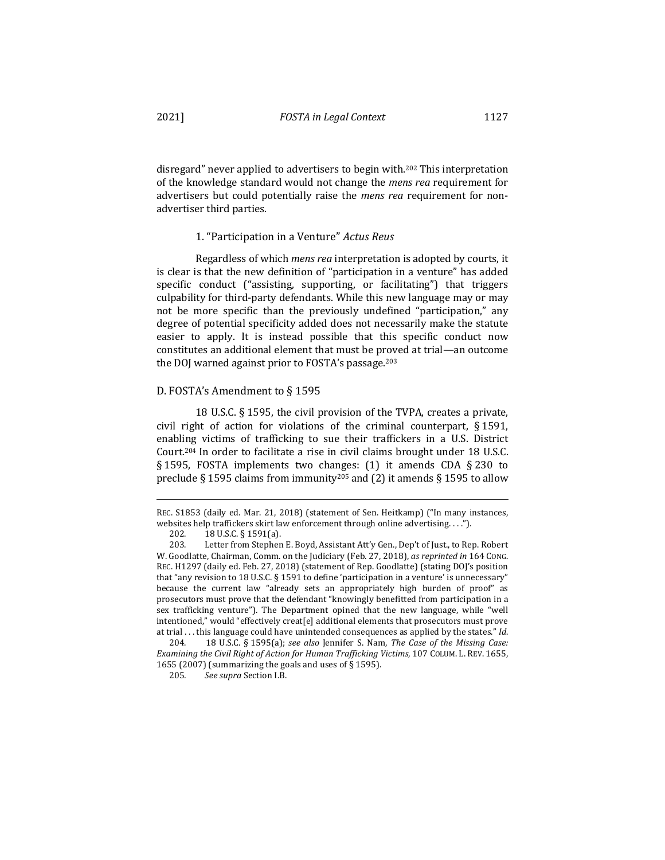disregard" never applied to advertisers to begin with.<sup>202</sup> This interpretation of the knowledge standard would not change the *mens rea* requirement for advertisers but could potentially raise the *mens rea* requirement for nonadvertiser third parties.

#### 1. "Participation in a Venture" Actus Reus

Regardless of which *mens rea* interpretation is adopted by courts, it is clear is that the new definition of "participation in a venture" has added specific conduct ("assisting, supporting, or facilitating") that triggers culpability for third-party defendants. While this new language may or may not be more specific than the previously undefined "participation," any degree of potential specificity added does not necessarily make the statute easier to apply. It is instead possible that this specific conduct now constitutes an additional element that must be proved at trial—an outcome the DOJ warned against prior to FOSTA's passage.<sup>203</sup>

### D. FOSTA's Amendment to § 1595

18 U.S.C.  $\S$  1595, the civil provision of the TVPA, creates a private, civil right of action for violations of the criminal counterpart,  $\S 1591$ , enabling victims of trafficking to sue their traffickers in a U.S. District Court.<sup>204</sup> In order to facilitate a rise in civil claims brought under 18 U.S.C. § 1595, FOSTA implements two changes:  $(1)$  it amends CDA § 230 to preclude § 1595 claims from immunity<sup>205</sup> and (2) it amends § 1595 to allow

REC. S1853 (daily ed. Mar. 21, 2018) (statement of Sen. Heitkamp) ("In many instances, websites help traffickers skirt law enforcement through online advertising. . . .").

<sup>202. 18</sup> U.S.C. § 1591(a).

<sup>203.</sup> Letter from Stephen E. Boyd, Assistant Att'y Gen., Dep't of Just., to Rep. Robert W. Goodlatte, Chairman, Comm. on the Judiciary (Feb. 27, 2018), *as reprinted in* 164 Cong. REC. H1297 (daily ed. Feb. 27, 2018) (statement of Rep. Goodlatte) (stating DOJ's position that "any revision to 18 U.S.C. § 1591 to define 'participation in a venture' is unnecessary" because the current law "already sets an appropriately high burden of proof" as prosecutors must prove that the defendant "knowingly benefitted from participation in a sex trafficking venture"). The Department opined that the new language, while "well intentioned," would "effectively creat[e] additional elements that prosecutors must prove at trial ... this language could have unintended consequences as applied by the states." Id.

<sup>204. 18</sup> U.S.C. § 1595(a); see also Jennifer S. Nam, The Case of the Missing Case: *Examining the Civil Right of Action for Human Trafficking Victims*, 107 COLUM. L. REV. 1655, 1655 (2007) (summarizing the goals and uses of  $\S$  1595).

<sup>205</sup>*. See supra* Section I.B.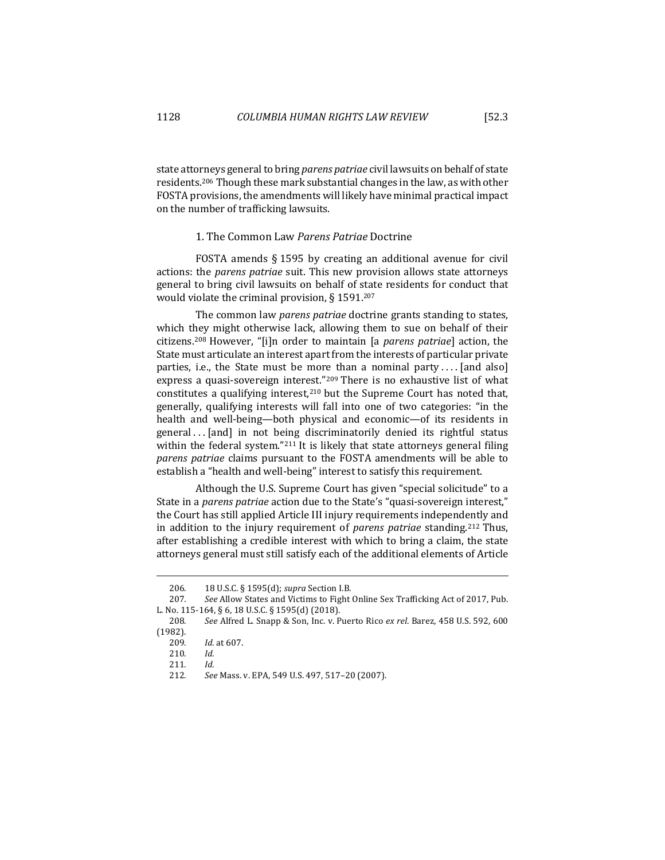state attorneys general to bring *parens patriae* civil lawsuits on behalf of state residents.<sup>206</sup> Though these mark substantial changes in the law, as with other FOSTA provisions, the amendments will likely have minimal practical impact on the number of trafficking lawsuits.

# 1. The Common Law *Parens Patriae* Doctrine

FOSTA amends  $\S$  1595 by creating an additional avenue for civil actions: the *parens patriae* suit. This new provision allows state attorneys general to bring civil lawsuits on behalf of state residents for conduct that would violate the criminal provision,  $\S 1591$ .<sup>207</sup>

The common law *parens patriae* doctrine grants standing to states, which they might otherwise lack, allowing them to sue on behalf of their citizens.<sup>208</sup> However, "[i]n order to maintain [a *parens patriae*] action, the State must articulate an interest apart from the interests of particular private parties, i.e., the State must be more than a nominal party  $\dots$  [and also] express a quasi-sovereign interest."<sup>209</sup> There is no exhaustive list of what constitutes a qualifying interest,<sup>210</sup> but the Supreme Court has noted that, generally, qualifying interests will fall into one of two categories: "in the health and well-being—both physical and economic—of its residents in general... [and] in not being discriminatorily denied its rightful status within the federal system." $211$  It is likely that state attorneys general filing *parens patriae* claims pursuant to the FOSTA amendments will be able to establish a "health and well-being" interest to satisfy this requirement.

Although the U.S. Supreme Court has given "special solicitude" to a State in a *parens patriae* action due to the State's "quasi-sovereign interest," the Court has still applied Article III injury requirements independently and in addition to the injury requirement of *parens patriae* standing.<sup>212</sup> Thus, after establishing a credible interest with which to bring a claim, the state attorneys general must still satisfy each of the additional elements of Article

<sup>206</sup>*.*  18 U.S.C. § 1595(d); *supra* Section I.B.

<sup>207.</sup> See Allow States and Victims to Fight Online Sex Trafficking Act of 2017, Pub. L. No. 115-164, § 6, 18 U.S.C. § 1595(d) (2018).

<sup>208</sup>*. See* Alfred L. Snapp & Son, Inc. v. Puerto Rico *ex rel*. Barez, 458 U.S. 592, 600 (1982).

<sup>209</sup>*. Id.* at 607.

<sup>210</sup>*. Id.*

<sup>211</sup>*. Id.*

<sup>212</sup>*. See* Mass. v. EPA, 549 U.S. 497, 517–20 (2007).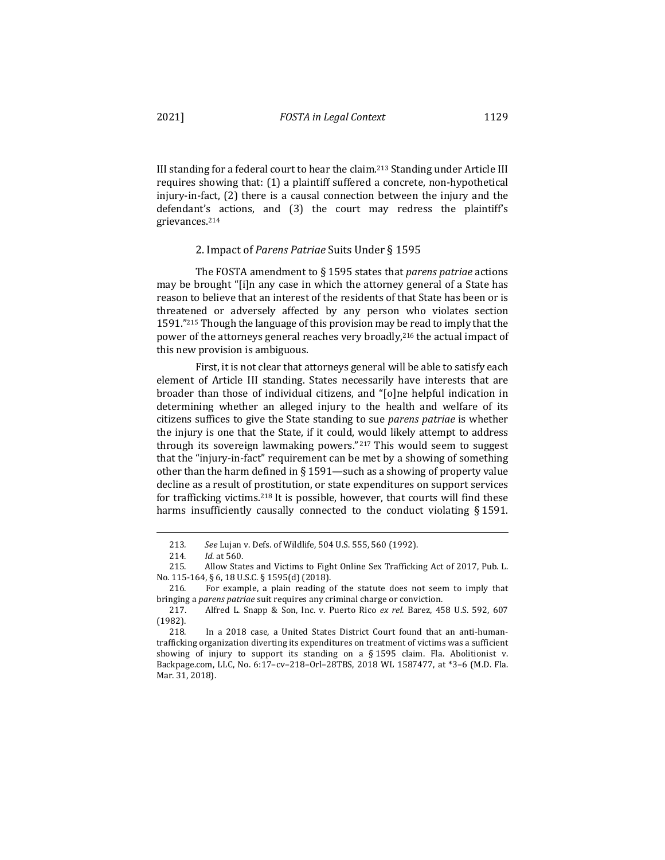III standing for a federal court to hear the claim.<sup>213</sup> Standing under Article III requires showing that: (1) a plaintiff suffered a concrete, non-hypothetical injury-in-fact, (2) there is a causal connection between the injury and the defendant's actions, and (3) the court may redress the plaintiff's grievances.214

### 2. Impact of *Parens Patriae* Suits Under § 1595

The FOSTA amendment to § 1595 states that *parens patriae* actions may be brought "[i]n any case in which the attorney general of a State has reason to believe that an interest of the residents of that State has been or is threatened or adversely affected by any person who violates section 1591. $"215$  Though the language of this provision may be read to imply that the power of the attorneys general reaches very broadly,  $2^{16}$  the actual impact of this new provision is ambiguous.

First, it is not clear that attorneys general will be able to satisfy each element of Article III standing. States necessarily have interests that are broader than those of individual citizens, and "[o]ne helpful indication in determining whether an alleged injury to the health and welfare of its citizens suffices to give the State standing to sue *parens patriae* is whether the injury is one that the State, if it could, would likely attempt to address through its sovereign lawmaking powers." $217$  This would seem to suggest that the "injury-in-fact" requirement can be met by a showing of something other than the harm defined in § 1591—such as a showing of property value decline as a result of prostitution, or state expenditures on support services for trafficking victims.<sup>218</sup> It is possible, however, that courts will find these harms insufficiently causally connected to the conduct violating  $\S 1591$ .

<sup>213</sup>*. See* Lujan v. Defs. of Wildlife, 504 U.S. 555, 560 (1992).

<sup>214.</sup> *Id.* at 560.

<sup>215.</sup> Allow States and Victims to Fight Online Sex Trafficking Act of 2017, Pub. L. No. 115-164, § 6, 18 U.S.C. § 1595(d) (2018).

<sup>216.</sup> For example, a plain reading of the statute does not seem to imply that bringing a *parens patriae* suit requires any criminal charge or conviction.

<sup>217.</sup> Alfred L. Snapp & Son, Inc. v. Puerto Rico ex rel. Barez, 458 U.S. 592, 607 (1982).

<sup>218.</sup> In a 2018 case, a United States District Court found that an anti-humantrafficking organization diverting its expenditures on treatment of victims was a sufficient showing of injury to support its standing on a  $\S$  1595 claim. Fla. Abolitionist v. Backpage.com, LLC, No. 6:17-cv-218-Orl-28TBS, 2018 WL 1587477, at \*3-6 (M.D. Fla. Mar. 31, 2018).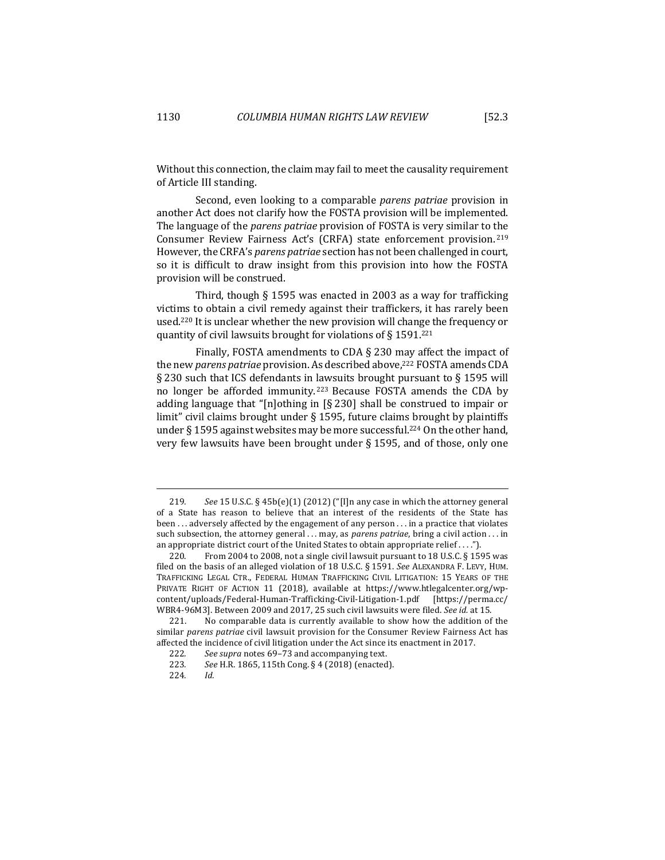Without this connection, the claim may fail to meet the causality requirement of Article III standing.

Second, even looking to a comparable *parens patriae* provision in another Act does not clarify how the FOSTA provision will be implemented. The language of the *parens patriae* provision of FOSTA is very similar to the Consumer Review Fairness Act's (CRFA) state enforcement provision.<sup>219</sup> However, the CRFA's *parens patriae* section has not been challenged in court, so it is difficult to draw insight from this provision into how the FOSTA provision will be construed.

Third, though  $\S$  1595 was enacted in 2003 as a way for trafficking victims to obtain a civil remedy against their traffickers, it has rarely been used.<sup>220</sup> It is unclear whether the new provision will change the frequency or quantity of civil lawsuits brought for violations of § 1591.<sup>221</sup>

Finally, FOSTA amendments to CDA  $\S$  230 may affect the impact of the new *parens patriae* provision. As described above,<sup>222</sup> FOSTA amends CDA § 230 such that ICS defendants in lawsuits brought pursuant to § 1595 will no longer be afforded immunity.<sup>223</sup> Because FOSTA amends the CDA by adding language that "[n]othing in  $\lceil \xi \rceil 230$ ] shall be construed to impair or limit" civil claims brought under  $\S$  1595, future claims brought by plaintiffs under § 1595 against websites may be more successful.<sup>224</sup> On the other hand, very few lawsuits have been brought under  $\S$  1595, and of those, only one

<sup>219.</sup> *See* 15 U.S.C.  $\S$  45b(e)(1) (2012) ("[I]n any case in which the attorney general of a State has reason to believe that an interest of the residents of the State has been  $\dots$  adversely affected by the engagement of any person  $\dots$  in a practice that violates such subsection, the attorney general ... may, as *parens patriae*, bring a civil action ... in an appropriate district court of the United States to obtain appropriate relief ....").

<sup>220.</sup> From 2004 to 2008, not a single civil lawsuit pursuant to 18 U.S.C.  $\S$  1595 was filed on the basis of an alleged violation of 18 U.S.C. § 1591. See ALEXANDRA F. LEVY, HUM. TRAFFICKING LEGAL CTR., FEDERAL HUMAN TRAFFICKING CIVIL LITIGATION: 15 YEARS OF THE PRIVATE RIGHT OF ACTION 11 (2018), available at https://www.htlegalcenter.org/wpcontent/uploads/Federal-Human-Trafficking-Civil-Litigation-1.pdf [https://perma.cc/ WBR4-96M3]. Between 2009 and 2017, 25 such civil lawsuits were filed. See id. at 15.

<sup>221.</sup> No comparable data is currently available to show how the addition of the similar parens patriae civil lawsuit provision for the Consumer Review Fairness Act has affected the incidence of civil litigation under the Act since its enactment in 2017.

<sup>222.</sup> See supra notes 69-73 and accompanying text.

<sup>223.</sup> See H.R. 1865, 115th Cong. § 4 (2018) (enacted).

<sup>224</sup>*. Id.*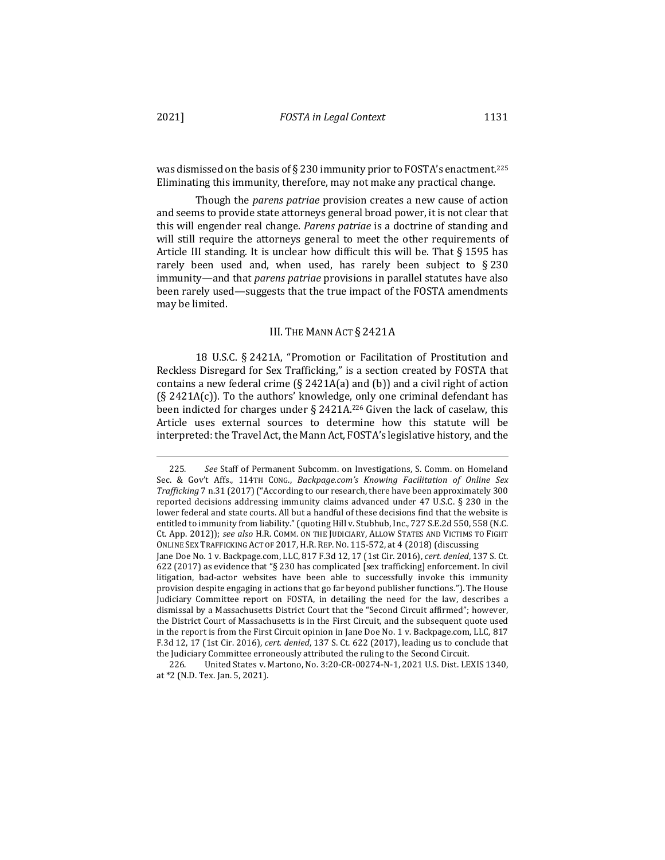was dismissed on the basis of § 230 immunity prior to FOSTA's enactment.<sup>225</sup> Eliminating this immunity, therefore, may not make any practical change.

Though the *parens patriae* provision creates a new cause of action and seems to provide state attorneys general broad power, it is not clear that this will engender real change. *Parens patriae* is a doctrine of standing and will still require the attorneys general to meet the other requirements of Article III standing. It is unclear how difficult this will be. That  $\S 1595$  has rarely been used and, when used, has rarely been subject to  $\S 230$ immunity—and that *parens patriae* provisions in parallel statutes have also been rarely used—suggests that the true impact of the FOSTA amendments may be limited.

#### III. THE MANN ACT § 2421A

18 U.S.C. § 2421A, "Promotion or Facilitation of Prostitution and Reckless Disregard for Sex Trafficking," is a section created by FOSTA that contains a new federal crime  $(\S$  2421A(a) and (b)) and a civil right of action  $(S$  2421A(c)). To the authors' knowledge, only one criminal defendant has been indicted for charges under  $\S$  2421A.<sup>226</sup> Given the lack of caselaw, this Article uses external sources to determine how this statute will be interpreted: the Travel Act, the Mann Act, FOSTA's legislative history, and the

<sup>225.</sup> See Staff of Permanent Subcomm. on Investigations, S. Comm. on Homeland Sec. & Gov't Affs., 114TH CONG., *Backpage.com's Knowing Facilitation of Online Sex Trafficking* 7 n.31 (2017) ("According to our research, there have been approximately 300 reported decisions addressing immunity claims advanced under  $47$  U.S.C. § 230 in the lower federal and state courts. All but a handful of these decisions find that the website is entitled to immunity from liability." (quoting Hill v. Stubhub, Inc., 727 S.E.2d 550, 558 (N.C. Ct. App. 2012)); see also H.R. COMM. ON THE JUDICIARY, ALLOW STATES AND VICTIMS TO FIGHT ONLINE SEX TRAFFICKING ACT OF 2017, H.R. REP. NO. 115-572, at 4 (2018) (discussing Jane Doe No. 1 v. Backpage.com, LLC, 817 F.3d 12, 17 (1st Cir. 2016), cert. denied, 137 S. Ct.

<sup>622 (2017)</sup> as evidence that "§ 230 has complicated [sex trafficking] enforcement. In civil litigation, bad-actor websites have been able to successfully invoke this immunity provision despite engaging in actions that go far beyond publisher functions."). The House Judiciary Committee report on FOSTA, in detailing the need for the law, describes a dismissal by a Massachusetts District Court that the "Second Circuit affirmed"; however, the District Court of Massachusetts is in the First Circuit, and the subsequent quote used in the report is from the First Circuit opinion in Jane Doe No. 1 v. Backpage.com, LLC, 817 F.3d 12, 17 (1st Cir. 2016), cert. denied, 137 S. Ct. 622 (2017), leading us to conclude that the Judiciary Committee erroneously attributed the ruling to the Second Circuit.

<sup>226.</sup> United States v. Martono, No. 3:20-CR-00274-N-1, 2021 U.S. Dist. LEXIS 1340, at \*2 (N.D. Tex. Jan. 5, 2021).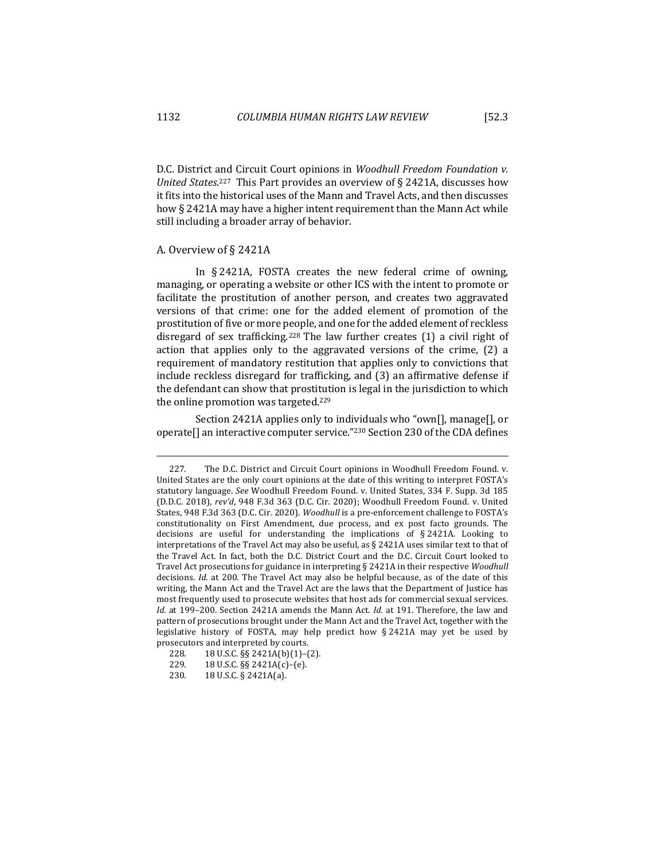D.C. District and Circuit Court opinions in *Woodhull Freedom Foundation v.* United States.<sup>227</sup> This Part provides an overview of § 2421A, discusses how it fits into the historical uses of the Mann and Travel Acts, and then discusses how § 2421A may have a higher intent requirement than the Mann Act while still including a broader array of behavior.

## A. Overview of § 2421A

In  $\S$  2421A, FOSTA creates the new federal crime of owning, managing, or operating a website or other ICS with the intent to promote or facilitate the prostitution of another person, and creates two aggravated versions of that crime: one for the added element of promotion of the prostitution of five or more people, and one for the added element of reckless disregard of sex trafficking.<sup>228</sup> The law further creates  $(1)$  a civil right of action that applies only to the aggravated versions of the crime,  $(2)$  a requirement of mandatory restitution that applies only to convictions that include reckless disregard for trafficking, and (3) an affirmative defense if the defendant can show that prostitution is legal in the jurisdiction to which the online promotion was targeted. $229$ 

Section 2421A applies only to individuals who "own[], manage[], or operate $\prod$  an interactive computer service."<sup>230</sup> Section 230 of the CDA defines

<sup>227.</sup> The D.C. District and Circuit Court opinions in Woodhull Freedom Found. v. United States are the only court opinions at the date of this writing to interpret FOSTA's statutory language. See Woodhull Freedom Found. v. United States, 334 F. Supp. 3d 185 (D.D.C. 2018), rev'd, 948 F.3d 363 (D.C. Cir. 2020); Woodhull Freedom Found. v. United States, 948 F.3d 363 (D.C. Cir. 2020). *Woodhull* is a pre-enforcement challenge to FOSTA's constitutionality on First Amendment, due process, and ex post facto grounds. The decisions are useful for understanding the implications of  $\S 2421A$ . Looking to interpretations of the Travel Act may also be useful, as  $\S$  2421A uses similar text to that of the Travel Act. In fact, both the D.C. District Court and the D.C. Circuit Court looked to Travel Act prosecutions for guidance in interpreting § 2421A in their respective *Woodhull* decisions. *Id.* at 200. The Travel Act may also be helpful because, as of the date of this writing, the Mann Act and the Travel Act are the laws that the Department of Justice has most frequently used to prosecute websites that host ads for commercial sexual services. *Id.* at 199-200. Section 2421A amends the Mann Act. *Id.* at 191. Therefore, the law and pattern of prosecutions brought under the Mann Act and the Travel Act, together with the legislative history of FOSTA, may help predict how  $\S 2421A$  may yet be used by prosecutors and interpreted by courts.

<sup>228.</sup> **18 U.S.C.** §§ 2421A(b)(1)-(2).

<sup>229. 18</sup> U.S.C. §§ 2421A(c)-(e).

<sup>230. 18</sup> U.S.C. § 2421A(a).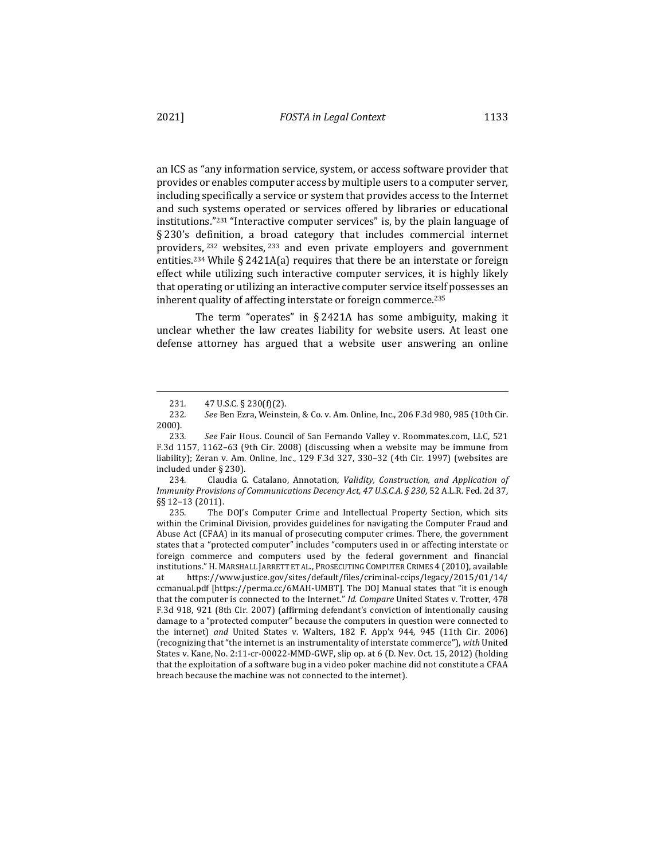an ICS as "any information service, system, or access software provider that provides or enables computer access by multiple users to a computer server, including specifically a service or system that provides access to the Internet and such systems operated or services offered by libraries or educational institutions."<sup>231</sup> "Interactive computer services" is, by the plain language of § 230's definition, a broad category that includes commercial internet providers, <sup>232</sup> websites, <sup>233</sup> and even private employers and government entities.<sup>234</sup> While § 2421A(a) requires that there be an interstate or foreign effect while utilizing such interactive computer services, it is highly likely that operating or utilizing an interactive computer service itself possesses an inherent quality of affecting interstate or foreign commerce.<sup>235</sup>

The term "operates" in  $\S$  2421A has some ambiguity, making it unclear whether the law creates liability for website users. At least one defense attorney has argued that a website user answering an online

234. Claudia G. Catalano, Annotation, *Validity, Construction, and Application of Immunity Provisions of Communications Decency Act, 47 U.S.C.A.* § 230, 52 A.L.R. Fed. 2d 37, §§ 12-13 (2011).

235. The DOJ's Computer Crime and Intellectual Property Section, which sits within the Criminal Division, provides guidelines for navigating the Computer Fraud and Abuse Act (CFAA) in its manual of prosecuting computer crimes. There, the government states that a "protected computer" includes "computers used in or affecting interstate or foreign commerce and computers used by the federal government and financial institutions." H. MARSHALL JARRETT ET AL., PROSECUTING COMPUTER CRIMES 4 (2010), available at https://www.justice.gov/sites/default/files/criminal-ccips/legacy/2015/01/14/ ccmanual.pdf [https://perma.cc/6MAH-UMBT]. The DOJ Manual states that "it is enough that the computer is connected to the Internet." *Id. Compare* United States v. Trotter, 478 F.3d 918, 921 (8th Cir. 2007) (affirming defendant's conviction of intentionally causing damage to a "protected computer" because the computers in question were connected to the internet) and United States v. Walters, 182 F. App'x 944, 945 (11th Cir. 2006) (recognizing that "the internet is an instrumentality of interstate commerce"), with United States v. Kane, No. 2:11-cr-00022-MMD-GWF, slip op. at  $6$  (D. Nev. Oct. 15, 2012) (holding that the exploitation of a software bug in a video poker machine did not constitute a CFAA breach because the machine was not connected to the internet).

<sup>231.</sup>  $47 \text{ U.S.C.} \frac{5}{230 \text{ (f)}}(2)$ .

<sup>232</sup>*. See* Ben Ezra, Weinstein, & Co. v. Am. Online, Inc*.*, 206 F.3d 980, 985 (10th Cir. 2000).

<sup>233.</sup> See Fair Hous. Council of San Fernando Valley v. Roommates.com, LLC, 521 F.3d 1157, 1162–63 (9th Cir. 2008) (discussing when a website may be immune from liability); Zeran v. Am. Online, Inc., 129 F.3d 327, 330-32 (4th Cir. 1997) (websites are included under  $\S$  230).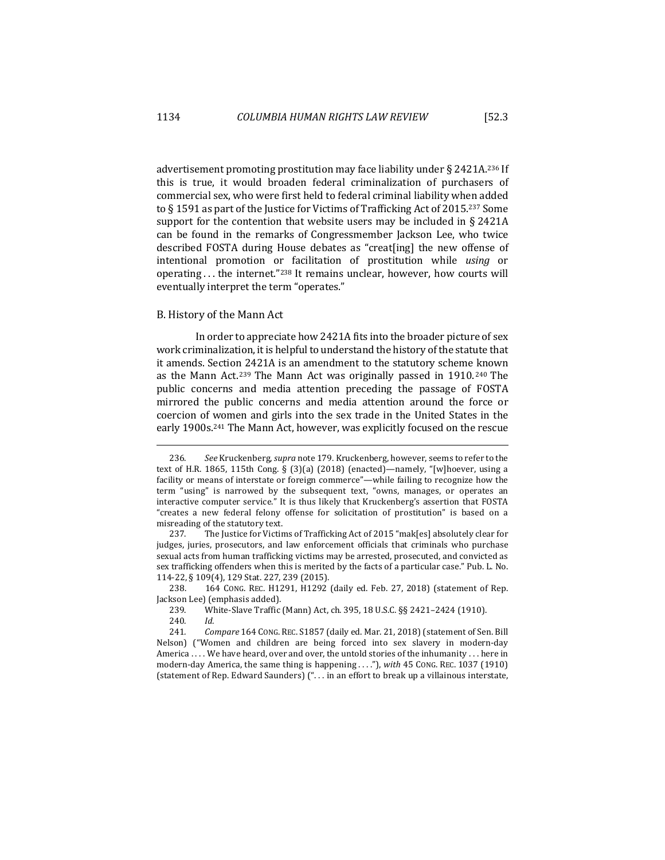advertisement promoting prostitution may face liability under  $\S 2421A^{236}$  If this is true, it would broaden federal criminalization of purchasers of commercial sex, who were first held to federal criminal liability when added to § 1591 as part of the Justice for Victims of Trafficking Act of 2015.<sup>237</sup> Some support for the contention that website users may be included in  $\S$  2421A can be found in the remarks of Congressmember Jackson Lee, who twice described FOSTA during House debates as "creat[ing] the new offense of intentional promotion or facilitation of prostitution while *using* or operating ... the internet."238 It remains unclear, however, how courts will eventually interpret the term "operates."

#### B. History of the Mann Act

In order to appreciate how 2421A fits into the broader picture of sex work criminalization, it is helpful to understand the history of the statute that it amends. Section 2421A is an amendment to the statutory scheme known as the Mann Act.<sup>239</sup> The Mann Act was originally passed in 1910.<sup>240</sup> The public concerns and media attention preceding the passage of FOSTA mirrored the public concerns and media attention around the force or coercion of women and girls into the sex trade in the United States in the early 1900s.<sup>241</sup> The Mann Act, however, was explicitly focused on the rescue

238. 164 CONG. REC. H1291, H1292 (daily ed. Feb. 27, 2018) (statement of Rep. Jackson Lee) (emphasis added).

<sup>236.</sup> See Kruckenberg, *supra* note 179. Kruckenberg, however, seems to refer to the text of H.R. 1865, 115th Cong. § (3)(a) (2018) (enacted)—namely, "[w]hoever, using a facility or means of interstate or foreign commerce"—while failing to recognize how the term "using" is narrowed by the subsequent text, "owns, manages, or operates an interactive computer service." It is thus likely that Kruckenberg's assertion that FOSTA "creates a new federal felony offense for solicitation of prostitution" is based on a misreading of the statutory text.

<sup>237.</sup> The Justice for Victims of Trafficking Act of 2015 "mak[es] absolutely clear for judges, juries, prosecutors, and law enforcement officials that criminals who purchase sexual acts from human trafficking victims may be arrested, prosecuted, and convicted as sex trafficking offenders when this is merited by the facts of a particular case." Pub. L. No. 114-22, § 109(4), 129 Stat. 227, 239 (2015).

<sup>239.</sup> White-Slave Traffic (Mann) Act, ch. 395, 18 U.S.C. §§ 2421-2424 (1910).

<sup>240</sup>*. Id.*

<sup>241.</sup> *Compare* 164 CONG. REC. S1857 (daily ed. Mar. 21, 2018) (statement of Sen. Bill Nelson) ("Women and children are being forced into sex slavery in modern-day America  $\dots$  We have heard, over and over, the untold stories of the inhumanity  $\dots$  here in modern-day America, the same thing is happening ...."), with 45 Cong. REC. 1037 (1910) (statement of Rep. Edward Saunders) ("... in an effort to break up a villainous interstate,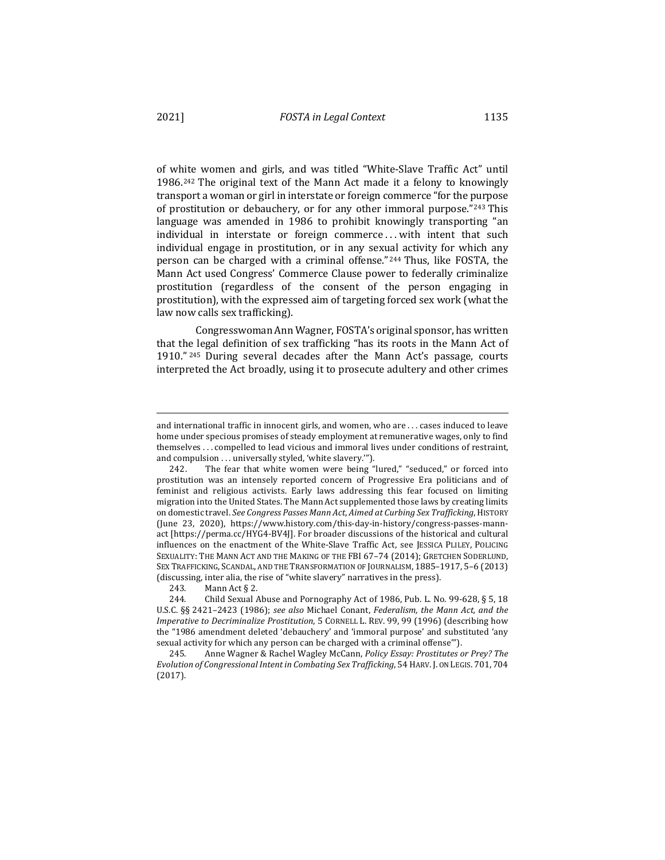of white women and girls, and was titled "White-Slave Traffic Act" until 1986.<sup>242</sup> The original text of the Mann Act made it a felony to knowingly transport a woman or girl in interstate or foreign commerce "for the purpose" of prostitution or debauchery, or for any other immoral purpose."243 This language was amended in 1986 to prohibit knowingly transporting "an individual in interstate or foreign commerce ... with intent that such individual engage in prostitution, or in any sexual activity for which any person can be charged with a criminal offense." $244$  Thus, like FOSTA, the Mann Act used Congress' Commerce Clause power to federally criminalize prostitution (regardless of the consent of the person engaging in prostitution), with the expressed aim of targeting forced sex work (what the law now calls sex trafficking).

Congresswoman Ann Wagner, FOSTA's original sponsor, has written that the legal definition of sex trafficking "has its roots in the Mann Act of 1910." <sup>245</sup> During several decades after the Mann Act's passage, courts interpreted the Act broadly, using it to prosecute adultery and other crimes

and international traffic in innocent girls, and women, who are ... cases induced to leave home under specious promises of steady employment at remunerative wages, only to find themselves . . . compelled to lead vicious and immoral lives under conditions of restraint, and compulsion . . . universally styled, 'white slavery."').

<sup>242.</sup> The fear that white women were being "lured," "seduced," or forced into prostitution was an intensely reported concern of Progressive Era politicians and of feminist and religious activists. Early laws addressing this fear focused on limiting migration into the United States. The Mann Act supplemented those laws by creating limits on domestic travel. See Congress Passes Mann Act, Aimed at Curbing Sex Trafficking, HISTORY (June 23, 2020), https://www.history.com/this-day-in-history/congress-passes-mannact [https://perma.cc/HYG4-BV4J]. For broader discussions of the historical and cultural influences on the enactment of the White-Slave Traffic Act, see JESSICA PLILEY, POLICING SEXUALITY: THE MANN ACT AND THE MAKING OF THE FBI 67-74 (2014); GRETCHEN SODERLUND, SEX TRAFFICKING, SCANDAL, AND THE TRANSFORMATION OF JOURNALISM, 1885-1917, 5-6 (2013) (discussing, inter alia, the rise of "white slavery" narratives in the press).

<sup>243.</sup> Mann Act § 2.

<sup>244.</sup> Child Sexual Abuse and Pornography Act of 1986, Pub. L. No. 99-628,  $\S 5$ , 18 U.S.C. §§ 2421-2423 (1986); see also Michael Conant, *Federalism, the Mann Act, and the Imperative to Decriminalize Prostitution*, 5 CORNELL L. REV. 99, 99 (1996) (describing how the "1986 amendment deleted 'debauchery' and 'immoral purpose' and substituted 'any sexual activity for which any person can be charged with a criminal offense"').

<sup>245.</sup> Anne Wagner & Rachel Wagley McCann, *Policy Essay: Prostitutes or Prey? The Evolution of Congressional Intent in Combating Sex Trafficking,* 54 HARV. J. ON LEGIS. 701, 704 (2017).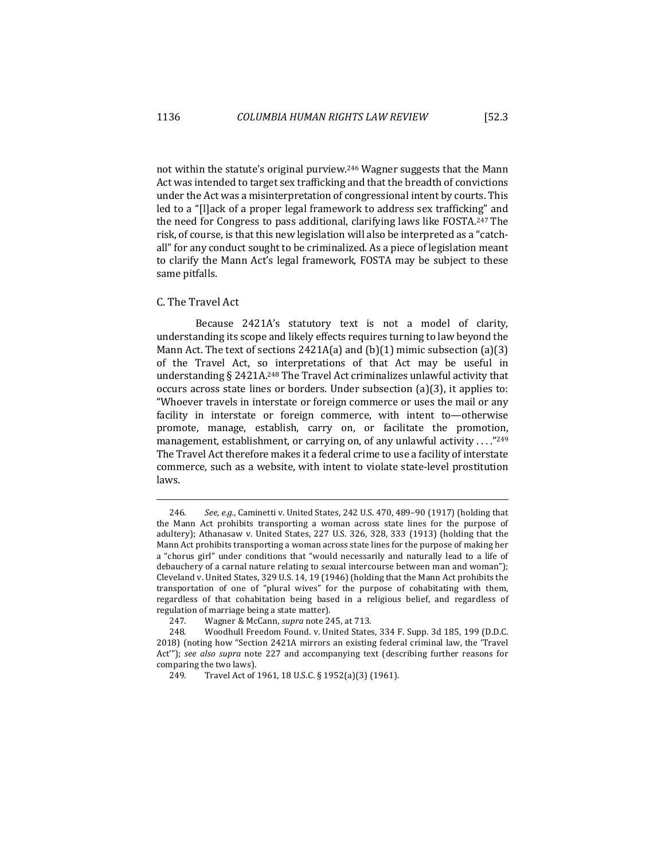not within the statute's original purview.<sup>246</sup> Wagner suggests that the Mann Act was intended to target sex trafficking and that the breadth of convictions under the Act was a misinterpretation of congressional intent by courts. This led to a "[l]ack of a proper legal framework to address sex trafficking" and the need for Congress to pass additional, clarifying laws like FOSTA.<sup>247</sup> The risk, of course, is that this new legislation will also be interpreted as a "catchall" for any conduct sought to be criminalized. As a piece of legislation meant to clarify the Mann Act's legal framework, FOSTA may be subject to these same pitfalls.

# C. The Travel Act

Because 2421A's statutory text is not a model of clarity, understanding its scope and likely effects requires turning to law beyond the Mann Act. The text of sections  $2421A(a)$  and  $(b)(1)$  mimic subsection  $(a)(3)$ of the Travel Act, so interpretations of that Act may be useful in understanding  $\S$  2421A.<sup>248</sup> The Travel Act criminalizes unlawful activity that occurs across state lines or borders. Under subsection  $(a)(3)$ , it applies to: "Whoever travels in interstate or foreign commerce or uses the mail or any facility in interstate or foreign commerce, with intent to—otherwise promote, manage, establish, carry on, or facilitate the promotion, management, establishment, or carrying on, of any unlawful activity ....<sup>"249</sup> The Travel Act therefore makes it a federal crime to use a facility of interstate commerce, such as a website, with intent to violate state-level prostitution laws.

<sup>246.</sup> See, e.g., Caminetti v. United States, 242 U.S. 470, 489-90 (1917) (holding that the Mann Act prohibits transporting a woman across state lines for the purpose of adultery); Athanasaw v. United States, 227 U.S. 326, 328, 333 (1913) (holding that the Mann Act prohibits transporting a woman across state lines for the purpose of making her a "chorus girl" under conditions that "would necessarily and naturally lead to a life of debauchery of a carnal nature relating to sexual intercourse between man and woman"); Cleveland v. United States, 329 U.S. 14, 19 (1946) (holding that the Mann Act prohibits the transportation of one of "plural wives" for the purpose of cohabitating with them, regardless of that cohabitation being based in a religious belief, and regardless of regulation of marriage being a state matter).

<sup>247.</sup> Wagner & McCann, *supra* note 245, at 713.

<sup>248.</sup> Woodhull Freedom Found. v. United States, 334 F. Supp. 3d 185, 199 (D.D.C. 2018) (noting how "Section 2421A mirrors an existing federal criminal law, the 'Travel Act"); see also supra note 227 and accompanying text (describing further reasons for comparing the two laws).

<sup>249.</sup> Travel Act of 1961, 18 U.S.C. § 1952(a)(3) (1961).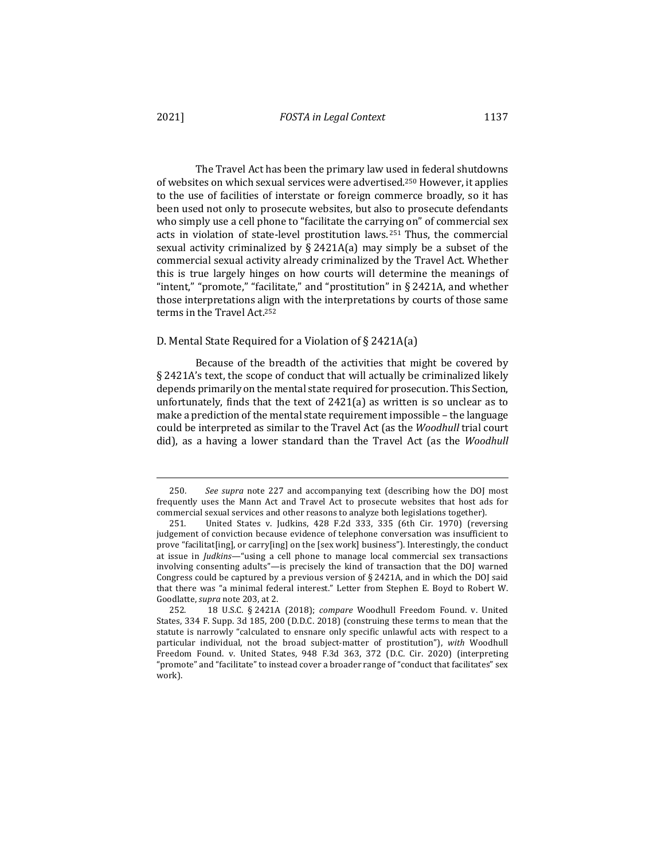The Travel Act has been the primary law used in federal shutdowns of websites on which sexual services were advertised.<sup>250</sup> However, it applies to the use of facilities of interstate or foreign commerce broadly, so it has been used not only to prosecute websites, but also to prosecute defendants who simply use a cell phone to "facilitate the carrying on" of commercial sex acts in violation of state-level prostitution laws.  $251$  Thus, the commercial sexual activity criminalized by  $\S$  2421A(a) may simply be a subset of the commercial sexual activity already criminalized by the Travel Act. Whether this is true largely hinges on how courts will determine the meanings of "intent," "promote," "facilitate," and "prostitution" in § 2421A, and whether those interpretations align with the interpretations by courts of those same terms in the Travel Act.<sup>252</sup>

## D. Mental State Required for a Violation of  $\S$  2421A(a)

Because of the breadth of the activities that might be covered by § 2421A's text, the scope of conduct that will actually be criminalized likely depends primarily on the mental state required for prosecution. This Section, unfortunately, finds that the text of  $2421(a)$  as written is so unclear as to make a prediction of the mental state requirement impossible – the language could be interpreted as similar to the Travel Act (as the *Woodhull* trial court did), as a having a lower standard than the Travel Act (as the *Woodhull* 

<sup>250.</sup> See supra note 227 and accompanying text (describing how the DOJ most frequently uses the Mann Act and Travel Act to prosecute websites that host ads for commercial sexual services and other reasons to analyze both legislations together).

<sup>251.</sup> United States v. Judkins, 428 F.2d 333, 335 (6th Cir. 1970) (reversing judgement of conviction because evidence of telephone conversation was insufficient to prove "facilitat[ing], or carry[ing] on the  $[sex work]$  business"). Interestingly, the conduct at issue in *Judkins*—"using a cell phone to manage local commercial sex transactions involving consenting adults"—is precisely the kind of transaction that the DOJ warned Congress could be captured by a previous version of  $\S$  2421A, and in which the DOJ said that there was "a minimal federal interest." Letter from Stephen E. Boyd to Robert W. Goodlatte, *supra* note 203, at 2.

<sup>252. 18</sup> U.S.C. § 2421A (2018); *compare* Woodhull Freedom Found. v. United States, 334 F. Supp. 3d 185, 200 (D.D.C. 2018) (construing these terms to mean that the statute is narrowly "calculated to ensnare only specific unlawful acts with respect to a particular individual, not the broad subject-matter of prostitution"), with Woodhull Freedom Found. v. United States, 948 F.3d 363, 372 (D.C. Cir. 2020) (interpreting "promote" and "facilitate" to instead cover a broader range of "conduct that facilitates" sex work).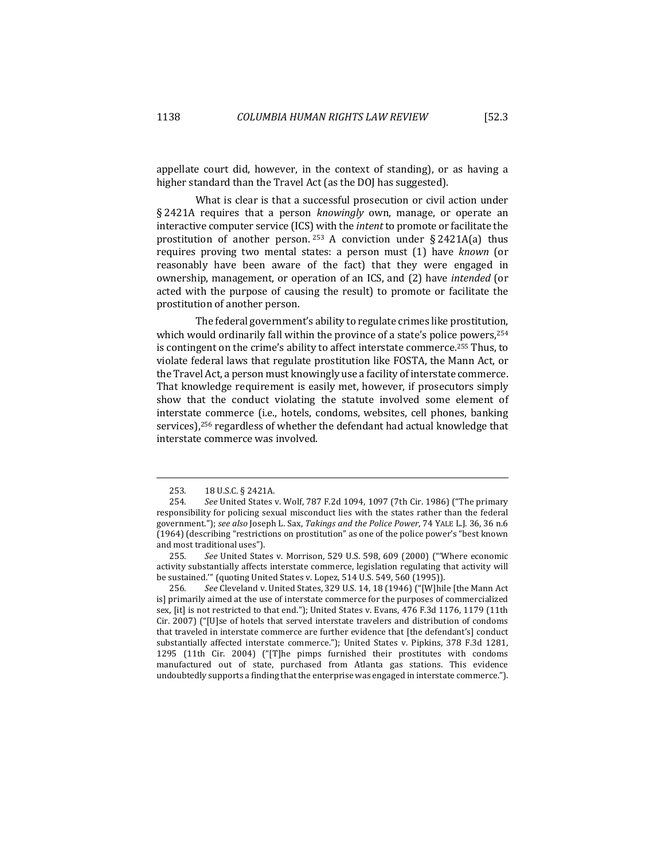appellate court did, however, in the context of standing), or as having a higher standard than the Travel Act (as the DOJ has suggested).

What is clear is that a successful prosecution or civil action under § 2421A requires that a person *knowingly* own, manage, or operate an interactive computer service (ICS) with the *intent* to promote or facilitate the prostitution of another person.  $253$  A conviction under § 2421A(a) thus requires proving two mental states: a person must (1) have *known* (or reasonably have been aware of the fact) that they were engaged in ownership, management, or operation of an ICS, and (2) have *intended* (or acted with the purpose of causing the result) to promote or facilitate the prostitution of another person.

The federal government's ability to regulate crimes like prostitution, which would ordinarily fall within the province of a state's police powers,  $254$ is contingent on the crime's ability to affect interstate commerce.<sup>255</sup> Thus, to violate federal laws that regulate prostitution like FOSTA, the Mann Act, or the Travel Act, a person must knowingly use a facility of interstate commerce. That knowledge requirement is easily met, however, if prosecutors simply show that the conduct violating the statute involved some element of interstate commerce (i.e., hotels, condoms, websites, cell phones, banking services),<sup>256</sup> regardless of whether the defendant had actual knowledge that interstate commerce was involved.

<sup>253. 18</sup> U.S.C. § 2421A.

<sup>254.</sup> See United States v. Wolf, 787 F.2d 1094, 1097 (7th Cir. 1986) ("The primary responsibility for policing sexual misconduct lies with the states rather than the federal government."); see also Joseph L. Sax, *Takings and the Police Power*, 74 YALE L.J. 36, 36 n.6 (1964) (describing "restrictions on prostitution" as one of the police power's "best known and most traditional uses").

<sup>255.</sup> See United States v. Morrison, 529 U.S. 598, 609 (2000) ("'Where economic activity substantially affects interstate commerce, legislation regulating that activity will be sustained."" (quoting United States v. Lopez, 514 U.S. 549, 560 (1995)).

<sup>256.</sup> See Cleveland v. United States, 329 U.S. 14, 18 (1946) ("[W]hile [the Mann Act is] primarily aimed at the use of interstate commerce for the purposes of commercialized sex, [it] is not restricted to that end."); United States v. Evans, 476 F.3d 1176, 1179 (11th Cir. 2007) ("[U]se of hotels that served interstate travelers and distribution of condoms that traveled in interstate commerce are further evidence that [the defendant's] conduct substantially affected interstate commerce."); United States v. Pipkins, 378 F.3d 1281, 1295 (11th Cir. 2004) ("[T]he pimps furnished their prostitutes with condoms manufactured out of state, purchased from Atlanta gas stations. This evidence undoubtedly supports a finding that the enterprise was engaged in interstate commerce.").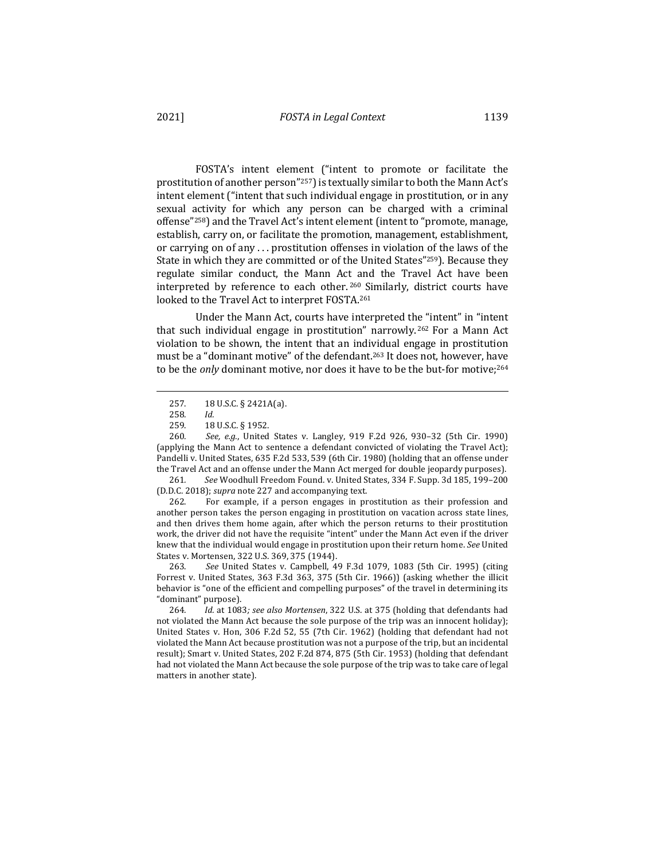FOSTA's intent element ("intent to promote or facilitate the prostitution of another person"<sup>257</sup>) is textually similar to both the Mann Act's intent element ("intent that such individual engage in prostitution, or in any sexual activity for which any person can be charged with a criminal offense"<sup>258</sup>) and the Travel Act's intent element (intent to "promote, manage, establish, carry on, or facilitate the promotion, management, establishment,

or carrying on of any  $\dots$  prostitution offenses in violation of the laws of the State in which they are committed or of the United States"<sup>259</sup>). Because they regulate similar conduct, the Mann Act and the Travel Act have been interpreted by reference to each other.<sup>260</sup> Similarly, district courts have looked to the Travel Act to interpret FOSTA.<sup>261</sup>

Under the Mann Act, courts have interpreted the "intent" in "intent that such individual engage in prostitution" narrowly.<sup>262</sup> For a Mann Act violation to be shown, the intent that an individual engage in prostitution must be a "dominant motive" of the defendant.<sup>263</sup> It does not, however, have to be the *only* dominant motive, nor does it have to be the but-for motive;<sup>264</sup>

260. *See, e.g.*, United States v. Langley, 919 F.2d 926, 930-32 (5th Cir. 1990) (applying the Mann Act to sentence a defendant convicted of violating the Travel Act); Pandelli v. United States, 635 F.2d 533, 539 (6th Cir. 1980) (holding that an offense under the Travel Act and an offense under the Mann Act merged for double jeopardy purposes).

261. See Woodhull Freedom Found. v. United States, 334 F. Supp. 3d 185, 199-200 (D.D.C. 2018); *supra* note 227 and accompanying text.

262. For example, if a person engages in prostitution as their profession and another person takes the person engaging in prostitution on vacation across state lines, and then drives them home again, after which the person returns to their prostitution work, the driver did not have the requisite "intent" under the Mann Act even if the driver knew that the individual would engage in prostitution upon their return home. See United States v. Mortensen, 322 U.S. 369, 375 (1944).

263. See United States v. Campbell, 49 F.3d 1079, 1083 (5th Cir. 1995) (citing Forrest v. United States, 363 F.3d 363, 375 (5th Cir. 1966)) (asking whether the illicit behavior is "one of the efficient and compelling purposes" of the travel in determining its "dominant" purpose).

264. Id. at 1083; see also Mortensen, 322 U.S. at 375 (holding that defendants had not violated the Mann Act because the sole purpose of the trip was an innocent holiday); United States v. Hon, 306 F.2d 52, 55 (7th Cir. 1962) (holding that defendant had not violated the Mann Act because prostitution was not a purpose of the trip, but an incidental result); Smart v. United States, 202 F.2d 874, 875 (5th Cir. 1953) (holding that defendant had not violated the Mann Act because the sole purpose of the trip was to take care of legal matters in another state).

<sup>257. 18</sup> U.S.C. § 2421A(a).

<sup>258</sup>*. Id.*

<sup>18</sup> U.S.C. § 1952.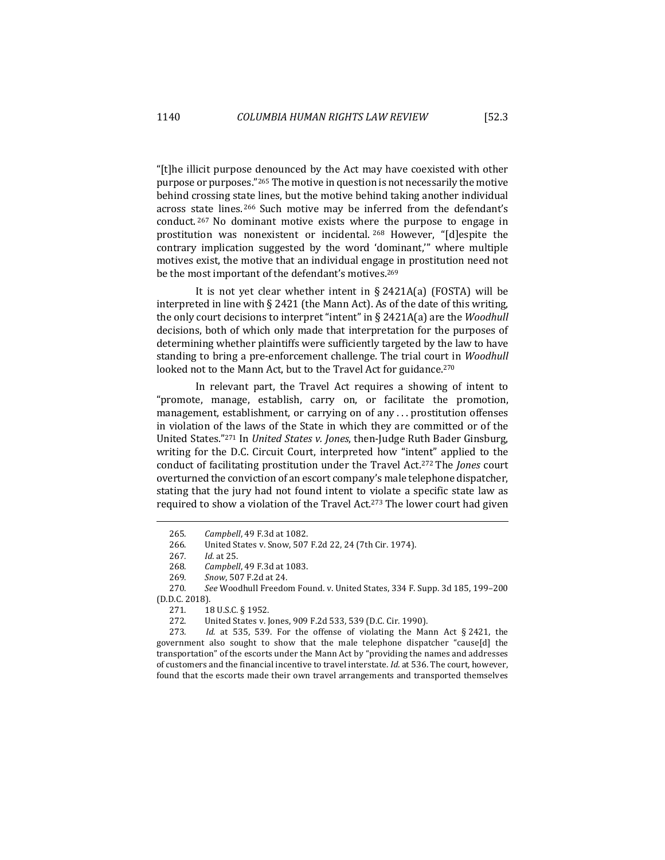"[t]he illicit purpose denounced by the Act may have coexisted with other purpose or purposes."<sup>265</sup> The motive in question is not necessarily the motive behind crossing state lines, but the motive behind taking another individual across state lines.<sup>266</sup> Such motive may be inferred from the defendant's conduct.  $267$  No dominant motive exists where the purpose to engage in prostitution was nonexistent or incidental. <sup>268</sup> However, "[d]espite the contrary implication suggested by the word 'dominant," where multiple motives exist, the motive that an individual engage in prostitution need not be the most important of the defendant's motives.<sup>269</sup>

It is not yet clear whether intent in  $\S$  2421A(a) (FOSTA) will be interpreted in line with  $\S 2421$  (the Mann Act). As of the date of this writing, the only court decisions to interpret "intent" in  $\S$  2421A(a) are the *Woodhull* decisions, both of which only made that interpretation for the purposes of determining whether plaintiffs were sufficiently targeted by the law to have standing to bring a pre-enforcement challenge. The trial court in *Woodhull* looked not to the Mann Act, but to the Travel Act for guidance.<sup>270</sup>

In relevant part, the Travel Act requires a showing of intent to "promote, manage, establish, carry on, or facilitate the promotion, management, establishment, or carrying on of any ... prostitution offenses in violation of the laws of the State in which they are committed or of the United States."<sup>271</sup> In *United States v. Jones*, then-Judge Ruth Bader Ginsburg, writing for the D.C. Circuit Court, interpreted how "intent" applied to the conduct of facilitating prostitution under the Travel Act.<sup>272</sup> The *Jones* court overturned the conviction of an escort company's male telephone dispatcher, stating that the jury had not found intent to violate a specific state law as required to show a violation of the Travel Act.<sup>273</sup> The lower court had given

273. *Id.* at 535, 539. For the offense of violating the Mann Act § 2421, the government also sought to show that the male telephone dispatcher "cause[d] the transportation" of the escorts under the Mann Act by "providing the names and addresses of customers and the financial incentive to travel interstate. *Id.* at 536. The court, however, found that the escorts made their own travel arrangements and transported themselves

<sup>265</sup>*. Campbell*, 49 F.3d at 1082.

<sup>266.</sup> United States v. Snow, 507 F.2d 22, 24 (7th Cir. 1974).

<sup>267</sup>*. Id.* at 25.

<sup>268</sup>*. Campbell*, 49 F.3d at 1083.

<sup>269</sup>*. Snow*, 507 F.2d at 24.

<sup>270.</sup> See Woodhull Freedom Found. v. United States, 334 F. Supp. 3d 185, 199-200 (D.D.C. 2018).

<sup>271. 18</sup> U.S.C. § 1952.

<sup>272.</sup> United States v. Jones, 909 F.2d 533, 539 (D.C. Cir. 1990).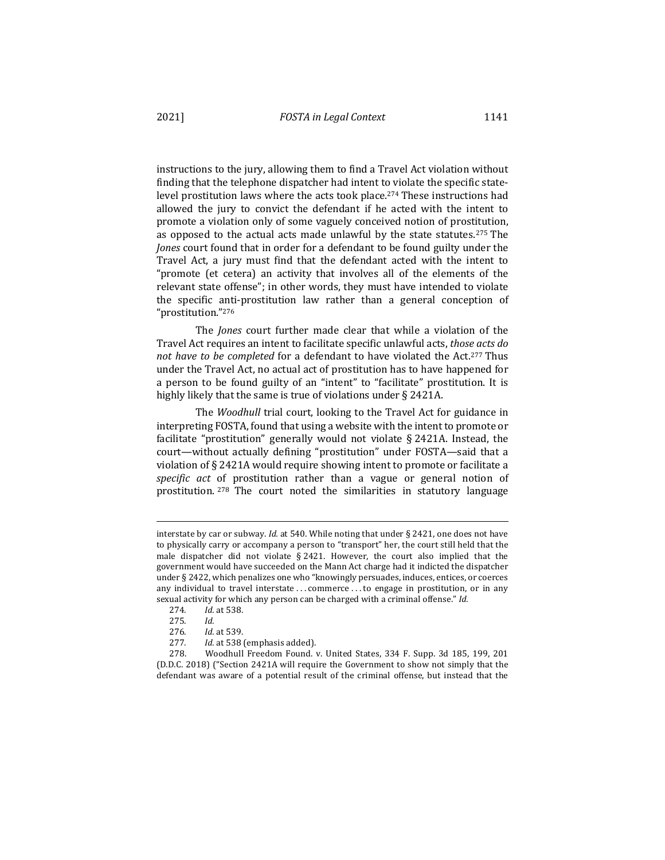instructions to the jury, allowing them to find a Travel Act violation without finding that the telephone dispatcher had intent to violate the specific statelevel prostitution laws where the acts took place.<sup>274</sup> These instructions had allowed the jury to convict the defendant if he acted with the intent to promote a violation only of some vaguely conceived notion of prostitution, as opposed to the actual acts made unlawful by the state statutes.<sup>275</sup> The *Jones* court found that in order for a defendant to be found guilty under the Travel Act, a jury must find that the defendant acted with the intent to "promote (et cetera) an activity that involves all of the elements of the relevant state offense"; in other words, they must have intended to violate the specific anti-prostitution law rather than a general conception of "prostitution."276

The *Jones* court further made clear that while a violation of the Travel Act requires an intent to facilitate specific unlawful acts, *those acts do not have to be completed* for a defendant to have violated the Act.<sup>277</sup> Thus under the Travel Act, no actual act of prostitution has to have happened for a person to be found guilty of an "intent" to "facilitate" prostitution. It is highly likely that the same is true of violations under  $\S$  2421A.

The *Woodhull* trial court, looking to the Travel Act for guidance in interpreting FOSTA, found that using a website with the intent to promote or facilitate "prostitution" generally would not violate  $\S 2421A$ . Instead, the court—without actually defining "prostitution" under FOSTA—said that a violation of § 2421A would require showing intent to promote or facilitate a *specific act* of prostitution rather than a vague or general notion of prostitution.  $278$  The court noted the similarities in statutory language

interstate by car or subway. *Id.* at 540. While noting that under  $\S$  2421, one does not have to physically carry or accompany a person to "transport" her, the court still held that the male dispatcher did not violate  $§$  2421. However, the court also implied that the government would have succeeded on the Mann Act charge had it indicted the dispatcher under § 2422, which penalizes one who "knowingly persuades, induces, entices, or coerces any individual to travel interstate . . . commerce . . . to engage in prostitution, or in any sexual activity for which any person can be charged with a criminal offense." Id.

<sup>274</sup>*. Id.* at 538.

<sup>275</sup>*. Id.*

<sup>276</sup>*. Id.* at 539.

<sup>277.</sup> *Id.* at 538 (emphasis added).

<sup>278.</sup> Woodhull Freedom Found. v. United States, 334 F. Supp. 3d 185, 199, 201 (D.D.C. 2018) ("Section 2421A will require the Government to show not simply that the defendant was aware of a potential result of the criminal offense, but instead that the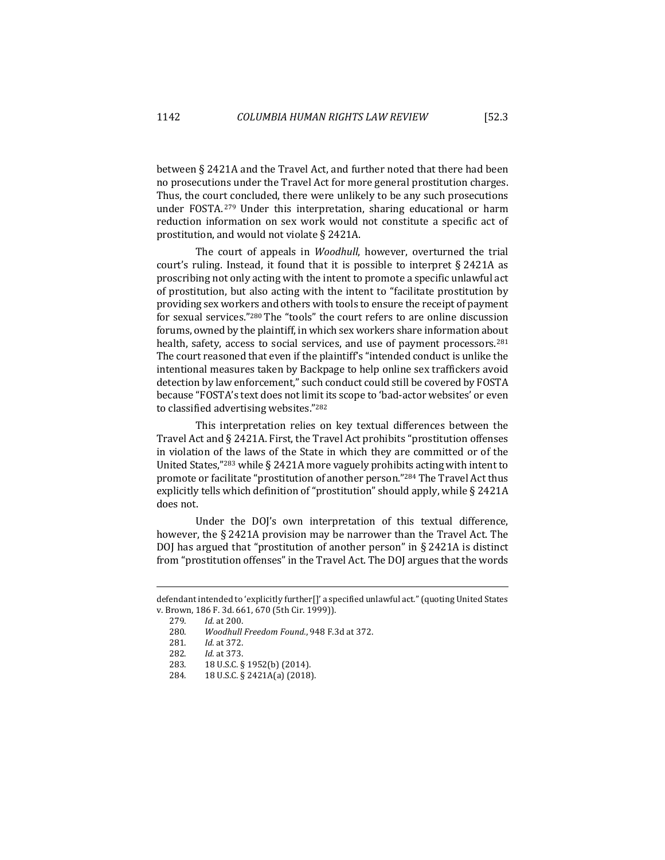between  $\S 2421A$  and the Travel Act, and further noted that there had been no prosecutions under the Travel Act for more general prostitution charges. Thus, the court concluded, there were unlikely to be any such prosecutions under FOSTA.<sup>279</sup> Under this interpretation, sharing educational or harm reduction information on sex work would not constitute a specific act of prostitution, and would not violate  $\S$  2421A.

The court of appeals in *Woodhull*, however, overturned the trial court's ruling. Instead, it found that it is possible to interpret  $\S 2421A$  as proscribing not only acting with the intent to promote a specific unlawful act of prostitution, but also acting with the intent to "facilitate prostitution by providing sex workers and others with tools to ensure the receipt of payment for sexual services."<sup>280</sup> The "tools" the court refers to are online discussion forums, owned by the plaintiff, in which sex workers share information about health, safety, access to social services, and use of payment processors.<sup>281</sup> The court reasoned that even if the plaintiff's "intended conduct is unlike the intentional measures taken by Backpage to help online sex traffickers avoid detection by law enforcement," such conduct could still be covered by FOSTA because "FOSTA's text does not limit its scope to 'bad-actor websites' or even to classified advertising websites."282

This interpretation relies on key textual differences between the Travel Act and  $\S$  2421A. First, the Travel Act prohibits "prostitution offenses in violation of the laws of the State in which they are committed or of the United States,"<sup>283</sup> while § 2421A more vaguely prohibits acting with intent to promote or facilitate "prostitution of another person."<sup>284</sup> The Travel Act thus explicitly tells which definition of "prostitution" should apply, while  $\S$  2421A does not.

Under the DOJ's own interpretation of this textual difference, however, the  $\S$  2421A provision may be narrower than the Travel Act. The DOJ has argued that "prostitution of another person" in  $\S$  2421A is distinct from "prostitution offenses" in the Travel Act. The DOJ argues that the words

defendant intended to 'explicitly further[]' a specified unlawful act." (quoting United States v. Brown, 186 F. 3d. 661, 670 (5th Cir. 1999)).

<sup>279</sup>*. Id.* at 200.

<sup>280.</sup> *Woodhull Freedom Found.*, 948 F.3d at 372.

<sup>281.</sup> *Id.* at 372.

<sup>282.</sup> *Id.* at 373.

<sup>283. 18</sup> U.S.C. § 1952(b) (2014).

<sup>284. 18</sup> U.S.C. § 2421A(a) (2018).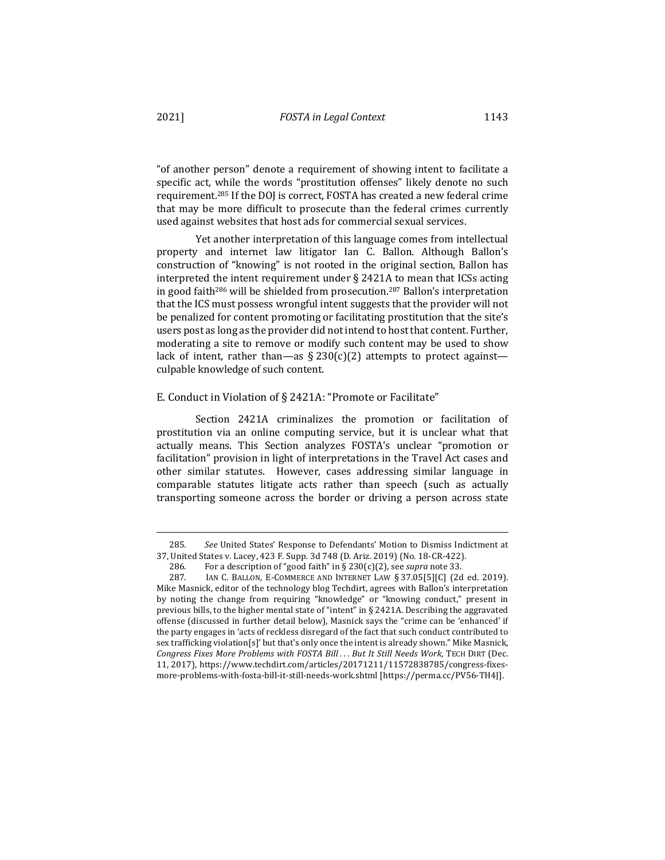"of another person" denote a requirement of showing intent to facilitate a specific act, while the words "prostitution offenses" likely denote no such requirement.<sup>285</sup> If the DOJ is correct, FOSTA has created a new federal crime that may be more difficult to prosecute than the federal crimes currently used against websites that host ads for commercial sexual services.

Yet another interpretation of this language comes from intellectual property and internet law litigator Ian C. Ballon. Although Ballon's construction of "knowing" is not rooted in the original section, Ballon has interpreted the intent requirement under  $\S$  2421A to mean that ICSs acting in good faith<sup>286</sup> will be shielded from prosecution.<sup>287</sup> Ballon's interpretation that the ICS must possess wrongful intent suggests that the provider will not be penalized for content promoting or facilitating prostitution that the site's users post as long as the provider did not intend to host that content. Further, moderating a site to remove or modify such content may be used to show lack of intent, rather than—as  $\S 230(c)(2)$  attempts to protect against culpable knowledge of such content.

### E. Conduct in Violation of § 2421A: "Promote or Facilitate"

Section 2421A criminalizes the promotion or facilitation of prostitution via an online computing service, but it is unclear what that actually means. This Section analyzes FOSTA's unclear "promotion or facilitation" provision in light of interpretations in the Travel Act cases and other similar statutes. However, cases addressing similar language in comparable statutes litigate acts rather than speech (such as actually transporting someone across the border or driving a person across state

<sup>285.</sup> See United States' Response to Defendants' Motion to Dismiss Indictment at 37, United States v. Lacey, 423 F. Supp. 3d 748 (D. Ariz. 2019) (No. 18-CR-422).

<sup>286.</sup> For a description of "good faith" in § 230(c)(2), see *supra* note 33.

<sup>287.</sup> IAN C. BALLON, E-COMMERCE AND INTERNET LAW § 37.05[5][C] (2d ed. 2019). Mike Masnick, editor of the technology blog Techdirt, agrees with Ballon's interpretation by noting the change from requiring "knowledge" or "knowing conduct," present in previous bills, to the higher mental state of "intent" in § 2421A. Describing the aggravated offense (discussed in further detail below), Masnick says the "crime can be 'enhanced' if the party engages in 'acts of reckless disregard of the fact that such conduct contributed to sex trafficking violation[s]' but that's only once the intent is already shown." Mike Masnick, *Congress Fixes More Problems with FOSTA Bill . . . But It Still Needs Work*, TECH DIRT (Dec. 11, 2017), https://www.techdirt.com/articles/20171211/11572838785/congress-fixesmore-problems-with-fosta-bill-it-still-needs-work.shtml [https://perma.cc/PV56-TH4J].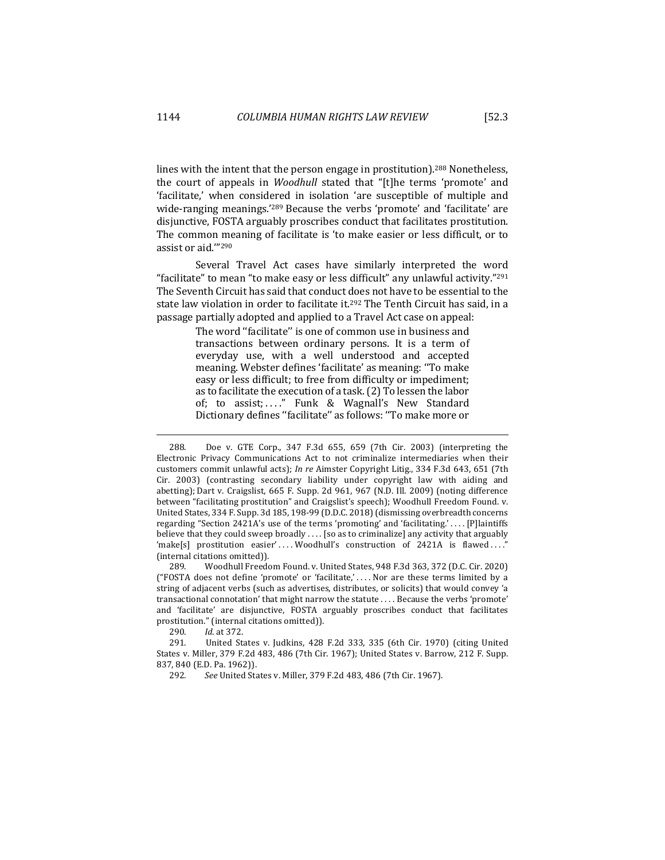lines with the intent that the person engage in prostitution).<sup>288</sup> Nonetheless, the court of appeals in *Woodhull* stated that "[t]he terms 'promote' and 'facilitate,' when considered in isolation 'are susceptible of multiple and wide-ranging meanings.'<sup>289</sup> Because the verbs 'promote' and 'facilitate' are disjunctive, FOSTA arguably proscribes conduct that facilitates prostitution. The common meaning of facilitate is 'to make easier or less difficult, or to assist or aid.""290

Several Travel Act cases have similarly interpreted the word "facilitate" to mean "to make easy or less difficult" any unlawful activity."<sup>291</sup> The Seventh Circuit has said that conduct does not have to be essential to the state law violation in order to facilitate it.<sup>292</sup> The Tenth Circuit has said, in a passage partially adopted and applied to a Travel Act case on appeal:

> The word "facilitate" is one of common use in business and transactions between ordinary persons. It is a term of everyday use, with a well understood and accepted meaning. Webster defines 'facilitate' as meaning: ''To make easy or less difficult; to free from difficulty or impediment; as to facilitate the execution of a task.(2) To lessen the labor of; to assist; . . . ." Funk & Wagnall's New Standard Dictionary defines ''facilitate'' as follows: ''To make more or

290. *Id*. at 372.

<sup>288.</sup> Doe v. GTE Corp., 347 F.3d 655, 659 (7th Cir. 2003) (interpreting the Electronic Privacy Communications Act to not criminalize intermediaries when their customers commit unlawful acts); *In re* Aimster Copyright Litig., 334 F.3d 643, 651 (7th Cir. 2003) (contrasting secondary liability under copyright law with aiding and abetting); Dart v. Craigslist, 665 F. Supp. 2d 961, 967 (N.D. Ill. 2009) (noting difference between "facilitating prostitution" and Craigslist's speech); Woodhull Freedom Found. v. United States, 334 F. Supp. 3d 185, 198-99 (D.D.C. 2018) (dismissing overbreadth concerns regarding "Section 2421A's use of the terms 'promoting' and 'facilitating.' . . . . [P]laintiffs believe that they could sweep broadly .... [so as to criminalize] any activity that arguably 'make[s] prostitution easier' .... Woodhull's construction of 2421A is flawed ...." (internal citations omitted)).

<sup>289.</sup> Woodhull Freedom Found. v. United States, 948 F.3d 363, 372 (D.C. Cir. 2020) ("FOSTA does not define 'promote' or 'facilitate,' .... Nor are these terms limited by a string of adjacent verbs (such as advertises, distributes, or solicits) that would convey 'a transactional connotation' that might narrow the statute . . . . Because the verbs 'promote' and 'facilitate' are disjunctive, FOSTA arguably proscribes conduct that facilitates prostitution." (internal citations omitted)).

<sup>291.</sup> United States v. Judkins, 428 F.2d 333, 335 (6th Cir. 1970) (citing United States v. Miller, 379 F.2d 483, 486 (7th Cir. 1967); United States v. Barrow, 212 F. Supp. 837, 840 (E.D. Pa. 1962)).

<sup>292</sup>*. See* United States v. Miller, 379 F.2d 483, 486 (7th Cir. 1967).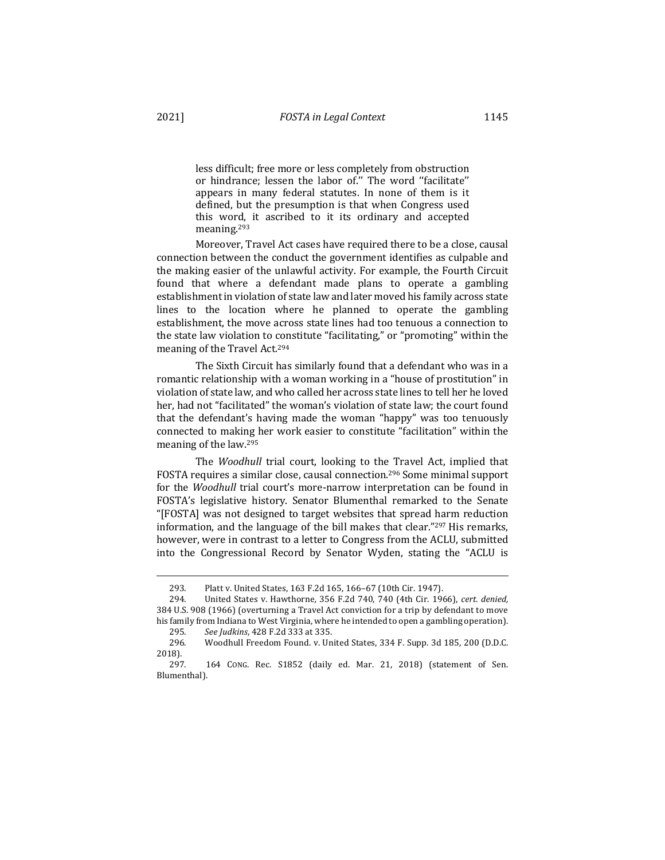less difficult; free more or less completely from obstruction or hindrance; lessen the labor of.'' The word ''facilitate'' appears in many federal statutes. In none of them is it defined, but the presumption is that when Congress used this word, it ascribed to it its ordinary and accepted meaning.293

Moreover, Travel Act cases have required there to be a close, causal connection between the conduct the government identifies as culpable and the making easier of the unlawful activity. For example, the Fourth Circuit found that where a defendant made plans to operate a gambling establishment in violation of state law and later moved his family across state lines to the location where he planned to operate the gambling establishment, the move across state lines had too tenuous a connection to the state law violation to constitute "facilitating," or "promoting" within the meaning of the Travel Act.<sup>294</sup>

The Sixth Circuit has similarly found that a defendant who was in a romantic relationship with a woman working in a "house of prostitution" in violation of state law, and who called her across state lines to tell her he loved her, had not "facilitated" the woman's violation of state law; the court found that the defendant's having made the woman "happy" was too tenuously connected to making her work easier to constitute "facilitation" within the meaning of the law.<sup>295</sup>

The *Woodhull* trial court, looking to the Travel Act, implied that FOSTA requires a similar close, causal connection.<sup>296</sup> Some minimal support for the *Woodhull* trial court's more-narrow interpretation can be found in FOSTA's legislative history. Senator Blumenthal remarked to the Senate "[FOSTA] was not designed to target websites that spread harm reduction information, and the language of the bill makes that clear." $297$  His remarks, however, were in contrast to a letter to Congress from the ACLU, submitted into the Congressional Record by Senator Wyden, stating the "ACLU is

<sup>293.</sup> Platt v. United States, 163 F.2d 165, 166-67 (10th Cir. 1947).

<sup>294.</sup> United States v. Hawthorne*,* 356 F.2d 740, 740 (4th Cir. 1966), *cert. denied,* 384 U.S. 908 (1966) (overturning a Travel Act conviction for a trip by defendant to move his family from Indiana to West Virginia, where he intended to open a gambling operation).

<sup>295</sup>*. See Judkins*, 428 F.2d 333 at 335.

<sup>296.</sup> Woodhull Freedom Found. v. United States, 334 F. Supp. 3d 185, 200 (D.D.C. 2018).

<sup>297. 164</sup> CONG. Rec. S1852 (daily ed. Mar. 21, 2018) (statement of Sen. Blumenthal).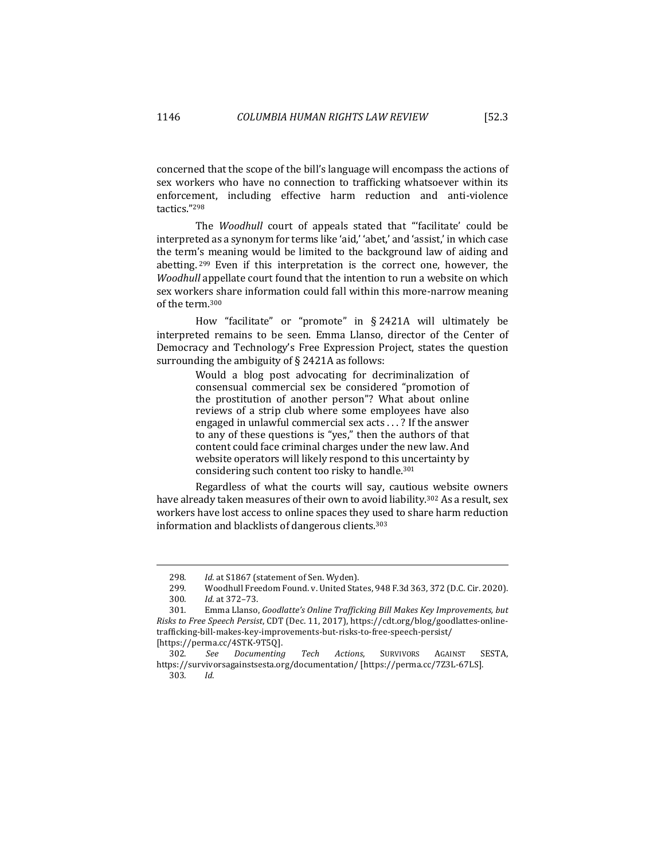concerned that the scope of the bill's language will encompass the actions of sex workers who have no connection to trafficking whatsoever within its enforcement, including effective harm reduction and anti-violence tactics."298

The *Woodhull* court of appeals stated that "'facilitate' could be interpreted as a synonym for terms like 'aid,' 'abet,' and 'assist,' in which case the term's meaning would be limited to the background law of aiding and abetting.  $299$  Even if this interpretation is the correct one, however, the *Woodhull* appellate court found that the intention to run a website on which sex workers share information could fall within this more-narrow meaning of the term.<sup>300</sup>

How "facilitate" or "promote" in § 2421A will ultimately be interpreted remains to be seen. Emma Llanso, director of the Center of Democracy and Technology's Free Expression Project, states the question surrounding the ambiguity of  $\S$  2421A as follows:

> Would a blog post advocating for decriminalization of consensual commercial sex be considered "promotion of the prostitution of another person"? What about online reviews of a strip club where some employees have also engaged in unlawful commercial sex  $acts$  . . . ? If the answer to any of these questions is "yes," then the authors of that content could face criminal charges under the new law. And website operators will likely respond to this uncertainty by considering such content too risky to handle.<sup>301</sup>

Regardless of what the courts will say, cautious website owners have already taken measures of their own to avoid liability.<sup>302</sup> As a result, sex workers have lost access to online spaces they used to share harm reduction information and blacklists of dangerous clients.<sup>303</sup>

303*. Id*.

<sup>298.</sup> Id. at S1867 (statement of Sen. Wyden).

<sup>299.</sup> Woodhull Freedom Found. v. United States, 948 F.3d 363, 372 (D.C. Cir. 2020). 300*. Id.* at 372–73.

<sup>301.</sup> Emma Llanso, *Goodlatte's Online Trafficking Bill Makes Key Improvements, but Risks to Free Speech Persist,* CDT (Dec. 11, 2017), https://cdt.org/blog/goodlattes-onlinetrafficking-bill-makes-key-improvements-but-risks-to-free-speech-persist/ [https://perma.cc/4STK-9T5Q].

<sup>302.</sup> *See Documenting Tech Actions*, SURVIVORS AGAINST SESTA, https://survivorsagainstsesta.org/documentation/ [https://perma.cc/7Z3L-67LS].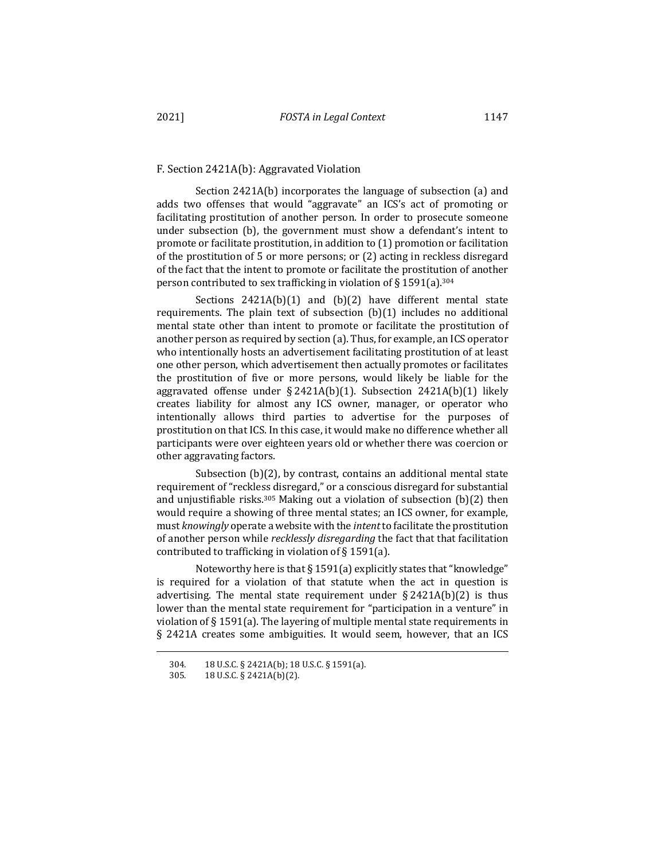#### F. Section 2421A(b): Aggravated Violation

Section  $2421A(b)$  incorporates the language of subsection (a) and adds two offenses that would "aggravate" an ICS's act of promoting or facilitating prostitution of another person. In order to prosecute someone under subsection (b), the government must show a defendant's intent to promote or facilitate prostitution, in addition to  $(1)$  promotion or facilitation of the prostitution of 5 or more persons; or (2) acting in reckless disregard of the fact that the intent to promote or facilitate the prostitution of another person contributed to sex trafficking in violation of § 1591(a).<sup>304</sup>

Sections  $2421A(b)(1)$  and  $(b)(2)$  have different mental state requirements. The plain text of subsection  $(b)(1)$  includes no additional mental state other than intent to promote or facilitate the prostitution of another person as required by section (a). Thus, for example, an ICS operator who intentionally hosts an advertisement facilitating prostitution of at least one other person, which advertisement then actually promotes or facilitates the prostitution of five or more persons, would likely be liable for the aggravated offense under  $\S 2421A(b)(1)$ . Subsection  $2421A(b)(1)$  likely creates liability for almost any ICS owner, manager, or operator who intentionally allows third parties to advertise for the purposes of prostitution on that ICS. In this case, it would make no difference whether all participants were over eighteen years old or whether there was coercion or other aggravating factors.

Subsection  $(b)(2)$ , by contrast, contains an additional mental state requirement of "reckless disregard," or a conscious disregard for substantial and unjustifiable risks.<sup>305</sup> Making out a violation of subsection  $(b)(2)$  then would require a showing of three mental states; an ICS owner, for example, must *knowingly* operate a website with the *intent* to facilitate the prostitution of another person while *recklessly disregarding* the fact that that facilitation contributed to trafficking in violation of  $\S 1591(a)$ .

Noteworthy here is that  $\S 1591(a)$  explicitly states that "knowledge" is required for a violation of that statute when the act in question is advertising. The mental state requirement under  $\S 2421A(b)(2)$  is thus lower than the mental state requirement for "participation in a venture" in violation of  $\S 1591(a)$ . The layering of multiple mental state requirements in § 2421A creates some ambiguities. It would seem, however, that an ICS

<sup>304. 18</sup> U.S.C. § 2421A(b); 18 U.S.C. § 1591(a).

<sup>305. 18</sup> U.S.C. § 2421A(b)(2).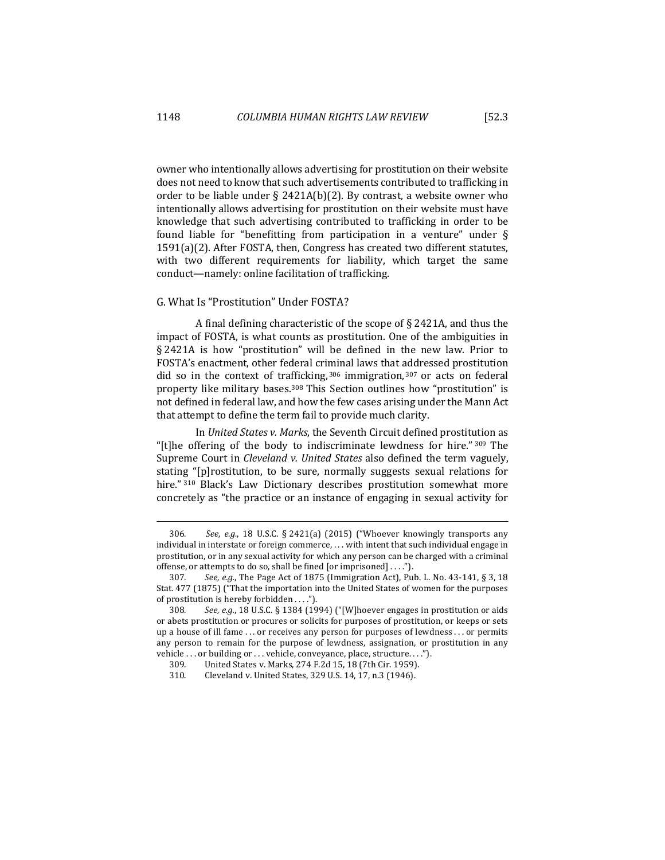owner who intentionally allows advertising for prostitution on their website does not need to know that such advertisements contributed to trafficking in order to be liable under  $\S$  2421A(b)(2). By contrast, a website owner who intentionally allows advertising for prostitution on their website must have knowledge that such advertising contributed to trafficking in order to be found liable for "benefitting from participation in a venture" under  $\S$  $1591(a)(2)$ . After FOSTA, then, Congress has created two different statutes, with two different requirements for liability, which target the same conduct—namely: online facilitation of trafficking.

## G. What Is "Prostitution" Under FOSTA?

A final defining characteristic of the scope of  $\S$  2421A, and thus the impact of FOSTA, is what counts as prostitution. One of the ambiguities in  $§$  2421A is how "prostitution" will be defined in the new law. Prior to FOSTA's enactment, other federal criminal laws that addressed prostitution did so in the context of trafficking,  $306$  immigration,  $307$  or acts on federal property like military bases.<sup>308</sup> This Section outlines how "prostitution" is not defined in federal law, and how the few cases arising under the Mann Act that attempt to define the term fail to provide much clarity.

In *United States v. Marks*, the Seventh Circuit defined prostitution as "[t]he offering of the body to indiscriminate lewdness for hire."  $309$  The Supreme Court in *Cleveland v. United States* also defined the term vaguely, stating "[p]rostitution, to be sure, normally suggests sexual relations for hire." 310 Black's Law Dictionary describes prostitution somewhat more concretely as "the practice or an instance of engaging in sexual activity for

<sup>306.</sup> See, e.g., 18 U.S.C. § 2421(a) (2015) ("Whoever knowingly transports any individual in interstate or foreign commerce,  $\dots$  with intent that such individual engage in prostitution, or in any sexual activity for which any person can be charged with a criminal offense, or attempts to do so, shall be fined [or imprisoned] ....").

<sup>307.</sup> See, e.g., The Page Act of 1875 (Immigration Act), Pub. L. No. 43-141, § 3, 18 Stat. 477 (1875) ("That the importation into the United States of women for the purposes of prostitution is hereby forbidden  $\dots$ .").

<sup>308.</sup> See, e.g., 18 U.S.C. § 1384 (1994) ("[W]hoever engages in prostitution or aids or abets prostitution or procures or solicits for purposes of prostitution, or keeps or sets up a house of ill fame ... or receives any person for purposes of lewdness ... or permits any person to remain for the purpose of lewdness, assignation, or prostitution in any vehicle  $\ldots$  or building or  $\ldots$  vehicle, conveyance, place, structure.  $\ldots$ ").

<sup>309.</sup> United States v. Marks, 274 F.2d 15, 18 (7th Cir. 1959).

<sup>310.</sup> Cleveland v. United States, 329 U.S. 14, 17, n.3 (1946).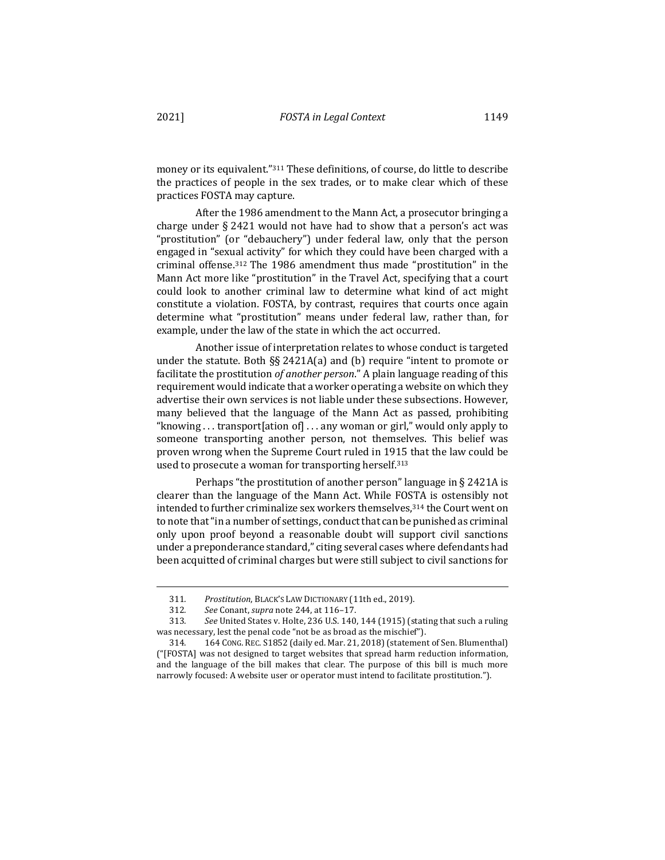money or its equivalent."<sup>311</sup> These definitions, of course, do little to describe the practices of people in the sex trades, or to make clear which of these practices FOSTA may capture.

After the 1986 amendment to the Mann Act, a prosecutor bringing a charge under  $\S 2421$  would not have had to show that a person's act was "prostitution" (or "debauchery") under federal law, only that the person engaged in "sexual activity" for which they could have been charged with a criminal offense.<sup>312</sup> The 1986 amendment thus made "prostitution" in the Mann Act more like "prostitution" in the Travel Act, specifying that a court could look to another criminal law to determine what kind of act might constitute a violation. FOSTA, by contrast, requires that courts once again determine what "prostitution" means under federal law, rather than, for example, under the law of the state in which the act occurred.

Another issue of interpretation relates to whose conduct is targeted under the statute. Both  $\S_6 2421A(a)$  and (b) require "intent to promote or facilitate the prostitution of another person." A plain language reading of this requirement would indicate that a worker operating a website on which they advertise their own services is not liable under these subsections. However, many believed that the language of the Mann Act as passed, prohibiting "knowing  $\ldots$  transport ation of  $\ldots$  any woman or girl," would only apply to someone transporting another person, not themselves. This belief was proven wrong when the Supreme Court ruled in 1915 that the law could be used to prosecute a woman for transporting herself.<sup>313</sup>

Perhaps "the prostitution of another person" language in  $\S$  2421A is clearer than the language of the Mann Act. While FOSTA is ostensibly not intended to further criminalize sex workers themselves, 314 the Court went on to note that "in a number of settings, conduct that can be punished as criminal only upon proof beyond a reasonable doubt will support civil sanctions under a preponderance standard," citing several cases where defendants had been acquitted of criminal charges but were still subject to civil sanctions for

<sup>311.</sup> Prostitution, BLACK'S LAW DICTIONARY (11th ed., 2019).

<sup>312</sup>*. See* Conant, *supra* note 244, at 116–17.

<sup>313.</sup> See United States v. Holte, 236 U.S. 140, 144 (1915) (stating that such a ruling was necessary, lest the penal code "not be as broad as the mischief").

<sup>314. 164</sup> CONG. REC. S1852 (daily ed. Mar. 21, 2018) (statement of Sen. Blumenthal)  $("FOSTA]$  was not designed to target websites that spread harm reduction information, and the language of the bill makes that clear. The purpose of this bill is much more narrowly focused: A website user or operator must intend to facilitate prostitution.").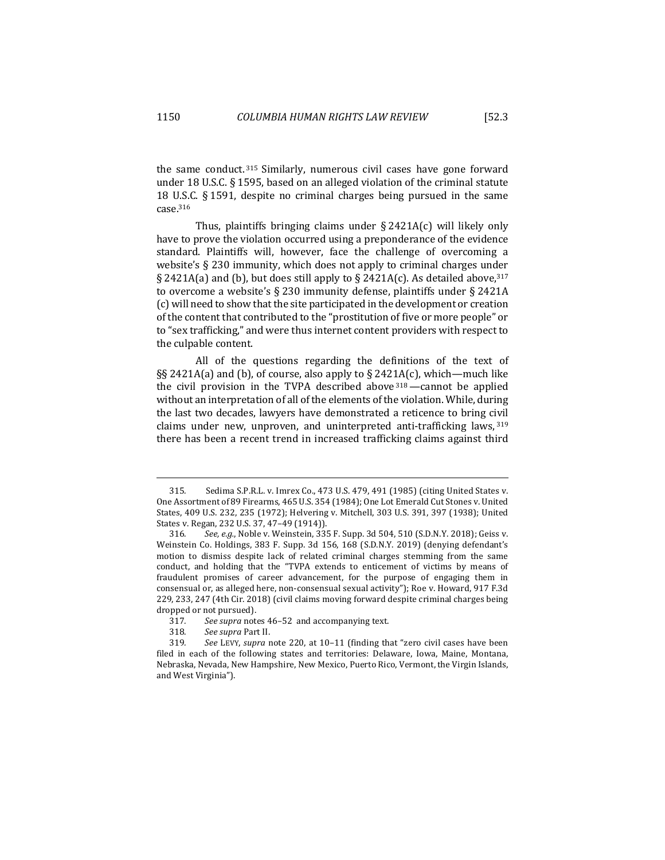the same conduct.  $315$  Similarly, numerous civil cases have gone forward under 18 U.S.C.  $\S$  1595, based on an alleged violation of the criminal statute 18 U.S.C.  $\S$  1591, despite no criminal charges being pursued in the same case.316

Thus, plaintiffs bringing claims under  $\S 2421A(c)$  will likely only have to prove the violation occurred using a preponderance of the evidence standard. Plaintiffs will, however, face the challenge of overcoming a website's  $\S$  230 immunity, which does not apply to criminal charges under § 2421A(a) and (b), but does still apply to § 2421A(c). As detailed above,  $317$ to overcome a website's  $\S 230$  immunity defense, plaintiffs under  $\S 2421A$ (c) will need to show that the site participated in the development or creation of the content that contributed to the "prostitution of five or more people" or to "sex trafficking," and were thus internet content providers with respect to the culpable content.

All of the questions regarding the definitions of the text of §§ 2421A(a) and (b), of course, also apply to § 2421A(c), which—much like the civil provision in the TVPA described above  $318$  —cannot be applied without an interpretation of all of the elements of the violation. While, during the last two decades, lawyers have demonstrated a reticence to bring civil claims under new, unproven, and uninterpreted anti-trafficking laws,  $319$ there has been a recent trend in increased trafficking claims against third

<sup>315</sup>*.* Sedima S.P.R.L. v. Imrex Co., 473 U.S. 479, 491 (1985) (citing United States v. One Assortment of 89 Firearms, 465 U.S. 354 (1984); One Lot Emerald Cut Stones v. United States, 409 U.S. 232, 235 (1972); Helvering v. Mitchell, 303 U.S. 391, 397 (1938); United States v. Regan, 232 U.S. 37, 47-49 (1914)).

<sup>316.</sup> See, e.g., Noble v. Weinstein, 335 F. Supp. 3d 504, 510 (S.D.N.Y. 2018); Geiss v. Weinstein Co. Holdings, 383 F. Supp. 3d 156, 168 (S.D.N.Y. 2019) (denying defendant's motion to dismiss despite lack of related criminal charges stemming from the same conduct, and holding that the "TVPA extends to enticement of victims by means of fraudulent promises of career advancement, for the purpose of engaging them in consensual or, as alleged here, non-consensual sexual activity"); Roe v. Howard, 917 F.3d 229, 233, 247 (4th Cir. 2018) (civil claims moving forward despite criminal charges being dropped or not pursued).

<sup>317.</sup> See supra notes 46-52 and accompanying text.

<sup>318</sup>*. See supra* Part II.

<sup>319.</sup> See LEVY, *supra* note 220, at 10-11 (finding that "zero civil cases have been filed in each of the following states and territories: Delaware, Iowa, Maine, Montana, Nebraska, Nevada, New Hampshire, New Mexico, Puerto Rico, Vermont, the Virgin Islands, and West Virginia").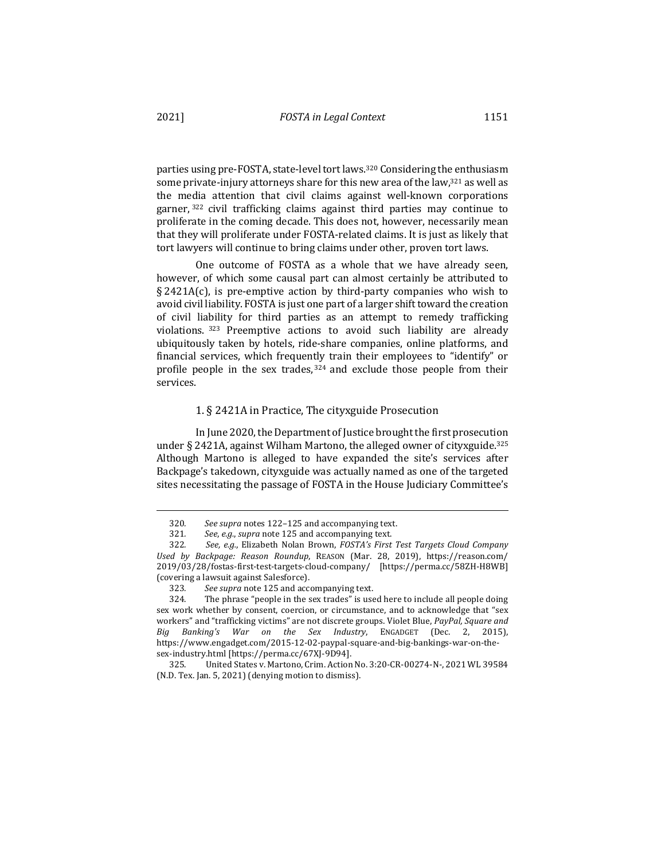parties using pre-FOSTA, state-level tort laws.<sup>320</sup> Considering the enthusiasm some private-injury attorneys share for this new area of the law, $321$  as well as the media attention that civil claims against well-known corporations garner,  $322$  civil trafficking claims against third parties may continue to proliferate in the coming decade. This does not, however, necessarily mean that they will proliferate under FOSTA-related claims. It is just as likely that tort lawyers will continue to bring claims under other, proven tort laws.

One outcome of FOSTA as a whole that we have already seen, however, of which some causal part can almost certainly be attributed to  $\S$  2421A(c), is pre-emptive action by third-party companies who wish to avoid civil liability. FOSTA is just one part of a larger shift toward the creation of civil liability for third parties as an attempt to remedy trafficking violations.  $323$  Preemptive actions to avoid such liability are already ubiquitously taken by hotels, ride-share companies, online platforms, and financial services, which frequently train their employees to "identify" or profile people in the sex trades,  $324$  and exclude those people from their services.

#### 1. § 2421A in Practice, The cityxguide Prosecution

In June 2020, the Department of Justice brought the first prosecution under § 2421A, against Wilham Martono, the alleged owner of cityxguide.<sup>325</sup> Although Martono is alleged to have expanded the site's services after Backpage's takedown, cityxguide was actually named as one of the targeted sites necessitating the passage of FOSTA in the House Judiciary Committee's

<sup>320</sup>*. See supra* notes 122–125 and accompanying text.

<sup>321</sup>*. See*, *e.g.*, *supra* note 125 and accompanying text.

<sup>322.</sup> *See, e.g.*, Elizabeth Nolan Brown, *FOSTA's First Test Targets Cloud Company Used by Backpage: Reason Roundup*, REASON (Mar. 28, 2019), https://reason.com/ 2019/03/28/fostas-first-test-targets-cloud-company/ [https://perma.cc/58ZH-H8WB] (covering a lawsuit against Salesforce).

<sup>323</sup>*. See supra* note 125 and accompanying text.

<sup>324.</sup> The phrase "people in the sex trades" is used here to include all people doing sex work whether by consent, coercion, or circumstance, and to acknowledge that "sex workers" and "trafficking victims" are not discrete groups. Violet Blue, PayPal, Square and *Big Banking's War on the Sex Industry*, ENGADGET (Dec. 2, 2015), https://www.engadget.com/2015-12-02-paypal-square-and-big-bankings-war-on-thesex-industry.html [https://perma.cc/67XJ-9D94].

<sup>325.</sup> United States v. Martono, Crim. Action No. 3:20-CR-00274-N-, 2021 WL 39584 (N.D. Tex. Jan. 5, 2021) (denying motion to dismiss).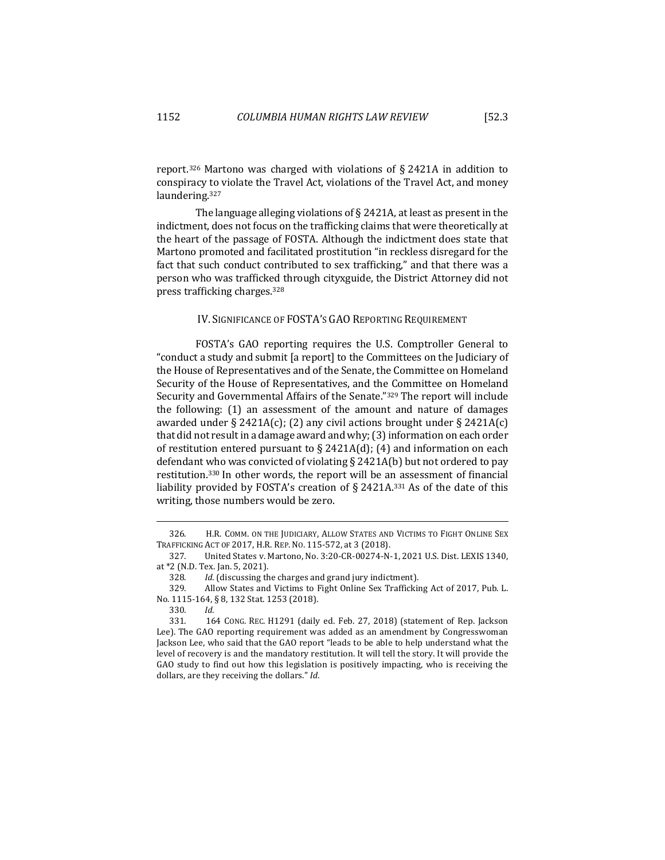report.<sup>326</sup> Martono was charged with violations of § 2421A in addition to conspiracy to violate the Travel Act, violations of the Travel Act, and money laundering.327

The language alleging violations of  $\S$  2421A, at least as present in the indictment, does not focus on the trafficking claims that were theoretically at the heart of the passage of FOSTA. Although the indictment does state that Martono promoted and facilitated prostitution "in reckless disregard for the fact that such conduct contributed to sex trafficking," and that there was a person who was trafficked through cityxguide, the District Attorney did not press trafficking charges.328

# IV. SIGNIFICANCE OF FOSTA'S GAO REPORTING REQUIREMENT

FOSTA's GAO reporting requires the U.S. Comptroller General to "conduct a study and submit [a report] to the Committees on the Judiciary of the House of Representatives and of the Senate, the Committee on Homeland Security of the House of Representatives, and the Committee on Homeland Security and Governmental Affairs of the Senate."<sup>329</sup> The report will include the following:  $(1)$  an assessment of the amount and nature of damages awarded under  $\S 2421A(c)$ ; (2) any civil actions brought under  $\S 2421A(c)$ that did not result in a damage award and why; (3) information on each order of restitution entered pursuant to  $\S$  2421A(d); (4) and information on each defendant who was convicted of violating  $\S$  2421A(b) but not ordered to pay restitution. $330$  In other words, the report will be an assessment of financial liability provided by FOSTA's creation of  $\S$  2421A.<sup>331</sup> As of the date of this writing, those numbers would be zero.

<sup>326.</sup> H.R. COMM. ON THE JUDICIARY, ALLOW STATES AND VICTIMS TO FIGHT ONLINE SEX TRAFFICKING ACT OF 2017, H.R. REP. NO. 115-572, at 3 (2018).

<sup>327.</sup> United States v. Martono, No. 3:20-CR-00274-N-1, 2021 U.S. Dist. LEXIS 1340, at \*2 (N.D. Tex. Jan. 5, 2021).

<sup>328.</sup> *Id.* (discussing the charges and grand jury indictment).

<sup>329.</sup> Allow States and Victims to Fight Online Sex Trafficking Act of 2017, Pub. L. No. 1115-164, § 8, 132 Stat. 1253 (2018).

<sup>330</sup>*. Id.*

<sup>331. 164</sup> CONG. REC. H1291 (daily ed. Feb. 27, 2018) (statement of Rep. Jackson Lee). The GAO reporting requirement was added as an amendment by Congresswoman Jackson Lee, who said that the GAO report "leads to be able to help understand what the level of recovery is and the mandatory restitution. It will tell the story. It will provide the GAO study to find out how this legislation is positively impacting, who is receiving the dollars, are they receiving the dollars." *Id*.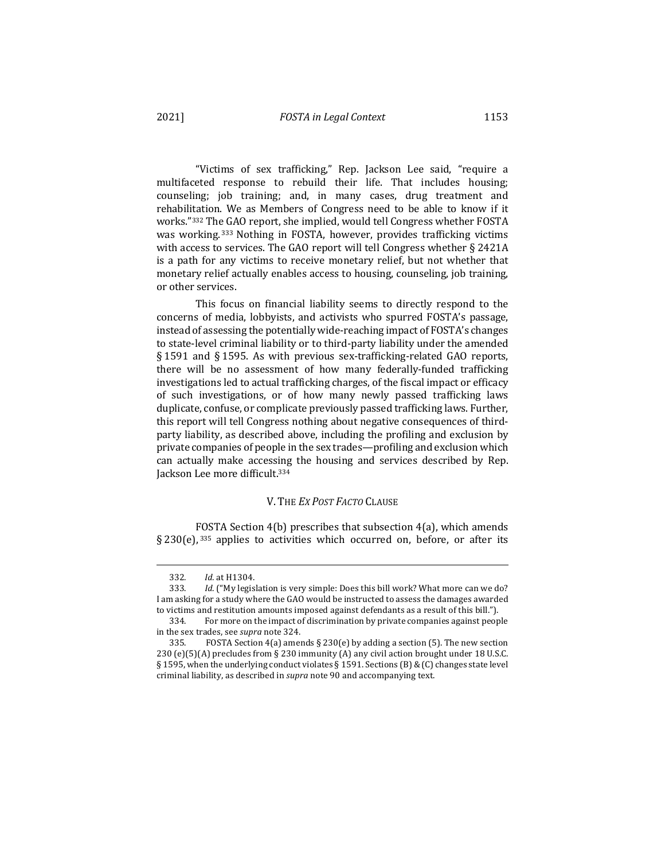"Victims of sex trafficking," Rep. Jackson Lee said, "require a multifaceted response to rebuild their life. That includes housing; counseling; job training; and, in many cases, drug treatment and rehabilitation. We as Members of Congress need to be able to know if it works."332 The GAO report, she implied, would tell Congress whether FOSTA was working.<sup>333</sup> Nothing in FOSTA, however, provides trafficking victims with access to services. The GAO report will tell Congress whether  $\S$  2421A is a path for any victims to receive monetary relief, but not whether that monetary relief actually enables access to housing, counseling, job training, or other services.

This focus on financial liability seems to directly respond to the concerns of media, lobbyists, and activists who spurred FOSTA's passage, instead of assessing the potentially wide-reaching impact of FOSTA's changes to state-level criminal liability or to third-party liability under the amended § 1591 and § 1595. As with previous sex-trafficking-related GAO reports, there will be no assessment of how many federally-funded trafficking investigations led to actual trafficking charges, of the fiscal impact or efficacy of such investigations, or of how many newly passed trafficking laws duplicate, confuse, or complicate previously passed trafficking laws. Further, this report will tell Congress nothing about negative consequences of thirdparty liability, as described above, including the profiling and exclusion by private companies of people in the sex trades—profiling and exclusion which can actually make accessing the housing and services described by Rep. Jackson Lee more difficult.<sup>334</sup>

## V. THE *EX POST FACTO* CLAUSE

FOSTA Section  $4(b)$  prescribes that subsection  $4(a)$ , which amends § 230(e),  $335$  applies to activities which occurred on, before, or after its

<sup>332</sup>*. Id.* at H1304.

<sup>333.</sup> *Id.* ("My legislation is very simple: Does this bill work? What more can we do? I am asking for a study where the GAO would be instructed to assess the damages awarded to victims and restitution amounts imposed against defendants as a result of this bill.").

<sup>334.</sup> For more on the impact of discrimination by private companies against people in the sex trades, see *supra* note 324.

<sup>335.</sup> FOSTA Section 4(a) amends  $\S 230(e)$  by adding a section (5). The new section 230  $(e)(5)(A)$  precludes from § 230 immunity  $(A)$  any civil action brought under 18 U.S.C. § 1595, when the underlying conduct violates § 1591. Sections (B) & (C) changes state level criminal liability, as described in *supra* note 90 and accompanying text.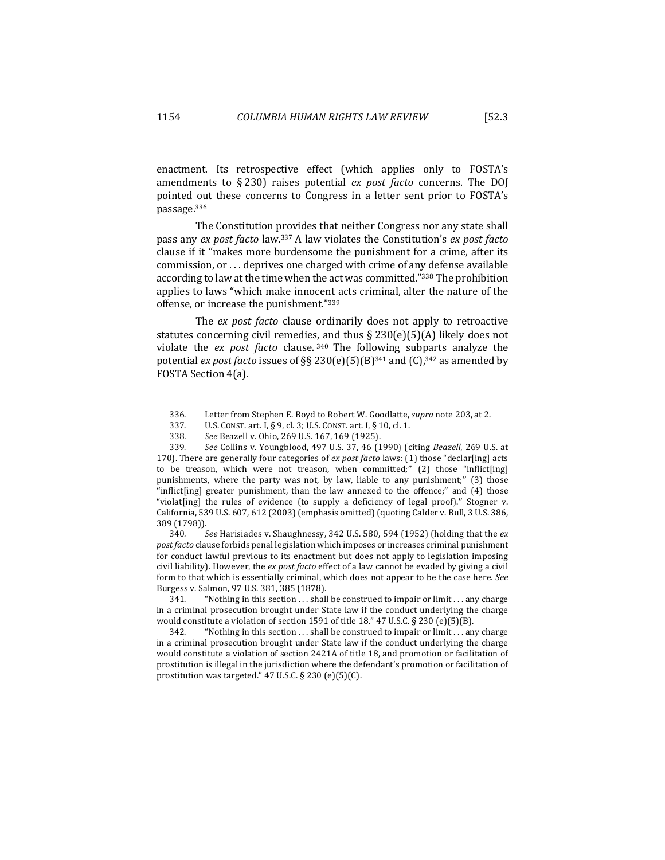enactment. Its retrospective effect (which applies only to FOSTA's amendments to  $\S 230$  raises potential *ex post facto* concerns. The DOI pointed out these concerns to Congress in a letter sent prior to FOSTA's passage.336

The Constitution provides that neither Congress nor any state shall pass any *ex post facto* law.<sup>337</sup> A law violates the Constitution's *ex post facto* clause if it "makes more burdensome the punishment for a crime, after its commission, or . . . deprives one charged with crime of any defense available according to law at the time when the act was committed."<sup>338</sup> The prohibition applies to laws "which make innocent acts criminal, alter the nature of the offense, or increase the punishment."339

The *ex post facto* clause ordinarily does not apply to retroactive statutes concerning civil remedies, and thus  $\S 230(e)(5)(A)$  likely does not violate the *ex post facto* clause.<sup>340</sup> The following subparts analyze the potential *ex post facto* issues of  $\S$ § 230(e)(5)(B)<sup>341</sup> and (C),<sup>342</sup> as amended by FOSTA Section 4(a).

339*. See* Collins v. Youngblood, 497 U.S. 37, 46 (1990) (citing *Beazell*, 269 U.S. at 170). There are generally four categories of *ex post facto* laws: (1) those "declar[ing] acts to be treason, which were not treason, when committed;"  $(2)$  those "inflict[ing] punishments, where the party was not, by law, liable to any punishment;" (3) those "inflict[ing] greater punishment, than the law annexed to the offence;" and  $(4)$  those "violat $\lceil$ ing] the rules of evidence (to supply a deficiency of legal proof)." Stogner v. California, 539 U.S. 607, 612 (2003) (emphasis omitted) (quoting Calder v. Bull, 3 U.S. 386, 389 (1798)).

340. See Harisiades v. Shaughnessy, 342 U.S. 580, 594 (1952) (holding that the ex *post facto* clause forbids penal legislation which imposes or increases criminal punishment for conduct lawful previous to its enactment but does not apply to legislation imposing civil liability). However, the ex post facto effect of a law cannot be evaded by giving a civil form to that which is essentially criminal, which does not appear to be the case here. See Burgess v. Salmon, 97 U.S. 381, 385 (1878).

341. "Nothing in this section  $\dots$  shall be construed to impair or limit  $\dots$  any charge in a criminal prosecution brought under State law if the conduct underlying the charge would constitute a violation of section 1591 of title 18." 47 U.S.C.  $\S$  230 (e)(5)(B).

342. "Nothing in this section ... shall be construed to impair or limit ... any charge in a criminal prosecution brought under State law if the conduct underlying the charge would constitute a violation of section 2421A of title 18, and promotion or facilitation of prostitution is illegal in the jurisdiction where the defendant's promotion or facilitation of prostitution was targeted."  $47$  U.S.C. § 230 (e)(5)(C).

<sup>336.</sup> Letter from Stephen E. Boyd to Robert W. Goodlatte, *supra* note 203, at 2.<br>337. U.S. CONST. art. I. § 9. cl. 3: U.S. CONST. art. I. § 10. cl. 1.

U.S. CONST. art. I, § 9, cl. 3; U.S. CONST. art. I, § 10, cl. 1.

<sup>338</sup>*. See* Beazell v. Ohio, 269 U.S. 167, 169 (1925).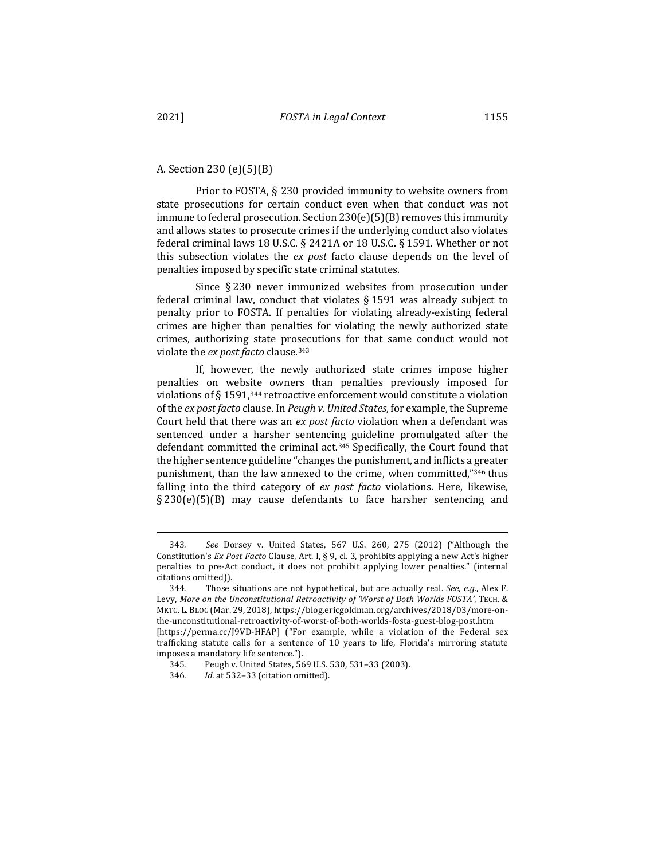Prior to FOSTA,  $\S$  230 provided immunity to website owners from state prosecutions for certain conduct even when that conduct was not immune to federal prosecution. Section  $230(e)(5)(B)$  removes this immunity and allows states to prosecute crimes if the underlying conduct also violates federal criminal laws 18 U.S.C. § 2421A or 18 U.S.C. § 1591. Whether or not this subsection violates the *ex post* facto clause depends on the level of penalties imposed by specific state criminal statutes.

Since § 230 never immunized websites from prosecution under federal criminal law, conduct that violates  $\S 1591$  was already subject to penalty prior to FOSTA. If penalties for violating already-existing federal crimes are higher than penalties for violating the newly authorized state crimes, authorizing state prosecutions for that same conduct would not violate the *ex post facto* clause.<sup>343</sup>

If, however, the newly authorized state crimes impose higher penalties on website owners than penalties previously imposed for violations of  $\S 1591$ ,<sup>344</sup> retroactive enforcement would constitute a violation of the *ex post facto* clause. In *Peugh v. United States*, for example, the Supreme Court held that there was an *ex post facto* violation when a defendant was sentenced under a harsher sentencing guideline promulgated after the defendant committed the criminal act.<sup>345</sup> Specifically, the Court found that the higher sentence guideline "changes the punishment, and inflicts a greater punishment, than the law annexed to the crime, when committed," $346$  thus falling into the third category of *ex post facto* violations. Here, likewise, §  $230(e)(5)(B)$  may cause defendants to face harsher sentencing and

imposes a mandatory life sentence.").

<sup>343</sup>*. See*  Dorsey v. United States, 567 U.S. 260, 275 (2012) ("Although the Constitution's *Ex Post Facto* Clause, Art. I, § 9, cl. 3, prohibits applying a new Act's higher penalties to pre-Act conduct, it does not prohibit applying lower penalties." (internal citations omitted)).

<sup>344.</sup> Those situations are not hypothetical, but are actually real. *See, e.g.*, Alex F. Levy, More on the Unconstitutional Retroactivity of 'Worst of Both Worlds FOSTA', TECH. & MKTG. L. BLOG (Mar. 29, 2018), https://blog.ericgoldman.org/archives/2018/03/more-onthe-unconstitutional-retroactivity-of-worst-of-both-worlds-fosta-guest-blog-post.htm [https://perma.cc/J9VD-HFAP] ("For example, while a violation of the Federal sex trafficking statute calls for a sentence of 10 years to life, Florida's mirroring statute

<sup>345.</sup> Peugh v. United States, 569 U.S. 530, 531-33 (2003).

<sup>346</sup>*. Id.* at 532–33 (citation omitted).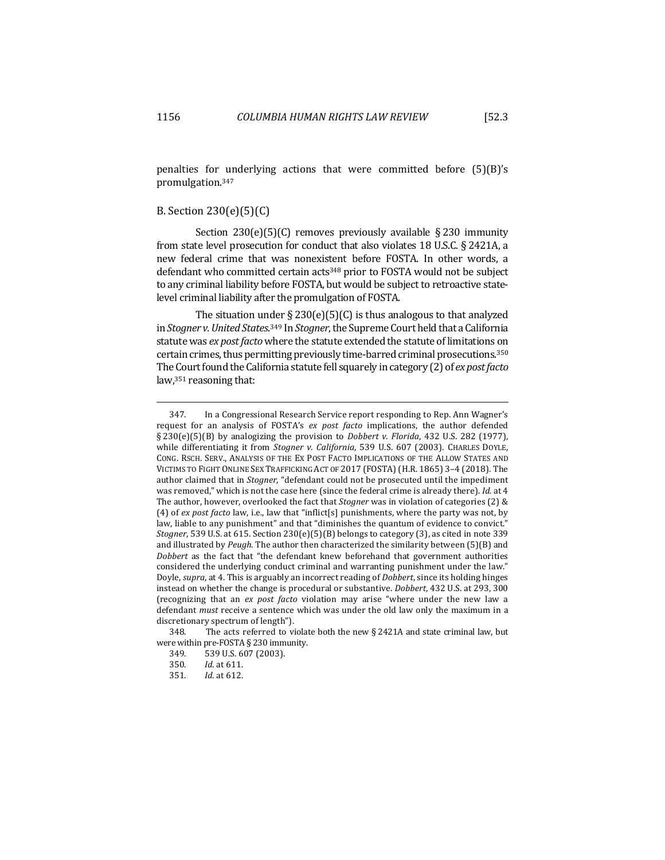penalties for underlying actions that were committed before  $(5)(B)$ 's promulgation.347

## B. Section  $230(e)(5)(C)$

Section  $230(e)(5)(C)$  removes previously available § 230 immunity from state level prosecution for conduct that also violates 18 U.S.C.  $\S$  2421A, a new federal crime that was nonexistent before FOSTA. In other words, a defendant who committed certain  $\arctan(348)$  prior to FOSTA would not be subject to any criminal liability before FOSTA, but would be subject to retroactive statelevel criminal liability after the promulgation of FOSTA.

The situation under  $\S 230(e)(5)(C)$  is thus analogous to that analyzed in *Stogner v. United States.*<sup>349</sup> In *Stogner*, the Supreme Court held that a California statute was *ex post facto* where the statute extended the statute of limitations on certain crimes, thus permitting previously time-barred criminal prosecutions.<sup>350</sup> The Court found the California statute fell squarely in category (2) of *ex post facto* law, $351$  reasoning that:

<sup>347.</sup> In a Congressional Research Service report responding to Rep. Ann Wagner's request for an analysis of FOSTA's *ex post facto* implications, the author defended § 230(e)(5)(B) by analogizing the provision to *Dobbert v. Florida*, 432 U.S. 282 (1977), while differentiating it from *Stogner v. California*, 539 U.S. 607 (2003). CHARLES DOYLE, CONG. RSCH. SERV., ANALYSIS OF THE EX POST FACTO IMPLICATIONS OF THE ALLOW STATES AND VICTIMS TO FIGHT ONLINE SEX TRAFFICKING ACT OF 2017 (FOSTA) (H.R. 1865) 3-4 (2018). The author claimed that in *Stogner*, "defendant could not be prosecuted until the impediment was removed," which is not the case here (since the federal crime is already there). *Id.* at 4 The author, however, overlooked the fact that *Stogner* was in violation of categories (2) & (4) of ex post facto law, i.e., law that "inflict[s] punishments, where the party was not, by law, liable to any punishment" and that "diminishes the quantum of evidence to convict." Stogner, 539 U.S. at 615. Section 230(e)(5)(B) belongs to category (3), as cited in note 339 and illustrated by *Peugh*. The author then characterized the similarity between  $(5)(B)$  and *Dobbert* as the fact that "the defendant knew beforehand that government authorities considered the underlying conduct criminal and warranting punishment under the law." Doyle, *supra*, at 4. This is arguably an incorrect reading of *Dobbert*, since its holding hinges instead on whether the change is procedural or substantive. *Dobbert*, 432 U.S. at 293, 300 (recognizing that an *ex post facto* violation may arise "where under the new law a defendant *must* receive a sentence which was under the old law only the maximum in a discretionary spectrum of length").

<sup>348.</sup> The acts referred to violate both the new  $\S 2421A$  and state criminal law, but were within pre-FOSTA  $\S$  230 immunity.

<sup>349. 539</sup> U.S. 607 (2003).

<sup>350</sup>*. Id.* at 611.

<sup>351</sup>*. Id*. at 612.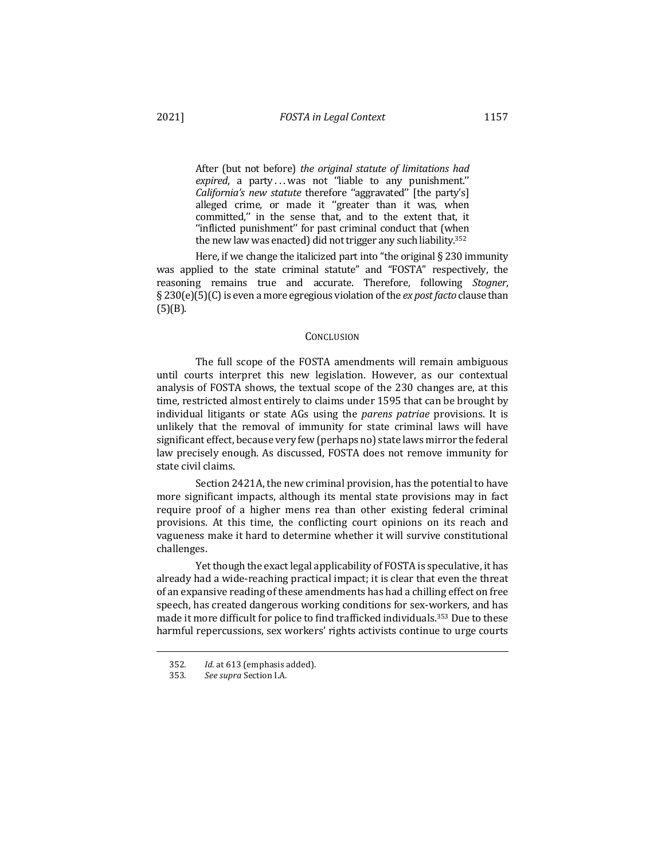After (but not before) *the original statute of limitations had expired*, a party ... was not "liable to any punishment." *California's new statute therefore* "aggravated" [the party's] alleged crime, or made it "greater than it was, when committed," in the sense that, and to the extent that, it

"inflicted punishment" for past criminal conduct that (when the new law was enacted) did not trigger any such liability.<sup>352</sup> Here, if we change the italicized part into "the original  $\S 230$  immunity was applied to the state criminal statute" and "FOSTA" respectively, the reasoning remains true and accurate. Therefore, following *Stogner*, § 230(e)(5)(C) is even a more egregious violation of the *ex post facto* clause than  $(5)(B)$ .

## **CONCLUSION**

The full scope of the FOSTA amendments will remain ambiguous until courts interpret this new legislation. However, as our contextual analysis of FOSTA shows, the textual scope of the 230 changes are, at this time, restricted almost entirely to claims under 1595 that can be brought by individual litigants or state AGs using the *parens patriae* provisions. It is unlikely that the removal of immunity for state criminal laws will have significant effect, because very few (perhaps no) state laws mirror the federal law precisely enough. As discussed, FOSTA does not remove immunity for state civil claims.

Section 2421A, the new criminal provision, has the potential to have more significant impacts, although its mental state provisions may in fact require proof of a higher mens rea than other existing federal criminal provisions. At this time, the conflicting court opinions on its reach and vagueness make it hard to determine whether it will survive constitutional challenges.

Yet though the exact legal applicability of FOSTA is speculative, it has already had a wide-reaching practical impact; it is clear that even the threat of an expansive reading of these amendments has had a chilling effect on free speech, has created dangerous working conditions for sex-workers, and has made it more difficult for police to find trafficked individuals.<sup>353</sup> Due to these harmful repercussions, sex workers' rights activists continue to urge courts

<sup>352</sup>*. Id*. at 613 (emphasis added).

<sup>353</sup>*. See supra* Section I.A.